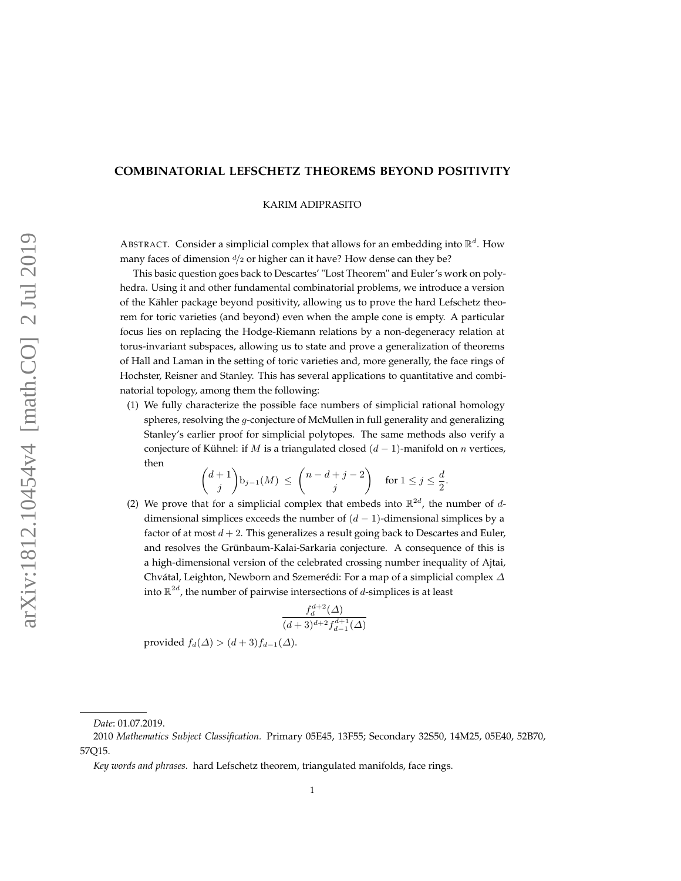# **COMBINATORIAL LEFSCHETZ THEOREMS BEYOND POSITIVITY**

KARIM ADIPRASITO

ABSTRACT. Consider a simplicial complex that allows for an embedding into R *d* . How many faces of dimension *<sup>d</sup>/*<sup>2</sup> or higher can it have? How dense can they be?

This basic question goes back to Descartes' "Lost Theorem" and Euler's work on polyhedra. Using it and other fundamental combinatorial problems, we introduce a version of the Kähler package beyond positivity, allowing us to prove the hard Lefschetz theorem for toric varieties (and beyond) even when the ample cone is empty. A particular focus lies on replacing the Hodge-Riemann relations by a non-degeneracy relation at torus-invariant subspaces, allowing us to state and prove a generalization of theorems of Hall and Laman in the setting of toric varieties and, more generally, the face rings of Hochster, Reisner and Stanley. This has several applications to quantitative and combinatorial topology, among them the following:

(1) We fully characterize the possible face numbers of simplicial rational homology spheres, resolving the *g*-conjecture of McMullen in full generality and generalizing Stanley's earlier proof for simplicial polytopes. The same methods also verify a conjecture of Kühnel: if *M* is a triangulated closed  $(d-1)$ -manifold on *n* vertices, then

$$
\binom{d+1}{j}\mathbf{b}_{j-1}(M) \ \leq \ \binom{n-d+j-2}{j} \quad \text{ for } 1 \leq j \leq \frac{d}{2}.
$$

(2) We prove that for a simplicial complex that embeds into  $\mathbb{R}^{2d}$ , the number of *d*dimensional simplices exceeds the number of  $(d-1)$ -dimensional simplices by a factor of at most  $d + 2$ . This generalizes a result going back to Descartes and Euler, and resolves the Grünbaum-Kalai-Sarkaria conjecture. A consequence of this is a high-dimensional version of the celebrated crossing number inequality of Ajtai, Chvátal, Leighton, Newborn and Szemerédi: For a map of a simplicial complex *∆* into R 2*d* , the number of pairwise intersections of *d*-simplices is at least

$$
\frac{f_d^{d+2}(\Delta)}{(d+3)^{d+2}f_{d-1}^{d+1}(\Delta)}
$$

provided  $f_d(\Delta) > (d+3)f_{d-1}(\Delta)$ .

*Date*: 01.07.2019.

<sup>2010</sup> *Mathematics Subject Classification.* Primary 05E45, 13F55; Secondary 32S50, 14M25, 05E40, 52B70, 57Q15.

*Key words and phrases.* hard Lefschetz theorem, triangulated manifolds, face rings.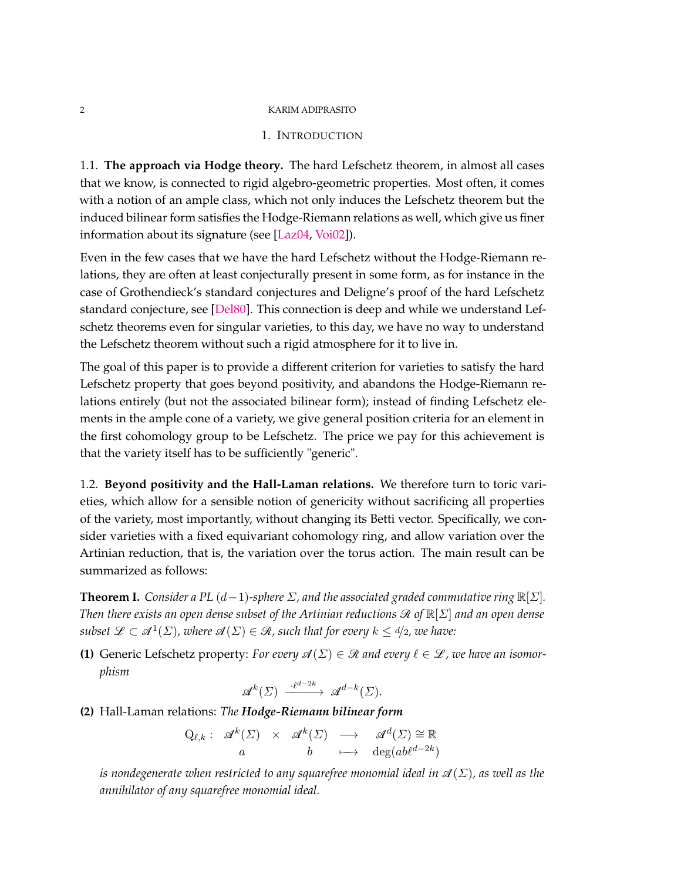# 1. INTRODUCTION

<span id="page-1-1"></span>1.1. **The approach via Hodge theory.** The hard Lefschetz theorem, in almost all cases that we know, is connected to rigid algebro-geometric properties. Most often, it comes with a notion of an ample class, which not only induces the Lefschetz theorem but the induced bilinear form satisfies the Hodge-Riemann relations as well, which give us finer information about its signature (see [\[Laz04,](#page-73-0) [Voi02\]](#page-74-0)).

Even in the few cases that we have the hard Lefschetz without the Hodge-Riemann relations, they are often at least conjecturally present in some form, as for instance in the case of Grothendieck's standard conjectures and Deligne's proof of the hard Lefschetz standard conjecture, see [\[Del80\]](#page-72-0). This connection is deep and while we understand Lefschetz theorems even for singular varieties, to this day, we have no way to understand the Lefschetz theorem without such a rigid atmosphere for it to live in.

The goal of this paper is to provide a different criterion for varieties to satisfy the hard Lefschetz property that goes beyond positivity, and abandons the Hodge-Riemann relations entirely (but not the associated bilinear form); instead of finding Lefschetz elements in the ample cone of a variety, we give general position criteria for an element in the first cohomology group to be Lefschetz. The price we pay for this achievement is that the variety itself has to be sufficiently "generic".

1.2. **Beyond positivity and the Hall-Laman relations.** We therefore turn to toric varieties, which allow for a sensible notion of genericity without sacrificing all properties of the variety, most importantly, without changing its Betti vector. Specifically, we consider varieties with a fixed equivariant cohomology ring, and allow variation over the Artinian reduction, that is, the variation over the torus action. The main result can be summarized as follows:

<span id="page-1-0"></span>**Theorem I.** *Consider a PL*  $(d-1)$ *-sphere*  $\Sigma$ *, and the associated graded commutative ring*  $\mathbb{R}[\Sigma]$ *. Then there exists an open dense subset of the Artinian reductions*  $\Re$  *of*  $\mathbb{R}[\Sigma]$  *and an open dense*  $subset \mathscr{L} \subset \mathscr{A}^1(\Sigma)$ , where  $\mathscr{A}(\Sigma) \in \mathscr{R}$ , such that for every  $k \leq d/2$ , we have:

**(1)** Generic Lefschetz property: *For every*  $\mathcal{A}(\Sigma) \in \mathcal{R}$  and every  $\ell \in \mathcal{L}$ , we have an isomor*phism*

$$
\mathscr{A}^k(\varSigma)\ \xrightarrow{\cdot\ell^{d-2k}}\ \mathscr{A}^{d-k}(\varSigma).
$$

**(2)** Hall-Laman relations: *The Hodge-Riemann bilinear form*

$$
Q_{\ell,k}: \mathscr{A}^k(\Sigma) \times \mathscr{A}^k(\Sigma) \longrightarrow \mathscr{A}^d(\Sigma) \cong \mathbb{R}
$$
  
 $a \t b \mapsto \deg(ab\ell^{d-2k})$ 

*is nondegenerate when restricted to any squarefree monomial ideal in*  $\mathcal{A}(\Sigma)$ *, as well as the annihilator of any squarefree monomial ideal.*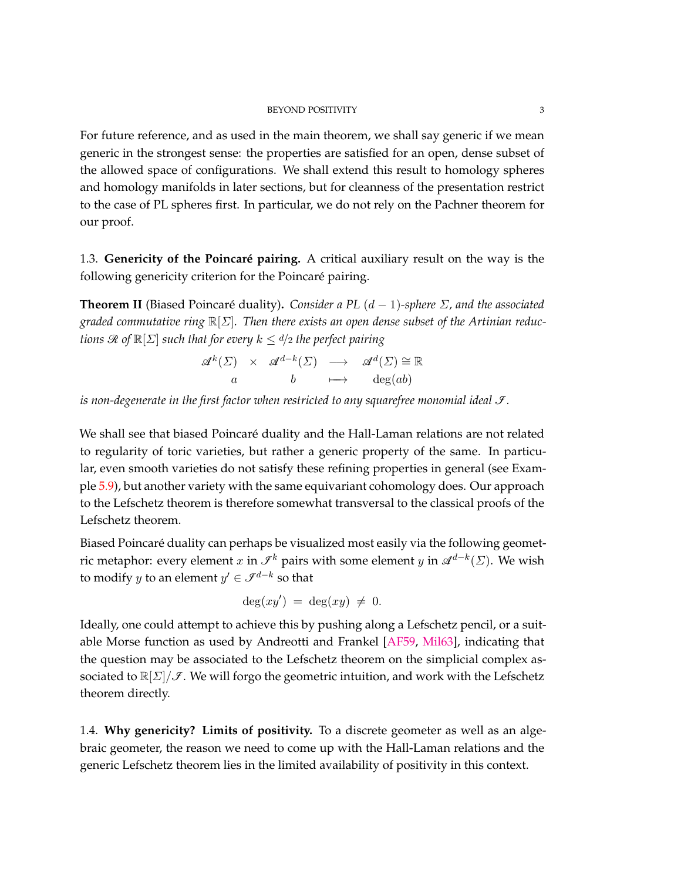For future reference, and as used in the main theorem, we shall say generic if we mean generic in the strongest sense: the properties are satisfied for an open, dense subset of the allowed space of configurations. We shall extend this result to homology spheres and homology manifolds in later sections, but for cleanness of the presentation restrict to the case of PL spheres first. In particular, we do not rely on the Pachner theorem for our proof.

1.3. **Genericity of the Poincaré pairing.** A critical auxiliary result on the way is the following genericity criterion for the Poincaré pairing.

**Theorem II** (Biased Poincaré duality)**.** *Consider a PL* (*d* − 1)*-sphere Σ, and the associated graded commutative ring* R[*Σ*]*. Then there exists an open dense subset of the Artinian reductions*  $\Re$  *of*  $\mathbb{R}[\Sigma]$  *such that for every*  $k \leq d/2$  *the perfect pairing* 

$$
\begin{array}{rcl}\n\mathscr{A}^k(\Sigma) & \times & \mathscr{A}^{d-k}(\Sigma) & \longrightarrow & \mathscr{A}^d(\Sigma) \cong \mathbb{R} \\
a & b & \longmapsto & \deg(ab)\n\end{array}
$$

*is non-degenerate in the first factor when restricted to any squarefree monomial ideal*  $\mathcal{I}$ *.* 

We shall see that biased Poincaré duality and the Hall-Laman relations are not related to regularity of toric varieties, but rather a generic property of the same. In particular, even smooth varieties do not satisfy these refining properties in general (see Example [5.9\)](#page-31-0), but another variety with the same equivariant cohomology does. Our approach to the Lefschetz theorem is therefore somewhat transversal to the classical proofs of the Lefschetz theorem.

Biased Poincaré duality can perhaps be visualized most easily via the following geometric metaphor: every element  $x$  in  $\mathcal{I}^k$  pairs with some element  $y$  in  $\mathcal{A}^{d-k}(\Sigma)$ . We wish to modify  $y$  to an element  $y' \in \mathcal{I}^{d-k}$  so that

$$
\deg(xy') = \deg(xy) \neq 0.
$$

Ideally, one could attempt to achieve this by pushing along a Lefschetz pencil, or a suitable Morse function as used by Andreotti and Frankel [\[AF59,](#page-71-0) [Mil63\]](#page-73-1), indicating that the question may be associated to the Lefschetz theorem on the simplicial complex associated to  $\mathbb{R}[\Sigma]/\mathcal{I}$ . We will forgo the geometric intuition, and work with the Lefschetz theorem directly.

1.4. **Why genericity? Limits of positivity.** To a discrete geometer as well as an algebraic geometer, the reason we need to come up with the Hall-Laman relations and the generic Lefschetz theorem lies in the limited availability of positivity in this context.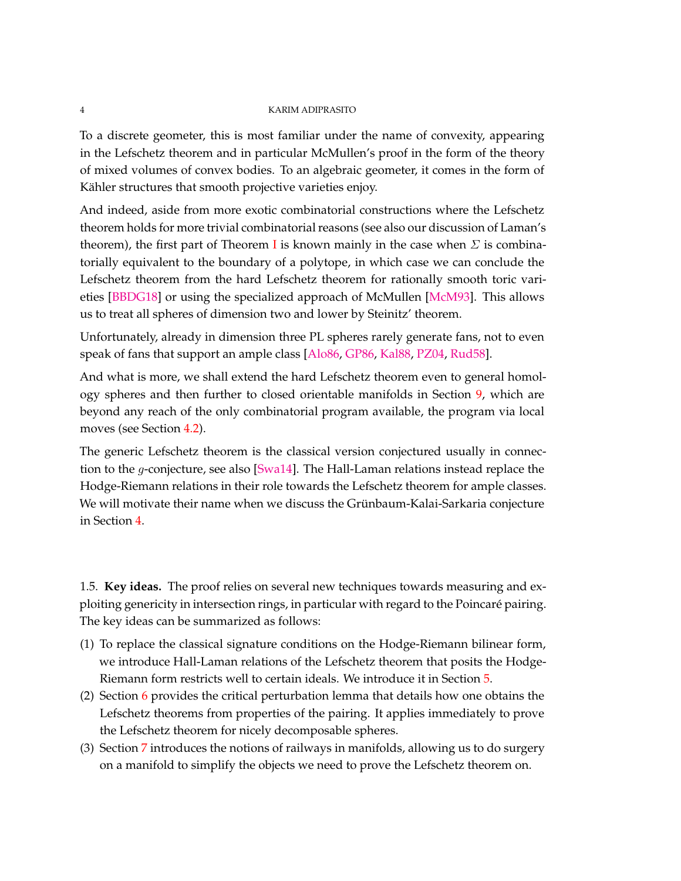To a discrete geometer, this is most familiar under the name of convexity, appearing in the Lefschetz theorem and in particular McMullen's proof in the form of the theory of mixed volumes of convex bodies. To an algebraic geometer, it comes in the form of Kähler structures that smooth projective varieties enjoy.

And indeed, aside from more exotic combinatorial constructions where the Lefschetz theorem holds for more trivial combinatorial reasons (see also our discussion of Laman's theorem), the first part of Theorem [I](#page-1-0) is known mainly in the case when  $\Sigma$  is combinatorially equivalent to the boundary of a polytope, in which case we can conclude the Lefschetz theorem from the hard Lefschetz theorem for rationally smooth toric varieties [\[BBDG18\]](#page-71-1) or using the specialized approach of McMullen [\[McM93\]](#page-73-2). This allows us to treat all spheres of dimension two and lower by Steinitz' theorem.

Unfortunately, already in dimension three PL spheres rarely generate fans, not to even speak of fans that support an ample class [\[Alo86,](#page-71-2) [GP86,](#page-72-1) [Kal88,](#page-72-2) [PZ04,](#page-74-1) [Rud58\]](#page-74-2).

And what is more, we shall extend the hard Lefschetz theorem even to general homology spheres and then further to closed orientable manifolds in Section [9,](#page-67-0) which are beyond any reach of the only combinatorial program available, the program via local moves (see Section [4.2\)](#page-19-0).

The generic Lefschetz theorem is the classical version conjectured usually in connection to the *g*-conjecture, see also [\[Swa14\]](#page-74-3). The Hall-Laman relations instead replace the Hodge-Riemann relations in their role towards the Lefschetz theorem for ample classes. We will motivate their name when we discuss the Grünbaum-Kalai-Sarkaria conjecture in Section [4.](#page-19-1)

1.5. **Key ideas.** The proof relies on several new techniques towards measuring and exploiting genericity in intersection rings, in particular with regard to the Poincaré pairing. The key ideas can be summarized as follows:

- (1) To replace the classical signature conditions on the Hodge-Riemann bilinear form, we introduce Hall-Laman relations of the Lefschetz theorem that posits the Hodge-Riemann form restricts well to certain ideals. We introduce it in Section [5.](#page-26-0)
- (2) Section [6](#page-37-0) provides the critical perturbation lemma that details how one obtains the Lefschetz theorems from properties of the pairing. It applies immediately to prove the Lefschetz theorem for nicely decomposable spheres.
- (3) Section [7](#page-46-0) introduces the notions of railways in manifolds, allowing us to do surgery on a manifold to simplify the objects we need to prove the Lefschetz theorem on.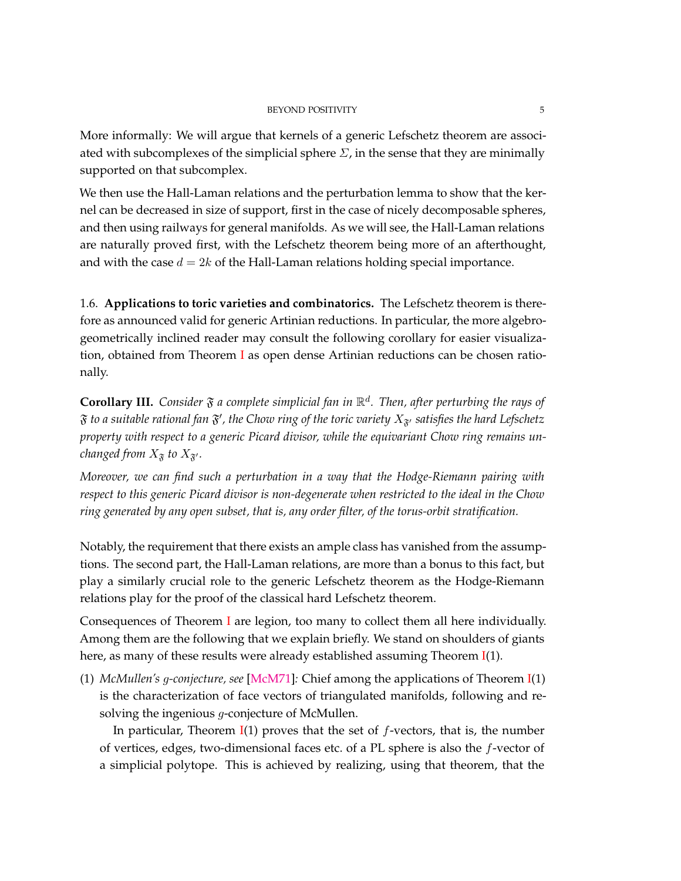More informally: We will argue that kernels of a generic Lefschetz theorem are associated with subcomplexes of the simplicial sphere  $\Sigma$ , in the sense that they are minimally supported on that subcomplex.

We then use the Hall-Laman relations and the perturbation lemma to show that the kernel can be decreased in size of support, first in the case of nicely decomposable spheres, and then using railways for general manifolds. As we will see, the Hall-Laman relations are naturally proved first, with the Lefschetz theorem being more of an afterthought, and with the case  $d = 2k$  of the Hall-Laman relations holding special importance.

1.6. **Applications to toric varieties and combinatorics.** The Lefschetz theorem is therefore as announced valid for generic Artinian reductions. In particular, the more algebrogeometrically inclined reader may consult the following corollary for easier visualization, obtained from Theorem [I](#page-1-0) as open dense Artinian reductions can be chosen rationally.

**Corollary III.** Consider  $\mathfrak{F}$  a complete simplicial fan in  $\mathbb{R}^d$ . Then, after perturbing the rays of  $\mathfrak F$  to a suitable rational fan  $\mathfrak F'$ , the Chow ring of the toric variety  $X_{\mathfrak F'}$  satisfies the hard Lefschetz *property with respect to a generic Picard divisor, while the equivariant Chow ring remains unchanged from*  $X_{\tilde{\mathcal{F}}}$  *to*  $X_{\tilde{\mathcal{F}}'}$ *.* 

*Moreover, we can find such a perturbation in a way that the Hodge-Riemann pairing with respect to this generic Picard divisor is non-degenerate when restricted to the ideal in the Chow ring generated by any open subset, that is, any order filter, of the torus-orbit stratification.*

Notably, the requirement that there exists an ample class has vanished from the assumptions. The second part, the Hall-Laman relations, are more than a bonus to this fact, but play a similarly crucial role to the generic Lefschetz theorem as the Hodge-Riemann relations play for the proof of the classical hard Lefschetz theorem.

Consequences of Theorem [I](#page-1-0) are legion, too many to collect them all here individually. Among them are the following that we explain briefly. We stand on shoulders of giants here, as many of these results were already established assuming Theorem [I\(](#page-1-0)1).

(1) *McMullen's g-conjecture, see* [\[McM71\]](#page-73-3)*:* Chief among the applications of Theorem [I\(](#page-1-0)1) is the characterization of face vectors of triangulated manifolds, following and resolving the ingenious *g*-conjecture of McMullen.

In particular, Theorem [I\(](#page-1-0)1) proves that the set of *f*-vectors, that is, the number of vertices, edges, two-dimensional faces etc. of a PL sphere is also the *f*-vector of a simplicial polytope. This is achieved by realizing, using that theorem, that the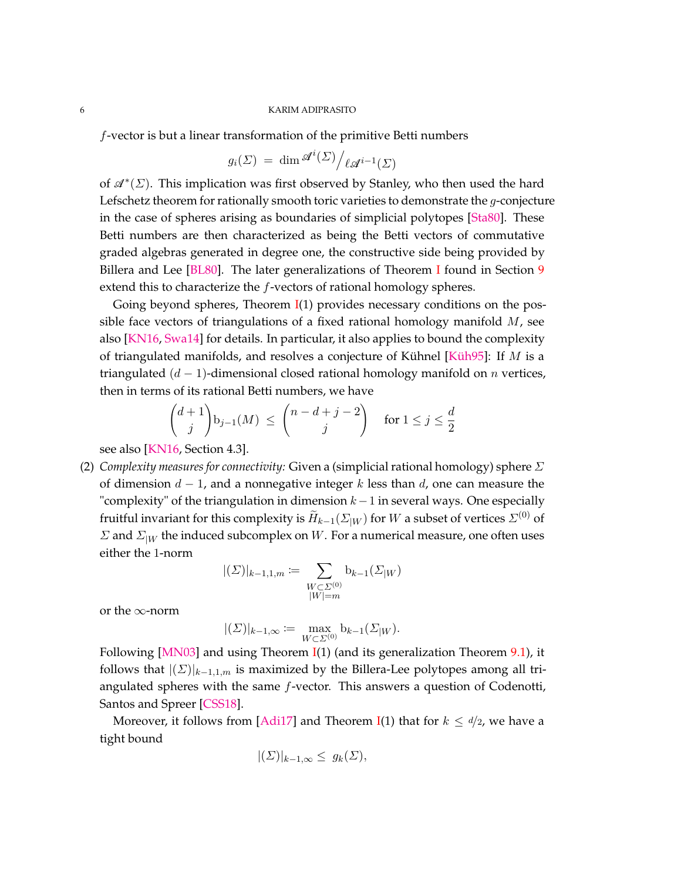*f*-vector is but a linear transformation of the primitive Betti numbers

$$
g_i(\Sigma) = \dim \mathscr{A}^i(\Sigma) / \ell \mathscr{A}^{i-1}(\Sigma)
$$

of  $\mathscr{A}^*(\Sigma)$ . This implication was first observed by Stanley, who then used the hard Lefschetz theorem for rationally smooth toric varieties to demonstrate the *g*-conjecture in the case of spheres arising as boundaries of simplicial polytopes [\[Sta80\]](#page-74-4). These Betti numbers are then characterized as being the Betti vectors of commutative graded algebras generated in degree one, the constructive side being provided by Billera and Lee [\[BL80\]](#page-71-3). The later generalizations of Theorem [I](#page-1-0) found in Section [9](#page-67-0) extend this to characterize the *f*-vectors of rational homology spheres.

Going beyond spheres, Theorem  $I(1)$  $I(1)$  provides necessary conditions on the possible face vectors of triangulations of a fixed rational homology manifold *M*, see also [\[KN16,](#page-73-4) [Swa14\]](#page-74-3) for details. In particular, it also applies to bound the complexity of triangulated manifolds, and resolves a conjecture of Kühnel [\[Küh95\]](#page-73-5): If *M* is a triangulated (*d* − 1)-dimensional closed rational homology manifold on *n* vertices, then in terms of its rational Betti numbers, we have

$$
\binom{d+1}{j}\mathbf{b}_{j-1}(M) \le \binom{n-d+j-2}{j} \quad \text{for } 1 \le j \le \frac{d}{2}
$$

see also [\[KN16,](#page-73-4) Section 4.3].

(2) *Complexity measures for connectivity:* Given a (simplicial rational homology) sphere *Σ* of dimension *d* − 1, and a nonnegative integer *k* less than *d*, one can measure the "complexity" of the triangulation in dimension  $k-1$  in several ways. One especially fruitful invariant for this complexity is  $\widetilde{H}_{k-1}(\varSigma_{|W})$  for  $W$  a subset of vertices  $\varSigma^{(0)}$  of *Σ* and *Σ*|*<sup>W</sup>* the induced subcomplex on *W*. For a numerical measure, one often uses either the 1-norm

$$
|(\varSigma)|_{k-1,1,m} \coloneqq \sum_{\substack{W \subset \varSigma^{(0)} \\ |W| = m}} \mathbf{b}_{k-1}(\varSigma_{|W})
$$

or the ∞-norm

$$
|(\Sigma)|_{k-1,\infty} := \max_{W \subset \Sigma^{(0)}} \mathbf{b}_{k-1}(\Sigma_{|W}).
$$

Following [\[MN03\]](#page-73-6) and using Theorem  $I(1)$  $I(1)$  (and its generalization Theorem [9.1\)](#page-68-0), it follows that  $|(\Sigma)|_{k=1,1,m}$  is maximized by the Billera-Lee polytopes among all triangulated spheres with the same *f*-vector. This answers a question of Codenotti, Santos and Spreer [\[CSS18\]](#page-71-4).

Moreover, it follows from [\[Adi17\]](#page-71-5) and Theorem [I\(](#page-1-0)1) that for  $k \leq d/2$ , we have a tight bound

$$
|(\Sigma)|_{k-1,\infty} \le g_k(\Sigma),
$$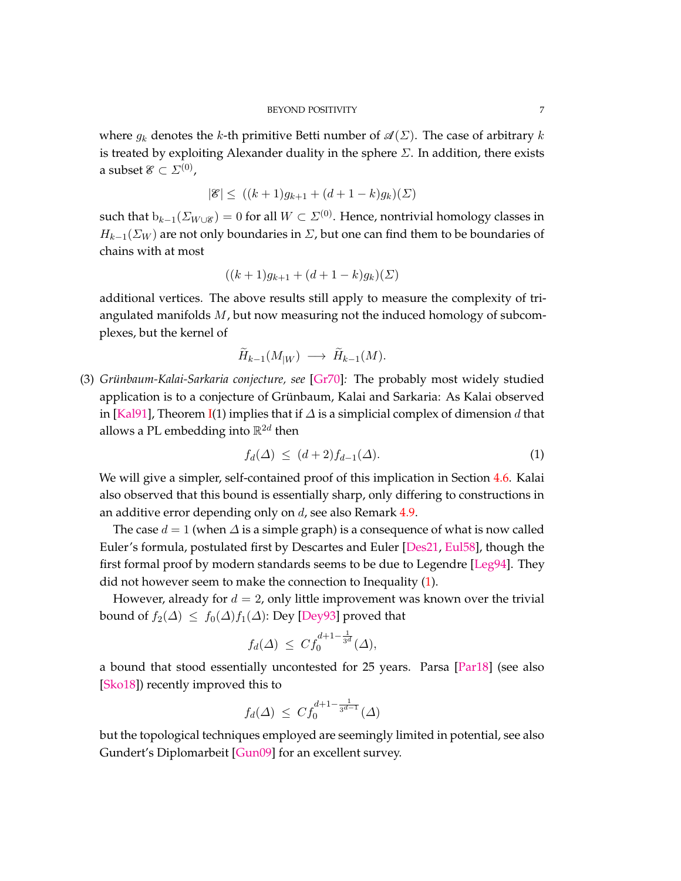where  $q_k$  denotes the *k*-th primitive Betti number of  $\mathcal{A}(\Sigma)$ . The case of arbitrary *k* is treated by exploiting Alexander duality in the sphere *Σ*. In addition, there exists a subset  $\mathscr{E}\subset\varSigma^{(0)}$  ,

$$
|\mathcal{E}| \le ((k+1)g_{k+1} + (d+1-k)g_k)(\Sigma)
$$

such that  $b_{k-1}(\Sigma_{W\cup\mathscr{E}}) = 0$  for all  $W \subset \Sigma^{(0)}$ . Hence, nontrivial homology classes in  $H_{k-1}(\Sigma_W)$  are not only boundaries in  $\Sigma$ , but one can find them to be boundaries of chains with at most

$$
((k+1)g_{k+1} + (d+1-k)g_k)(\Sigma)
$$

additional vertices. The above results still apply to measure the complexity of triangulated manifolds *M*, but now measuring not the induced homology of subcomplexes, but the kernel of

$$
\widetilde{H}_{k-1}(M_{|W}) \longrightarrow \widetilde{H}_{k-1}(M).
$$

(3) *Grünbaum-Kalai-Sarkaria conjecture, see* [\[Gr70\]](#page-72-3)*:* The probably most widely studied application is to a conjecture of Grünbaum, Kalai and Sarkaria: As Kalai observed in [\[Kal91\]](#page-72-4), Theorem [I\(](#page-1-0)1) implies that if *∆* is a simplicial complex of dimension *d* that allows a PL embedding into  $\mathbb{R}^{2d}$  then

<span id="page-6-0"></span>
$$
f_d(\Delta) \le (d+2)f_{d-1}(\Delta). \tag{1}
$$

We will give a simpler, self-contained proof of this implication in Section [4.6.](#page-23-0) Kalai also observed that this bound is essentially sharp, only differing to constructions in an additive error depending only on *d*, see also Remark [4.9.](#page-24-0)

The case  $d = 1$  (when  $\Delta$  is a simple graph) is a consequence of what is now called Euler's formula, postulated first by Descartes and Euler [\[Des21,](#page-72-5) [Eul58\]](#page-72-6), though the first formal proof by modern standards seems to be due to Legendre [\[Leg94\]](#page-73-7). They did not however seem to make the connection to Inequality [\(1\)](#page-6-0).

However, already for  $d = 2$ , only little improvement was known over the trivial bound of  $f_2(\Delta) \leq f_0(\Delta) f_1(\Delta)$ : Dey [\[Dey93\]](#page-72-7) proved that

$$
f_d(\Delta) \ \leq \ C f_0^{d+1-\frac{1}{3^d}}(\Delta),
$$

a bound that stood essentially uncontested for 25 years. Parsa [\[Par18\]](#page-74-5) (see also [\[Sko18\]](#page-74-6)) recently improved this to

$$
f_d(\Delta) \leq C f_0^{d+1-\frac{1}{3^{d-1}}}(\Delta)
$$

but the topological techniques employed are seemingly limited in potential, see also Gundert's Diplomarbeit [\[Gun09\]](#page-72-8) for an excellent survey.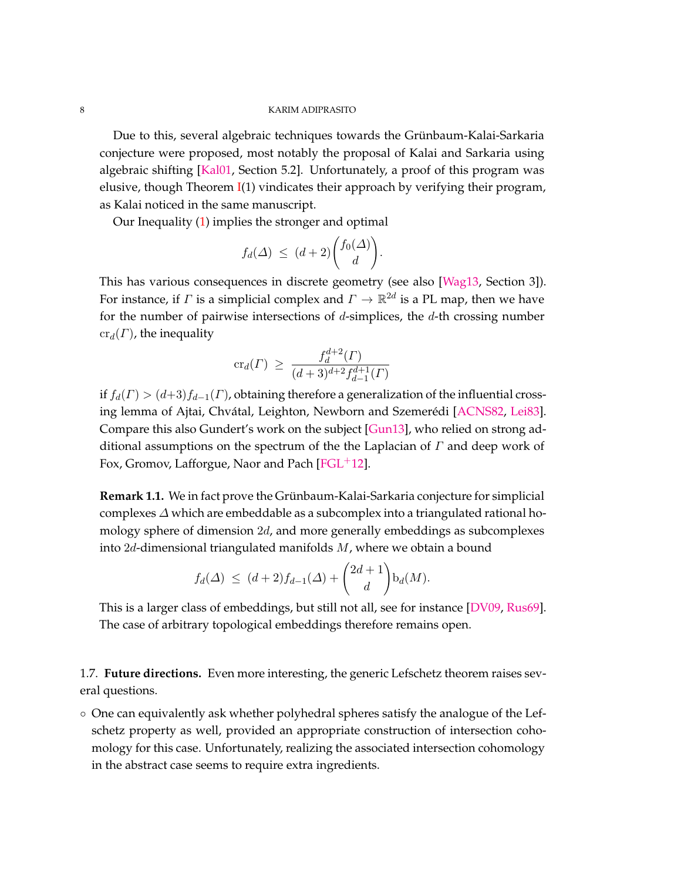Due to this, several algebraic techniques towards the Grünbaum-Kalai-Sarkaria conjecture were proposed, most notably the proposal of Kalai and Sarkaria using algebraic shifting [\[Kal01,](#page-73-8) Section 5.2]. Unfortunately, a proof of this program was elusive, though Theorem  $I(1)$  $I(1)$  vindicates their approach by verifying their program, as Kalai noticed in the same manuscript.

Our Inequality [\(1\)](#page-6-0) implies the stronger and optimal

$$
f_d(\Delta) \ \leq \ (d+2) \binom{f_0(\Delta)}{d}.
$$

This has various consequences in discrete geometry (see also [\[Wag13,](#page-74-7) Section 3]). For instance, if  $\varGamma$  is a simplicial complex and  $\varGamma \to \mathbb{R}^{2d}$  is a PL map, then we have for the number of pairwise intersections of *d*-simplices, the *d*-th crossing number  $\operatorname{cr}_d(\Gamma)$ , the inequality

$$
\mathrm{cr}_d(\Gamma) \ \geq \ \frac{f_d^{d+2}(\Gamma)}{(d+3)^{d+2} f_{d-1}^{d+1}(\Gamma)}
$$

if  $f_d(\Gamma) > (d+3)f_{d-1}(\Gamma)$ , obtaining therefore a generalization of the influential crossing lemma of Ajtai, Chvátal, Leighton, Newborn and Szemerédi [\[ACNS82,](#page-71-6) [Lei83\]](#page-73-9). Compare this also Gundert's work on the subject [\[Gun13\]](#page-72-9), who relied on strong additional assumptions on the spectrum of the the Laplacian of *Γ* and deep work of Fox, Gromov, Lafforgue, Naor and Pach [\[FGL](#page-72-10) $+12$ ].

**Remark 1.1.** We in fact prove the Grünbaum-Kalai-Sarkaria conjecture for simplicial complexes *∆* which are embeddable as a subcomplex into a triangulated rational homology sphere of dimension 2*d*, and more generally embeddings as subcomplexes into 2*d*-dimensional triangulated manifolds *M*, where we obtain a bound

$$
f_d(\Delta) \le (d+2)f_{d-1}(\Delta) + {2d+1 \choose d} \mathbf{b}_d(M).
$$

This is a larger class of embeddings, but still not all, see for instance [\[DV09,](#page-72-11) [Rus69\]](#page-74-8). The case of arbitrary topological embeddings therefore remains open.

1.7. **Future directions.** Even more interesting, the generic Lefschetz theorem raises several questions.

◦ One can equivalently ask whether polyhedral spheres satisfy the analogue of the Lefschetz property as well, provided an appropriate construction of intersection cohomology for this case. Unfortunately, realizing the associated intersection cohomology in the abstract case seems to require extra ingredients.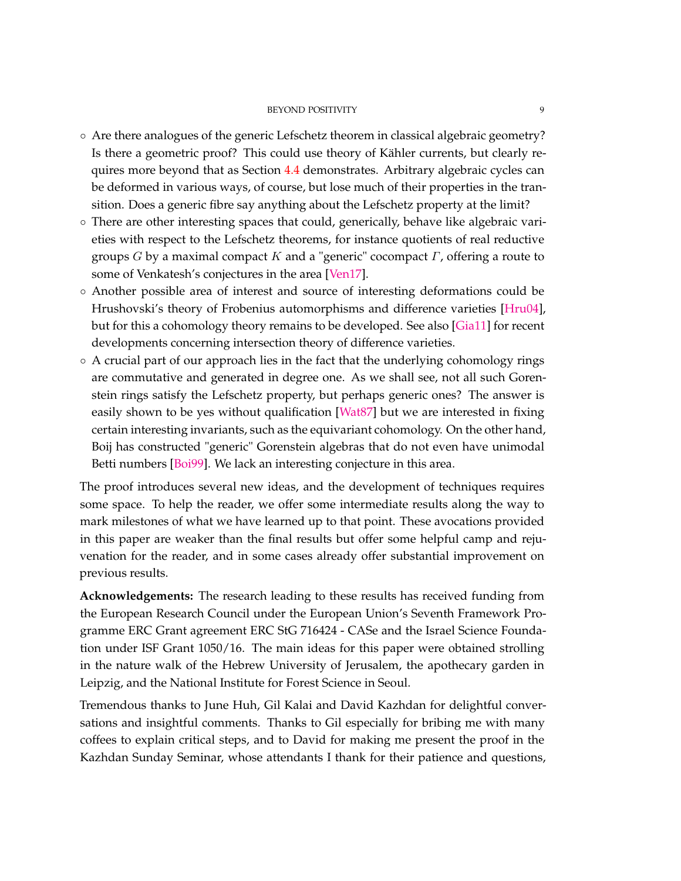## BEYOND POSITIVITY 9

- Are there analogues of the generic Lefschetz theorem in classical algebraic geometry? Is there a geometric proof? This could use theory of Kähler currents, but clearly requires more beyond that as Section [4.4](#page-21-0) demonstrates. Arbitrary algebraic cycles can be deformed in various ways, of course, but lose much of their properties in the transition. Does a generic fibre say anything about the Lefschetz property at the limit?
- There are other interesting spaces that could, generically, behave like algebraic varieties with respect to the Lefschetz theorems, for instance quotients of real reductive groups *G* by a maximal compact *K* and a "generic" cocompact *Γ*, offering a route to some of Venkatesh's conjectures in the area [\[Ven17\]](#page-74-9).
- Another possible area of interest and source of interesting deformations could be Hrushovski's theory of Frobenius automorphisms and difference varieties [\[Hru04\]](#page-72-12), but for this a cohomology theory remains to be developed. See also [\[Gia11\]](#page-72-13) for recent developments concerning intersection theory of difference varieties.
- A crucial part of our approach lies in the fact that the underlying cohomology rings are commutative and generated in degree one. As we shall see, not all such Gorenstein rings satisfy the Lefschetz property, but perhaps generic ones? The answer is easily shown to be yes without qualification [\[Wat87\]](#page-74-10) but we are interested in fixing certain interesting invariants, such as the equivariant cohomology. On the other hand, Boij has constructed "generic" Gorenstein algebras that do not even have unimodal Betti numbers [\[Boi99\]](#page-71-7). We lack an interesting conjecture in this area.

The proof introduces several new ideas, and the development of techniques requires some space. To help the reader, we offer some intermediate results along the way to mark milestones of what we have learned up to that point. These avocations provided in this paper are weaker than the final results but offer some helpful camp and rejuvenation for the reader, and in some cases already offer substantial improvement on previous results.

**Acknowledgements:** The research leading to these results has received funding from the European Research Council under the European Union's Seventh Framework Programme ERC Grant agreement ERC StG 716424 - CASe and the Israel Science Foundation under ISF Grant 1050/16. The main ideas for this paper were obtained strolling in the nature walk of the Hebrew University of Jerusalem, the apothecary garden in Leipzig, and the National Institute for Forest Science in Seoul.

Tremendous thanks to June Huh, Gil Kalai and David Kazhdan for delightful conversations and insightful comments. Thanks to Gil especially for bribing me with many coffees to explain critical steps, and to David for making me present the proof in the Kazhdan Sunday Seminar, whose attendants I thank for their patience and questions,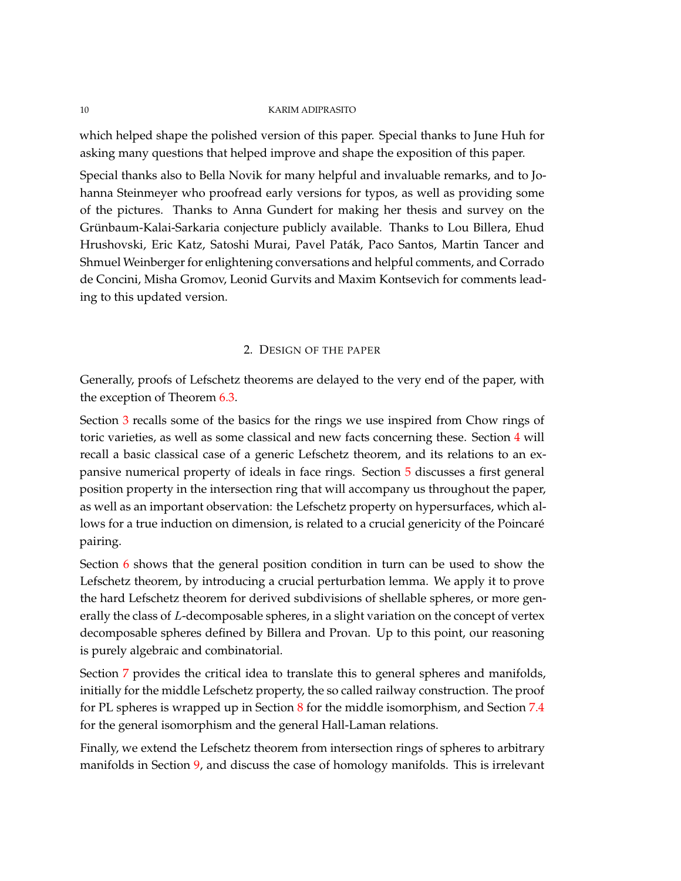which helped shape the polished version of this paper. Special thanks to June Huh for asking many questions that helped improve and shape the exposition of this paper.

Special thanks also to Bella Novik for many helpful and invaluable remarks, and to Johanna Steinmeyer who proofread early versions for typos, as well as providing some of the pictures. Thanks to Anna Gundert for making her thesis and survey on the Grünbaum-Kalai-Sarkaria conjecture publicly available. Thanks to Lou Billera, Ehud Hrushovski, Eric Katz, Satoshi Murai, Pavel Paták, Paco Santos, Martin Tancer and Shmuel Weinberger for enlightening conversations and helpful comments, and Corrado de Concini, Misha Gromov, Leonid Gurvits and Maxim Kontsevich for comments leading to this updated version.

## 2. DESIGN OF THE PAPER

<span id="page-9-0"></span>Generally, proofs of Lefschetz theorems are delayed to the very end of the paper, with the exception of Theorem [6.3.](#page-41-0)

Section [3](#page-10-0) recalls some of the basics for the rings we use inspired from Chow rings of toric varieties, as well as some classical and new facts concerning these. Section [4](#page-19-1) will recall a basic classical case of a generic Lefschetz theorem, and its relations to an expansive numerical property of ideals in face rings. Section [5](#page-26-0) discusses a first general position property in the intersection ring that will accompany us throughout the paper, as well as an important observation: the Lefschetz property on hypersurfaces, which allows for a true induction on dimension, is related to a crucial genericity of the Poincaré pairing.

Section [6](#page-37-0) shows that the general position condition in turn can be used to show the Lefschetz theorem, by introducing a crucial perturbation lemma. We apply it to prove the hard Lefschetz theorem for derived subdivisions of shellable spheres, or more generally the class of *L*-decomposable spheres, in a slight variation on the concept of vertex decomposable spheres defined by Billera and Provan. Up to this point, our reasoning is purely algebraic and combinatorial.

Section [7](#page-46-0) provides the critical idea to translate this to general spheres and manifolds, initially for the middle Lefschetz property, the so called railway construction. The proof for PL spheres is wrapped up in Section  $8$  for the middle isomorphism, and Section  $7.4$ for the general isomorphism and the general Hall-Laman relations.

Finally, we extend the Lefschetz theorem from intersection rings of spheres to arbitrary manifolds in Section [9,](#page-67-0) and discuss the case of homology manifolds. This is irrelevant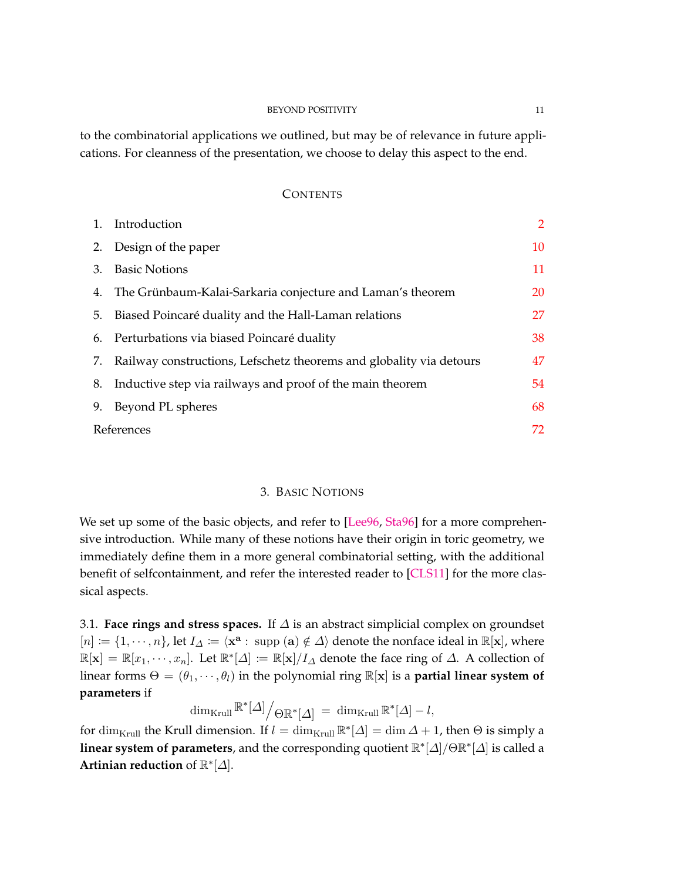## BEYOND POSITIVITY 11

to the combinatorial applications we outlined, but may be of relevance in future applications. For cleanness of the presentation, we choose to delay this aspect to the end.

#### **CONTENTS**

|            | 1. Introduction                                                        | $\overline{2}$ |
|------------|------------------------------------------------------------------------|----------------|
| 2.         | Design of the paper                                                    | 10             |
| 3.         | <b>Basic Notions</b>                                                   | 11             |
| 4.         | The Grünbaum-Kalai-Sarkaria conjecture and Laman's theorem             | 20             |
| 5.         | Biased Poincaré duality and the Hall-Laman relations                   | 27             |
|            | 6. Perturbations via biased Poincaré duality                           | 38             |
|            | 7. Railway constructions, Lefschetz theorems and globality via detours | 47             |
| 8.         | Inductive step via railways and proof of the main theorem              | 54             |
| 9.         | Beyond PL spheres                                                      | 68             |
| References |                                                                        | 72             |

## 3. BASIC NOTIONS

<span id="page-10-0"></span>We set up some of the basic objects, and refer to [\[Lee96,](#page-73-10) [Sta96\]](#page-74-11) for a more comprehensive introduction. While many of these notions have their origin in toric geometry, we immediately define them in a more general combinatorial setting, with the additional benefit of selfcontainment, and refer the interested reader to [\[CLS11\]](#page-72-14) for the more classical aspects.

3.1. **Face rings and stress spaces.** If *∆* is an abstract simplicial complex on groundset  $[n] := \{1, \dots, n\}$ , let  $I_\Delta := \langle \mathbf{x}^{\mathbf{a}} : \text{ supp } (\mathbf{a}) \notin \Delta \rangle$  denote the nonface ideal in ℝ[**x**], where  $\mathbb{R}[\mathbf{x}] = \mathbb{R}[x_1, \cdots, x_n]$ . Let  $\mathbb{R}^*[\Delta] \coloneqq \mathbb{R}[\mathbf{x}]/I_\Delta$  denote the face ring of  $\Delta$ . A collection of linear forms  $\Theta = (\theta_1, \dots, \theta_l)$  in the polynomial ring  $\mathbb{R}[\mathbf{x}]$  is a **partial linear system of parameters** if

 $\dim_{\text{Krull}} \mathbb{R}^*[\Delta] \Big/ \Theta \mathbb{R}^*[\Delta] \ = \ \dim_{\text{Krull}} \mathbb{R}^*[\Delta] - l,$ 

for  $\dim_{\text{Krull}}$  the Krull dimension. If  $l = \dim_{\text{Krull}} \mathbb{R}^*[\Delta] = \dim \Delta + 1$ , then  $\Theta$  is simply a **linear system of parameters**, and the corresponding quotient R ∗ [*∆*]*/*ΘR ∗ [*∆*] is called a **Artinian reduction** of R ∗ [*∆*].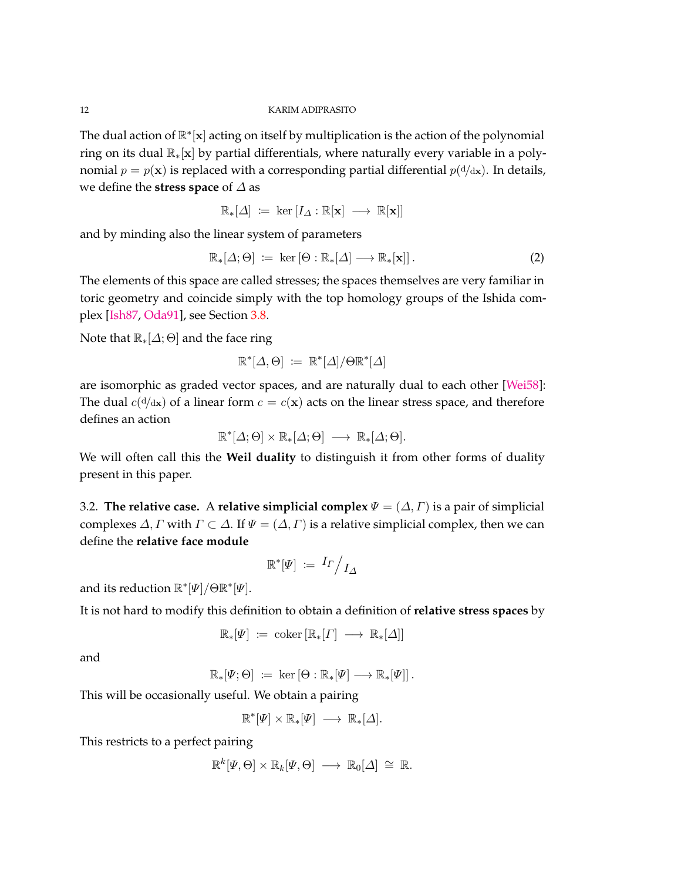The dual action of  $\mathbb{R}^*$ [x] acting on itself by multiplication is the action of the polynomial ring on its dual R∗[**x**] by partial differentials, where naturally every variable in a polynomial  $p = p(\mathbf{x})$  is replaced with a corresponding partial differential  $p(\mathrm{d}/\mathrm{d}\mathbf{x})$ . In details, we define the **stress space** of *∆* as

$$
\mathbb{R}_*[\varDelta] \ := \ \ker \left[ I_\varDelta : \mathbb{R}[\mathbf{x}] \ \longrightarrow \ \mathbb{R}[\mathbf{x}] \right]
$$

and by minding also the linear system of parameters

$$
\mathbb{R}_{*}[\Delta;\Theta] := \ker [\Theta : \mathbb{R}_{*}[\Delta] \longrightarrow \mathbb{R}_{*}[\mathbf{x}]]. \tag{2}
$$

The elements of this space are called stresses; the spaces themselves are very familiar in toric geometry and coincide simply with the top homology groups of the Ishida complex [\[Ish87,](#page-72-15) [Oda91\]](#page-73-11), see Section [3.8.](#page-17-0)

Note that  $\mathbb{R}_*[\Delta; \Theta]$  and the face ring

$$
\mathbb{R}^*[\Delta, \Theta] \coloneqq \mathbb{R}^*[\Delta]/\Theta \mathbb{R}^*[\Delta]
$$

are isomorphic as graded vector spaces, and are naturally dual to each other [\[Wei58\]](#page-74-12): The dual  $c(\frac{d}{dx})$  of a linear form  $c = c(\mathbf{x})$  acts on the linear stress space, and therefore defines an action

$$
\mathbb{R}^*[\Delta; \Theta] \times \mathbb{R}_*[\Delta; \Theta] \longrightarrow \mathbb{R}_*[\Delta; \Theta].
$$

We will often call this the **Weil duality** to distinguish it from other forms of duality present in this paper.

3.2. **The relative case.** A **relative simplicial complex**  $\Psi = (\Delta, \Gamma)$  is a pair of simplicial complexes  $\Delta$ , *Γ* with  $\Gamma \subset \Delta$ . If  $\Psi = (\Delta, \Gamma)$  is a relative simplicial complex, then we can define the **relative face module**

$$
\mathbb{R}^* [\Psi] \coloneqq \left. I_{\Gamma} \middle/ I_{\Delta} \right.
$$

and its reduction R ∗ [*Ψ*]*/*ΘR ∗ [*Ψ*].

It is not hard to modify this definition to obtain a definition of **relative stress spaces** by

$$
\mathbb{R}_*[{\varPsi}] \ := \ \operatorname{coker}\left[\mathbb{R}_*[{\varGamma}] \ \longrightarrow \ \mathbb{R}_*[{\varDelta}] \right]
$$

and

 $\mathbb{R}_*[\Psi; \Theta] \coloneqq \ker \left[\Theta : \mathbb{R}_*[\Psi] \longrightarrow \mathbb{R}_*[\Psi] \right].$ 

This will be occasionally useful. We obtain a pairing

$$
\mathbb{R}^*[\varPsi]\times\mathbb{R}_*[\varPsi]\ \longrightarrow\ \mathbb{R}_*[\varDelta].
$$

This restricts to a perfect pairing

$$
\mathbb{R}^k[\Psi,\Theta] \times \mathbb{R}_k[\Psi,\Theta] \longrightarrow \mathbb{R}_0[\Delta] \cong \mathbb{R}.
$$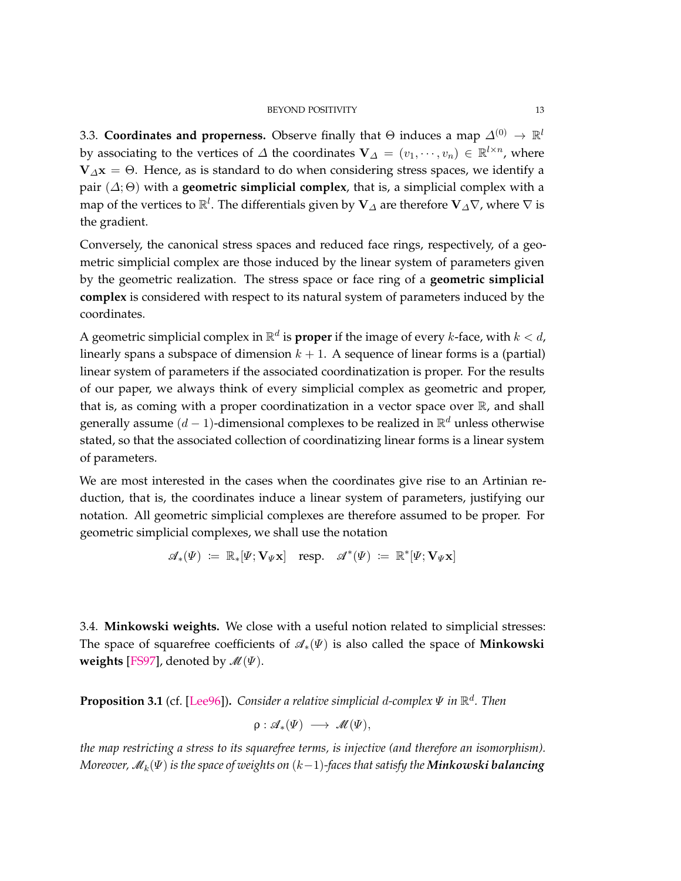#### BEYOND POSITIVITY 13

3.3. **Coordinates and properness.** Observe finally that  $\Theta$  induces a map  $\varDelta^{(0)} \to \mathbb{R}^l$ by associating to the vertices of  $\Delta$  the coordinates  $\mathbf{V}_{\Delta} = (v_1, \dots, v_n) \in \mathbb{R}^{l \times n}$ , where **. Hence, as is standard to do when considering stress spaces, we identify a** pair  $(\Delta; \Theta)$  with a **geometric simplicial complex**, that is, a simplicial complex with a map of the vertices to  $\mathbb{R}^l$ . The differentials given by  ${\bf V}_{\varDelta}$  are therefore  ${\bf V}_{\varDelta}\nabla$ , where  $\nabla$  is the gradient.

Conversely, the canonical stress spaces and reduced face rings, respectively, of a geometric simplicial complex are those induced by the linear system of parameters given by the geometric realization. The stress space or face ring of a **geometric simplicial complex** is considered with respect to its natural system of parameters induced by the coordinates.

A geometric simplicial complex in  $\mathbb{R}^d$  is **proper** if the image of every *k*-face, with  $k < d$ , linearly spans a subspace of dimension  $k + 1$ . A sequence of linear forms is a (partial) linear system of parameters if the associated coordinatization is proper. For the results of our paper, we always think of every simplicial complex as geometric and proper, that is, as coming with a proper coordinatization in a vector space over  $\mathbb{R}$ , and shall generally assume (*d* − 1)-dimensional complexes to be realized in R *<sup>d</sup>* unless otherwise stated, so that the associated collection of coordinatizing linear forms is a linear system of parameters.

We are most interested in the cases when the coordinates give rise to an Artinian reduction, that is, the coordinates induce a linear system of parameters, justifying our notation. All geometric simplicial complexes are therefore assumed to be proper. For geometric simplicial complexes, we shall use the notation

$$
\mathscr{A}_*(\Psi) \ := \ \mathbb{R}_*[\Psi; \mathbf{V}_{\Psi} \mathbf{x}] \quad \text{resp.} \quad \mathscr{A}^*(\Psi) \ := \ \mathbb{R}^*[\Psi; \mathbf{V}_{\Psi} \mathbf{x}]
$$

3.4. **Minkowski weights.** We close with a useful notion related to simplicial stresses: The space of squarefree coefficients of  $\mathcal{A}_*(\Psi)$  is also called the space of **Minkowski weights** [\[FS97\]](#page-72-16), denoted by  $\mathcal{M}(\Psi)$ .

<span id="page-12-0"></span>**Proposition 3.1** (cf. [\[Lee96\]](#page-73-10))**.** *Consider a relative simplicial d-complex Ψ in* R *d . Then*

$$
\rho: \mathscr{A}_*(\Psi) \longrightarrow \mathscr{M}(\Psi),
$$

*the map restricting a stress to its squarefree terms, is injective (and therefore an isomorphism). Moreover,* M*k*(*Ψ*) *is the space of weights on* (*k*−1)*-faces that satisfy the Minkowski balancing*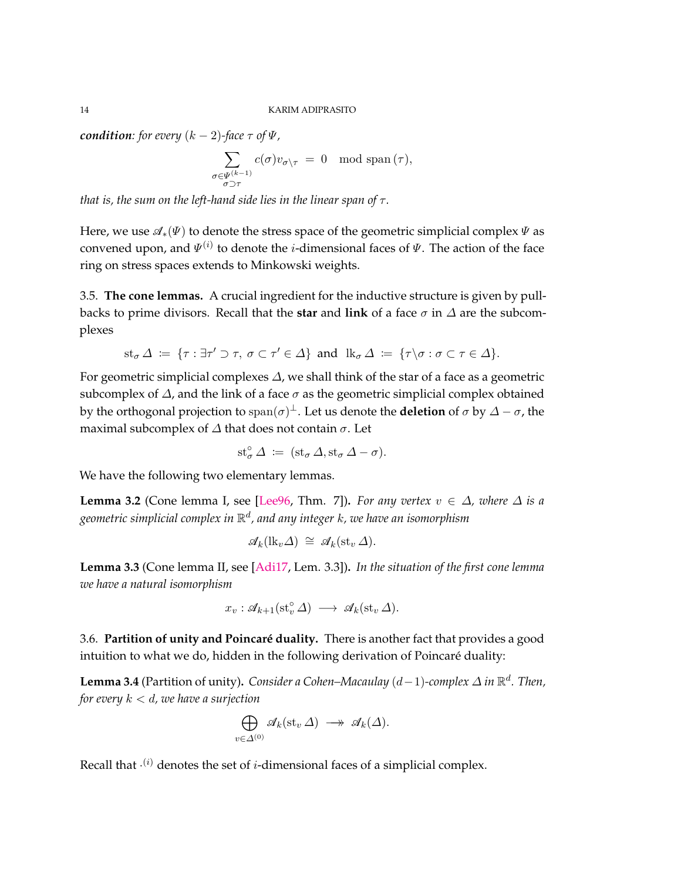*condition: for every*  $(k-2)$ *-face*  $\tau$  *of*  $\Psi$ *,* 

$$
\sum_{\substack{\sigma \in \Psi^{(k-1)} \\ \sigma \supset \tau}} c(\sigma) v_{\sigma \setminus \tau} = 0 \mod \operatorname{span}(\tau),
$$

*that is, the sum on the left-hand side lies in the linear span of*  $\tau$ *.* 

Here, we use  $\mathcal{A}_*(\Psi)$  to denote the stress space of the geometric simplicial complex  $\Psi$  as convened upon, and *Ψ* (*i*) to denote the *i*-dimensional faces of *Ψ*. The action of the face ring on stress spaces extends to Minkowski weights.

3.5. **The cone lemmas.** A crucial ingredient for the inductive structure is given by pullbacks to prime divisors. Recall that the **star** and **link** of a face  $\sigma$  in  $\Delta$  are the subcomplexes

$$
st_{\sigma} \Delta := \{ \tau : \exists \tau' \supset \tau, \ \sigma \subset \tau' \in \Delta \} \ \text{and} \ \ lk_{\sigma} \Delta := \{ \tau \setminus \sigma : \sigma \subset \tau \in \Delta \}.
$$

For geometric simplicial complexes *∆*, we shall think of the star of a face as a geometric subcomplex of *∆*, and the link of a face *σ* as the geometric simplicial complex obtained by the orthogonal projection to span(*σ*) <sup>⊥</sup>. Let us denote the **deletion** of *σ* by *∆* − *σ*, the maximal subcomplex of *∆* that does not contain *σ*. Let

$$
st^{\circ}_{\sigma} \Delta \; := \; (st_{\sigma} \Delta, st_{\sigma} \Delta - \sigma).
$$

We have the following two elementary lemmas.

**Lemma 3.2** (Cone lemma I, see [\[Lee96,](#page-73-10) Thm. 7]). *For any vertex*  $v \in \Delta$ *, where*  $\Delta$  *is a geometric simplicial complex in* R *d , and any integer k, we have an isomorphism*

$$
\mathscr{A}_k(\mathrm{lk}_v \Delta) \cong \mathscr{A}_k(\mathrm{st}_v \Delta).
$$

**Lemma 3.3** (Cone lemma II, see [\[Adi17,](#page-71-5) Lem. 3.3])**.** *In the situation of the first cone lemma we have a natural isomorphism*

$$
x_v : \mathscr{A}_{k+1}(\mathrm{st}_v^{\circ} \Delta) \longrightarrow \mathscr{A}_k(\mathrm{st}_v \Delta).
$$

3.6. **Partition of unity and Poincaré duality.** There is another fact that provides a good intuition to what we do, hidden in the following derivation of Poincaré duality:

<span id="page-13-0"></span>**Lemma 3.4** (Partition of unity)**.** *Consider a Cohen–Macaulay* (*d*−1)*-complex ∆ in* R *d . Then, for every k < d, we have a surjection*

$$
\bigoplus_{v \in \Delta^{(0)}} \mathscr{A}_k(\mathrm{st}_v \Delta) \longrightarrow \mathscr{A}_k(\Delta).
$$

Recall that · (*i*) denotes the set of *i*-dimensional faces of a simplicial complex.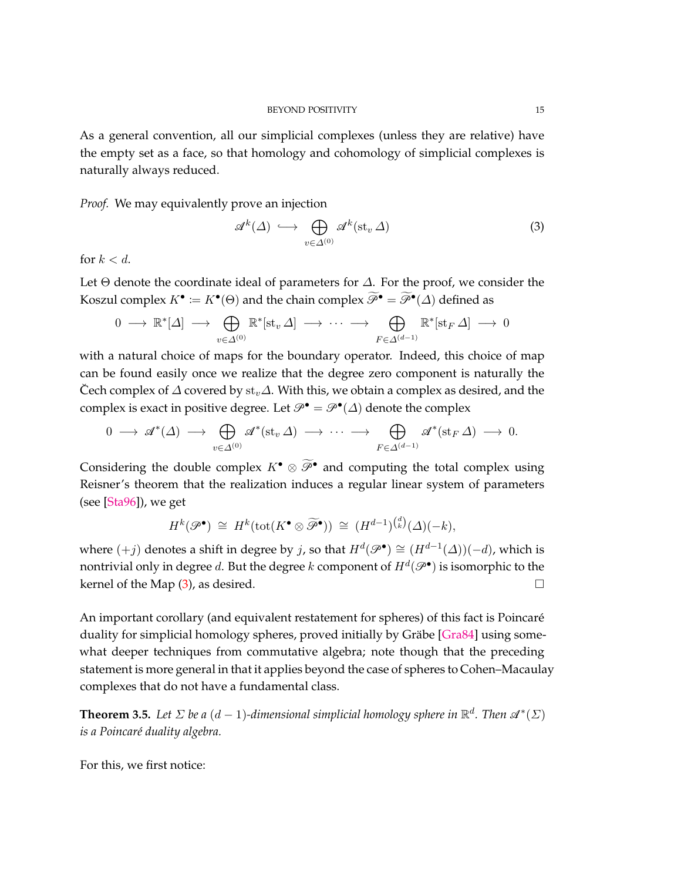As a general convention, all our simplicial complexes (unless they are relative) have the empty set as a face, so that homology and cohomology of simplicial complexes is naturally always reduced.

*Proof.* We may equivalently prove an injection

<span id="page-14-0"></span>
$$
\mathcal{A}^k(\Delta) \hookrightarrow \bigoplus_{v \in \Delta^{(0)}} \mathcal{A}^k(\mathrm{st}_v \,\Delta) \tag{3}
$$

for  $k < d$ .

Let Θ denote the coordinate ideal of parameters for *∆*. For the proof, we consider the Koszul complex  $K^{\bullet} \coloneqq K^{\bullet}(\Theta)$  and the chain complex  $\widetilde{\mathscr{P}}^{\bullet} = \widetilde{\mathscr{P}}^{\bullet}(\Delta)$  defined as

$$
0 \longrightarrow \mathbb{R}^*[\Delta] \longrightarrow \bigoplus_{v \in \Delta^{(0)}} \mathbb{R}^*[\mathrm{st}_v \Delta] \longrightarrow \cdots \longrightarrow \bigoplus_{F \in \Delta^{(d-1)}} \mathbb{R}^*[\mathrm{st}_F \Delta] \longrightarrow 0
$$

with a natural choice of maps for the boundary operator. Indeed, this choice of map can be found easily once we realize that the degree zero component is naturally the Cech complex of ˘ *∆* covered by st*v∆*. With this, we obtain a complex as desired, and the complex is exact in positive degree. Let  $\mathcal{P}^{\bullet} = \mathcal{P}^{\bullet}(\Delta)$  denote the complex

$$
0 \longrightarrow \mathscr{A}^*(\Delta) \longrightarrow \bigoplus_{v \in \Delta^{(0)}} \mathscr{A}^*(\mathsf{st}_v \Delta) \longrightarrow \cdots \longrightarrow \bigoplus_{F \in \Delta^{(d-1)}} \mathscr{A}^*(\mathsf{st}_F \Delta) \longrightarrow 0.
$$

Considering the double complex  $K^{\bullet} \otimes \widetilde{\mathcal{P}}^{\bullet}$  and computing the total complex using Reisner's theorem that the realization induces a regular linear system of parameters (see [\[Sta96\]](#page-74-11)), we get

$$
H^k(\mathscr{P}^{\bullet}) \cong H^k(\text{tot}(K^{\bullet} \otimes \widetilde{\mathscr{P}}^{\bullet})) \cong (H^{d-1})^{d \choose k}(\Delta)(-k),
$$

where  $(+j)$  denotes a shift in degree by *j*, so that  $H^d(\mathscr{P}^{\bullet}) \cong (H^{d-1}(\Delta))(-d)$ , which is nontrivial only in degree  $d$ . But the degree  $k$  component of  $H^d(\mathscr{P}^\bullet)$  is isomorphic to the kernel of the Map  $(3)$ , as desired.

An important corollary (and equivalent restatement for spheres) of this fact is Poincaré duality for simplicial homology spheres, proved initially by Gräbe [\[Gra84\]](#page-72-17) using somewhat deeper techniques from commutative algebra; note though that the preceding statement is more general in that it applies beyond the case of spheres to Cohen–Macaulay complexes that do not have a fundamental class.

<span id="page-14-1"></span>**Theorem 3.5.** Let  $\Sigma$  be a  $(d-1)$ -dimensional simplicial homology sphere in  $\mathbb{R}^d$ . Then  $\mathscr{A}^*(\Sigma)$ *is a Poincaré duality algebra.*

For this, we first notice: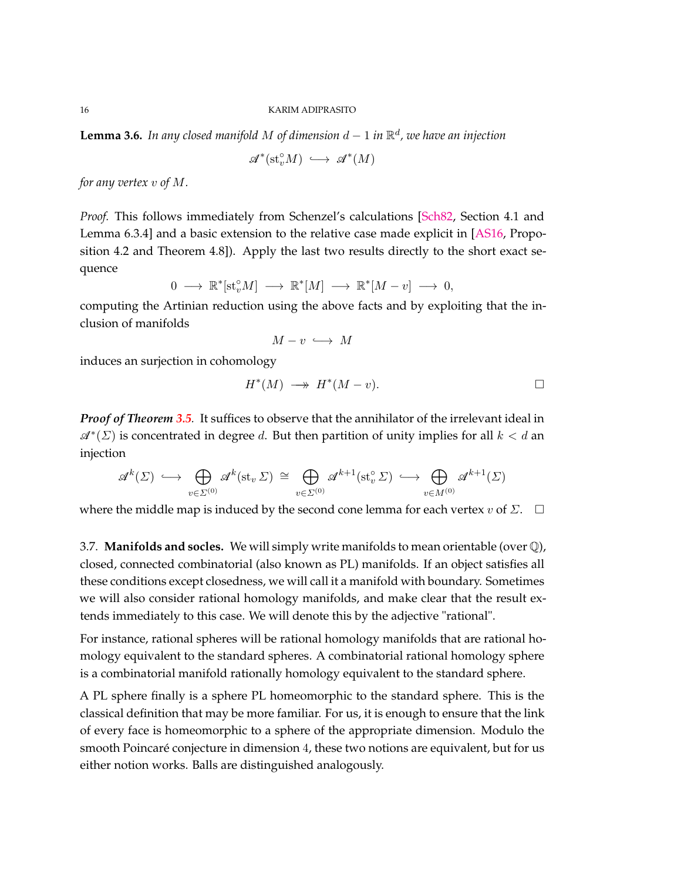<span id="page-15-0"></span>**Lemma 3.6.** *In any closed manifold M of dimension d* − 1 *in* R *d , we have an injection*

 $\mathscr{A}^*(\mathrm{st}_v^{\circ}M) \longrightarrow \mathscr{A}^*(M)$ 

*for any vertex v of M.*

*Proof.* This follows immediately from Schenzel's calculations [\[Sch82,](#page-74-13) Section 4.1 and Lemma 6.3.4] and a basic extension to the relative case made explicit in [\[AS16,](#page-71-9) Proposition 4.2 and Theorem 4.8]). Apply the last two results directly to the short exact sequence

$$
0\;\longrightarrow\;\mathbb{R}^*[\mathrm{st}_v^{\circ}M]\;\longrightarrow\;\mathbb{R}^*[M]\;\longrightarrow\;\mathbb{R}^*[M-v]\;\longrightarrow\;0,
$$

computing the Artinian reduction using the above facts and by exploiting that the inclusion of manifolds

$$
M-v\;\longrightarrow\; M
$$

induces an surjection in cohomology

$$
H^*(M) \longrightarrow H^*(M-v).
$$

*Proof of Theorem [3.5](#page-14-1).* It suffices to observe that the annihilator of the irrelevant ideal in A<sup>∗</sup> (*Σ*) is concentrated in degree *d*. But then partition of unity implies for all *k < d* an injection

$$
\mathcal{A}^k(\Sigma) \hookrightarrow \bigoplus_{v \in \Sigma^{(0)}} \mathcal{A}^k(\mathrm{st}_v \Sigma) \cong \bigoplus_{v \in \Sigma^{(0)}} \mathcal{A}^{k+1}(\mathrm{st}_v^{\circ} \Sigma) \hookrightarrow \bigoplus_{v \in M^{(0)}} \mathcal{A}^{k+1}(\Sigma)
$$

where the middle map is induced by the second cone lemma for each vertex *v* of  $\Sigma$ .  $\square$ 

3.7. **Manifolds and socles.** We will simply write manifolds to mean orientable (over  $\mathbb{Q}$ ), closed, connected combinatorial (also known as PL) manifolds. If an object satisfies all these conditions except closedness, we will call it a manifold with boundary. Sometimes we will also consider rational homology manifolds, and make clear that the result extends immediately to this case. We will denote this by the adjective "rational".

For instance, rational spheres will be rational homology manifolds that are rational homology equivalent to the standard spheres. A combinatorial rational homology sphere is a combinatorial manifold rationally homology equivalent to the standard sphere.

A PL sphere finally is a sphere PL homeomorphic to the standard sphere. This is the classical definition that may be more familiar. For us, it is enough to ensure that the link of every face is homeomorphic to a sphere of the appropriate dimension. Modulo the smooth Poincaré conjecture in dimension 4, these two notions are equivalent, but for us either notion works. Balls are distinguished analogously.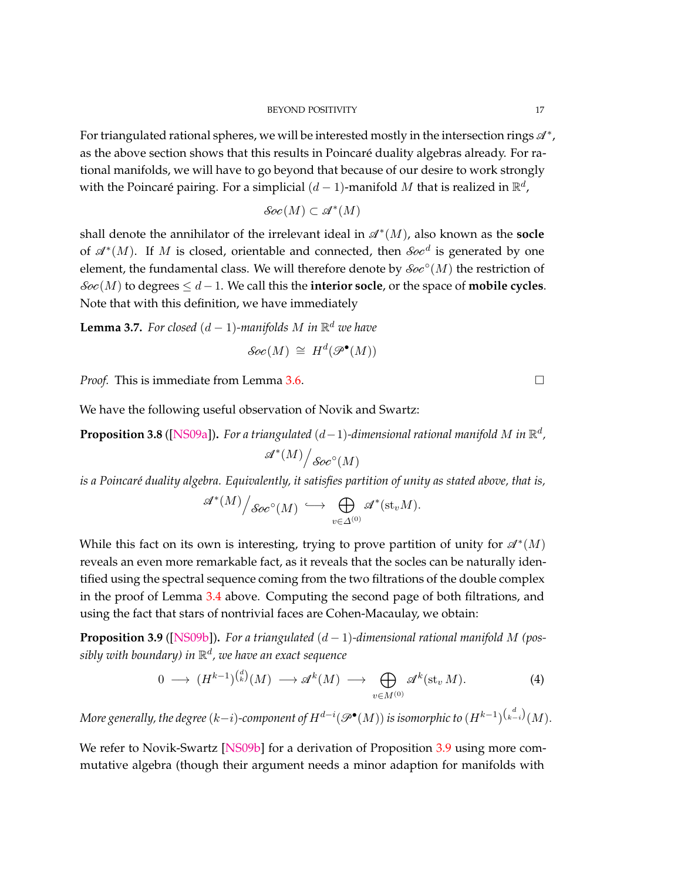For triangulated rational spheres, we will be interested mostly in the intersection rings  $\mathscr{A}^*$ , as the above section shows that this results in Poincaré duality algebras already. For rational manifolds, we will have to go beyond that because of our desire to work strongly with the Poincaré pairing. For a simplicial  $(d-1)$ -manifold  $M$  that is realized in  $\mathbb{R}^d$ ,

$$
\mathcal{S}oc(M) \subset \mathcal{A}^*(M)
$$

shall denote the annihilator of the irrelevant ideal in  $\mathscr{A}^*(M)$ , also known as the **socle** of  $\mathcal{A}^*(M)$ . If *M* is closed, orientable and connected, then *Soc*<sup>d</sup> is generated by one element, the fundamental class. We will therefore denote by  $\mathcal{S}oe^{\circ}(M)$  the restriction of  $\mathcal{S}oc(M)$  to degrees  $\leq d-1$ . We call this the **interior socle**, or the space of **mobile cycles**. Note that with this definition, we have immediately

<span id="page-16-3"></span>**Lemma 3.7.** For closed  $(d-1)$ -manifolds M in  $\mathbb{R}^d$  we have  $\mathcal{S}oc(M) \cong H^d(\mathcal{P}^{\bullet}(M))$ 

*Proof.* This is immediate from Lemma [3.6.](#page-15-0) □

We have the following useful observation of Novik and Swartz:

<span id="page-16-2"></span>**Proposition 3.8** ([\[NS09a\]](#page-73-12)). For a triangulated  $(d-1)$ -dimensional rational manifold M in  $\mathbb{R}^d$ ,  $\mathscr{A}^*(M)\Big/ \mathscr{S}oc^\circ(M)$ 

*is a Poincaré duality algebra. Equivalently, it satisfies partition of unity as stated above, that is,*

$$
\mathscr{A}^*(M)\Big/\mathscr{S}\!\mathscr{O}\!\mathscr{C}^{\circ}(M) \,\,\hookrightarrow \,\,\bigoplus_{v\in\varDelta^{(0)}}\mathscr{A}^*(\mathrm{st}_v M).
$$

While this fact on its own is interesting, trying to prove partition of unity for  $\mathcal{A}^*(M)$ reveals an even more remarkable fact, as it reveals that the socles can be naturally identified using the spectral sequence coming from the two filtrations of the double complex in the proof of Lemma [3.4](#page-13-0) above. Computing the second page of both filtrations, and using the fact that stars of nontrivial faces are Cohen-Macaulay, we obtain:

<span id="page-16-0"></span>**Proposition 3.9** ([\[NS09b\]](#page-73-13)). For a triangulated  $(d-1)$ -dimensional rational manifold M (pos*sibly with boundary) in* R *d , we have an exact sequence*

<span id="page-16-1"></span>
$$
0 \longrightarrow (H^{k-1})^{d \choose k} (M) \longrightarrow \mathscr{A}^k(M) \longrightarrow \bigoplus_{v \in M^{(0)}} \mathscr{A}^k(\mathrm{st}_v M). \tag{4}
$$

 $M$ ore generally, the degree  $(k-i)$ -component of  $H^{d-i}(\mathscr{P}^\bullet(M))$  is isomorphic to  $(H^{k-1})^{\binom{d}{k-i}}(M).$ 

We refer to Novik-Swartz [\[NS09b\]](#page-73-13) for a derivation of Proposition [3.9](#page-16-0) using more commutative algebra (though their argument needs a minor adaption for manifolds with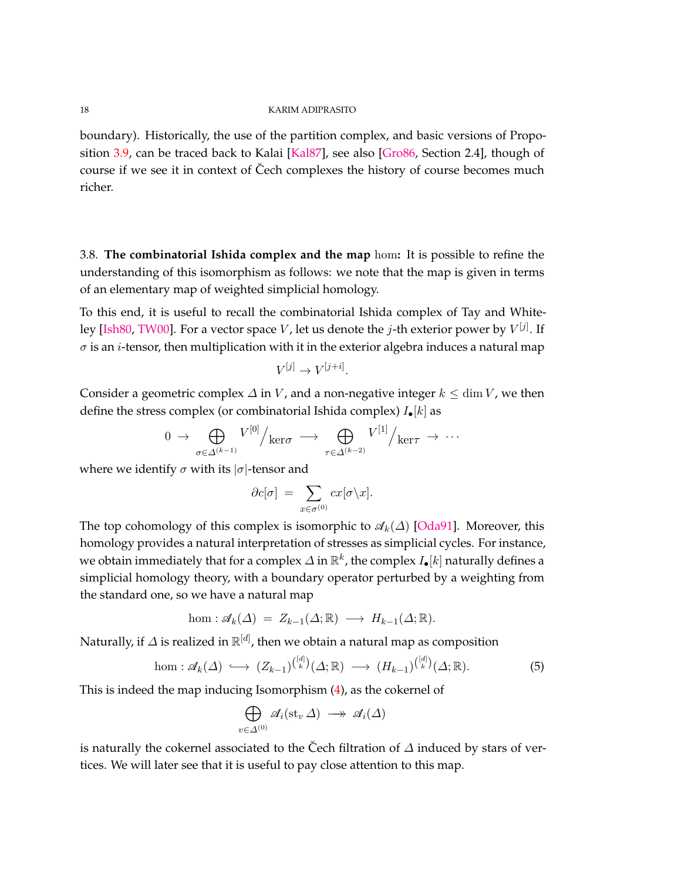boundary). Historically, the use of the partition complex, and basic versions of Proposition [3.9,](#page-16-0) can be traced back to Kalai [\[Kal87\]](#page-72-18), see also [\[Gro86,](#page-72-19) Section 2.4], though of course if we see it in context of Čech complexes the history of course becomes much richer.

<span id="page-17-0"></span>3.8. **The combinatorial Ishida complex and the map** hom**:** It is possible to refine the understanding of this isomorphism as follows: we note that the map is given in terms of an elementary map of weighted simplicial homology.

To this end, it is useful to recall the combinatorial Ishida complex of Tay and Whiteley [\[Ish80,](#page-72-20) [TW00\]](#page-74-14). For a vector space *V* , let us denote the *j*-th exterior power by *V* [*j*] . If  $\sigma$  is an *i*-tensor, then multiplication with it in the exterior algebra induces a natural map

$$
V^{[j]} \to V^{[j+i]}.
$$

Consider a geometric complex  $\Delta$  in *V*, and a non-negative integer  $k \le \dim V$ , we then define the stress complex (or combinatorial Ishida complex) *I*•[*k*] as

$$
0 \rightarrow \bigoplus_{\sigma \in \Delta^{(k-1)}} V^{[0]} / \ker \sigma \rightarrow \bigoplus_{\tau \in \Delta^{(k-2)}} V^{[1]} / \ker \tau \rightarrow \cdots
$$

where we identify  $\sigma$  with its  $|\sigma|$ -tensor and

$$
\partial c[\sigma] = \sum_{x \in \sigma^{(0)}} cx[\sigma \backslash x].
$$

The top cohomology of this complex is isomorphic to  $\mathcal{A}_k(\Delta)$  [\[Oda91\]](#page-73-11). Moreover, this homology provides a natural interpretation of stresses as simplicial cycles. For instance, we obtain immediately that for a complex *∆* in R *k* , the complex *I*•[*k*] naturally defines a simplicial homology theory, with a boundary operator perturbed by a weighting from the standard one, so we have a natural map

$$
\text{hom}: \mathscr{A}_k(\Delta) = Z_{k-1}(\Delta; \mathbb{R}) \longrightarrow H_{k-1}(\Delta; \mathbb{R}).
$$

Naturally, if *∆* is realized in  $\mathbb{R}^{[d]}$ , then we obtain a natural map as composition

hom: 
$$
\mathscr{A}_k(\Delta) \hookrightarrow (Z_{k-1})^{\binom{[d]}{k}}(\Delta; \mathbb{R}) \longrightarrow (H_{k-1})^{\binom{[d]}{k}}(\Delta; \mathbb{R}).
$$
 (5)

This is indeed the map inducing Isomorphism [\(4\)](#page-16-1), as the cokernel of

$$
\bigoplus_{v \in \Delta^{(0)}} \mathscr{A}_i(\mathrm{st}_v \,\Delta) \longrightarrow \mathscr{A}_i(\Delta)
$$

is naturally the cokernel associated to the Čech filtration of  $\Delta$  induced by stars of vertices. We will later see that it is useful to pay close attention to this map.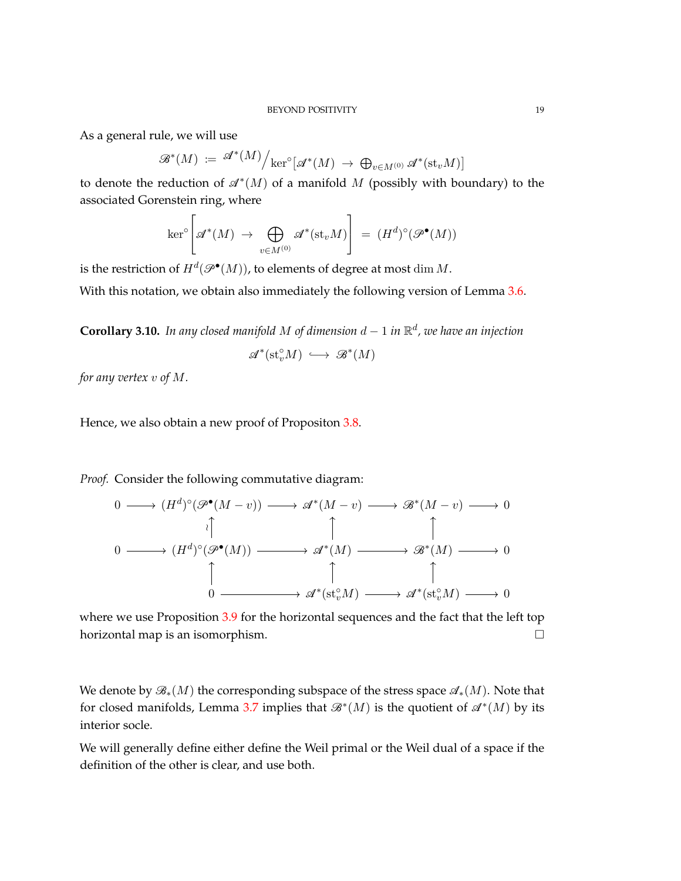As a general rule, we will use

$$
\mathscr{B}^*(M) \;:=\; \mathscr{A}^*(M) \Big/ \text{ker}^{\circ}\big[ \mathscr{A}^*(M) \; \to \; \bigoplus_{v \in M^{(0)}} \mathscr{A}^*(\text{st}_v M) \big]
$$

to denote the reduction of  $\mathscr{A}^*(M)$  of a manifold M (possibly with boundary) to the associated Gorenstein ring, where

$$
\ker^{\circ}\left[\mathscr{A}^*(M) \rightarrow \bigoplus_{v \in M^{(0)}} \mathscr{A}^*(\mathrm{st}_v M)\right] = (H^d)^{\circ}(\mathscr{P}^{\bullet}(M))
$$

is the restriction of  $H^d({\mathscr P}^{\bullet}(M))$ , to elements of degree at most  $\dim M$ .

With this notation, we obtain also immediately the following version of Lemma [3.6.](#page-15-0)

**Corollary 3.10.** *In any closed manifold M of dimension d* − 1 *in* R *d , we have an injection*

$$
\mathscr{A}^*(\mathrm{st}_v^{\circ}M) \,\,\hookrightarrow\,\, \mathscr{B}^*(M)
$$

*for any vertex v of M.*

Hence, we also obtain a new proof of Propositon [3.8.](#page-16-2)

*Proof.* Consider the following commutative diagram:

$$
0 \longrightarrow (H^{d})^{\circ}(\mathscr{P}^{\bullet}(M-v)) \longrightarrow \mathscr{A}^{*}(M-v) \longrightarrow \mathscr{B}^{*}(M-v) \longrightarrow 0
$$
  
\n
$$
0 \longrightarrow (H^{d})^{\circ}(\mathscr{P}^{\bullet}(M)) \longrightarrow \mathscr{A}^{*}(M) \longrightarrow \mathscr{B}^{*}(M) \longrightarrow 0
$$
  
\n
$$
\uparrow \qquad \qquad \uparrow \qquad \qquad \uparrow
$$
  
\n
$$
0 \longrightarrow \mathscr{A}^{*}(\mathrm{st}_{v}^{\circ}M) \longrightarrow \mathscr{A}^{*}(\mathrm{st}_{v}^{\circ}M) \longrightarrow 0
$$

where we use Proposition [3.9](#page-16-0) for the horizontal sequences and the fact that the left top horizontal map is an isomorphism.  $\square$ 

We denote by B∗(*M*) the corresponding subspace of the stress space A∗(*M*). Note that for closed manifolds, Lemma [3.7](#page-16-3) implies that  $\mathcal{B}^*(M)$  is the quotient of  $\mathcal{A}^*(M)$  by its interior socle.

We will generally define either define the Weil primal or the Weil dual of a space if the definition of the other is clear, and use both.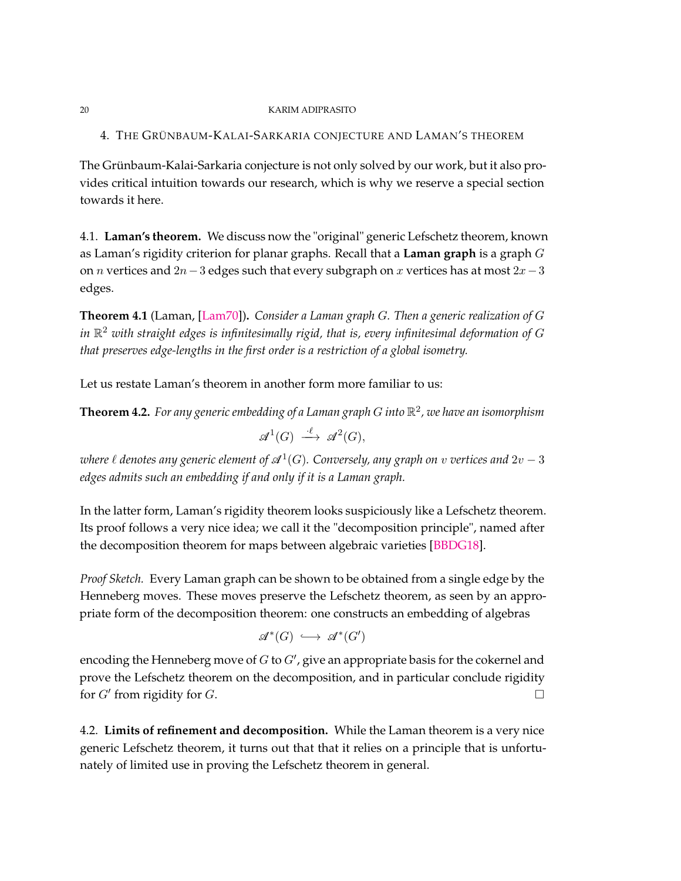<span id="page-19-1"></span>4. THE GRÜNBAUM-KALAI-SARKARIA CONJECTURE AND LAMAN'S THEOREM

The Grünbaum-Kalai-Sarkaria conjecture is not only solved by our work, but it also provides critical intuition towards our research, which is why we reserve a special section towards it here.

4.1. **Laman's theorem.** We discuss now the "original" generic Lefschetz theorem, known as Laman's rigidity criterion for planar graphs. Recall that a **Laman graph** is a graph *G* on *n* vertices and 2*n*−3 edges such that every subgraph on *x* vertices has at most 2*x*−3 edges.

**Theorem 4.1** (Laman, [\[Lam70\]](#page-73-14))**.** *Consider a Laman graph G. Then a generic realization of G* in  $\mathbb{R}^2$  with straight edges is infinitesimally rigid, that is, every infinitesimal deformation of  $G$ *that preserves edge-lengths in the first order is a restriction of a global isometry.*

Let us restate Laman's theorem in another form more familiar to us:

**Theorem 4.2.** *For any generic embedding of a Laman graph G into* R 2 *, we have an isomorphism*

 $\mathscr{A}^1(G) \stackrel{\cdot \ell}{\longrightarrow} \mathscr{A}^2(G),$ 

 $\omega$ here  $\ell$  denotes any generic element of  $\mathscr{A}^1(G)$ . Conversely, any graph on  $v$  vertices and  $2v-3$ *edges admits such an embedding if and only if it is a Laman graph.*

In the latter form, Laman's rigidity theorem looks suspiciously like a Lefschetz theorem. Its proof follows a very nice idea; we call it the "decomposition principle", named after the decomposition theorem for maps between algebraic varieties [\[BBDG18\]](#page-71-1).

*Proof Sketch.* Every Laman graph can be shown to be obtained from a single edge by the Henneberg moves. These moves preserve the Lefschetz theorem, as seen by an appropriate form of the decomposition theorem: one constructs an embedding of algebras

$$
\mathscr{A}^*(G) \,\,\hookrightarrow\,\, \mathscr{A}^*(G')
$$

encoding the Henneberg move of  $G$  to  $G'$ , give an appropriate basis for the cokernel and prove the Lefschetz theorem on the decomposition, and in particular conclude rigidity for  $G'$  from rigidity for  $G$ .

<span id="page-19-0"></span>4.2. **Limits of refinement and decomposition.** While the Laman theorem is a very nice generic Lefschetz theorem, it turns out that that it relies on a principle that is unfortunately of limited use in proving the Lefschetz theorem in general.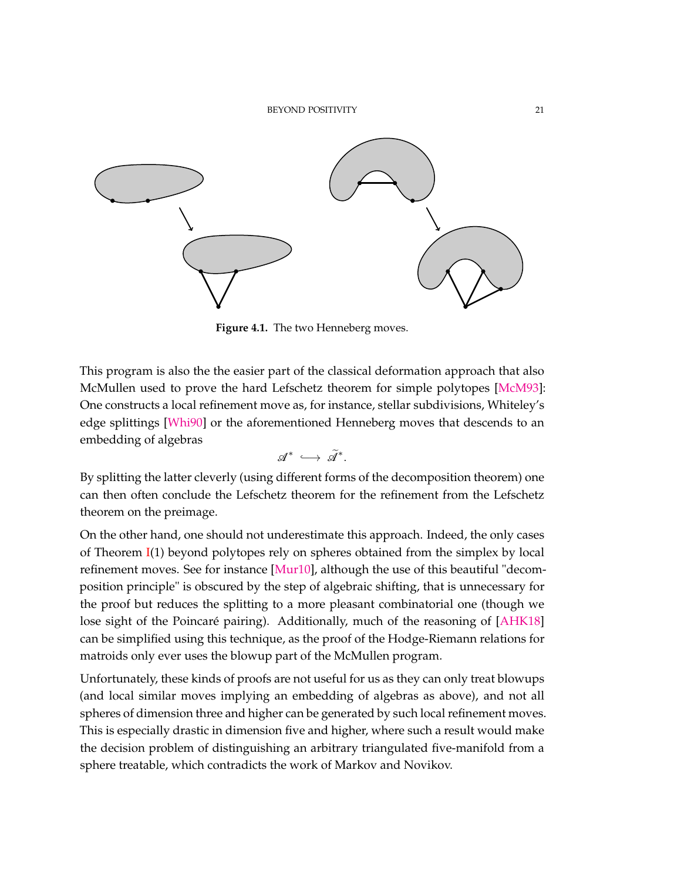

**Figure 4.1.** The two Henneberg moves.

This program is also the the easier part of the classical deformation approach that also McMullen used to prove the hard Lefschetz theorem for simple polytopes [\[McM93\]](#page-73-2): One constructs a local refinement move as, for instance, stellar subdivisions, Whiteley's edge splittings [\[Whi90\]](#page-74-15) or the aforementioned Henneberg moves that descends to an embedding of algebras

$$
\mathscr{A}^* \; \hookrightarrow \; \widetilde{\mathscr{A}}^*.
$$

By splitting the latter cleverly (using different forms of the decomposition theorem) one can then often conclude the Lefschetz theorem for the refinement from the Lefschetz theorem on the preimage.

On the other hand, one should not underestimate this approach. Indeed, the only cases of Theorem [I\(](#page-1-0)1) beyond polytopes rely on spheres obtained from the simplex by local refinement moves. See for instance [\[Mur10\]](#page-73-15), although the use of this beautiful "decomposition principle" is obscured by the step of algebraic shifting, that is unnecessary for the proof but reduces the splitting to a more pleasant combinatorial one (though we lose sight of the Poincaré pairing). Additionally, much of the reasoning of [\[AHK18\]](#page-71-10) can be simplified using this technique, as the proof of the Hodge-Riemann relations for matroids only ever uses the blowup part of the McMullen program.

Unfortunately, these kinds of proofs are not useful for us as they can only treat blowups (and local similar moves implying an embedding of algebras as above), and not all spheres of dimension three and higher can be generated by such local refinement moves. This is especially drastic in dimension five and higher, where such a result would make the decision problem of distinguishing an arbitrary triangulated five-manifold from a sphere treatable, which contradicts the work of Markov and Novikov.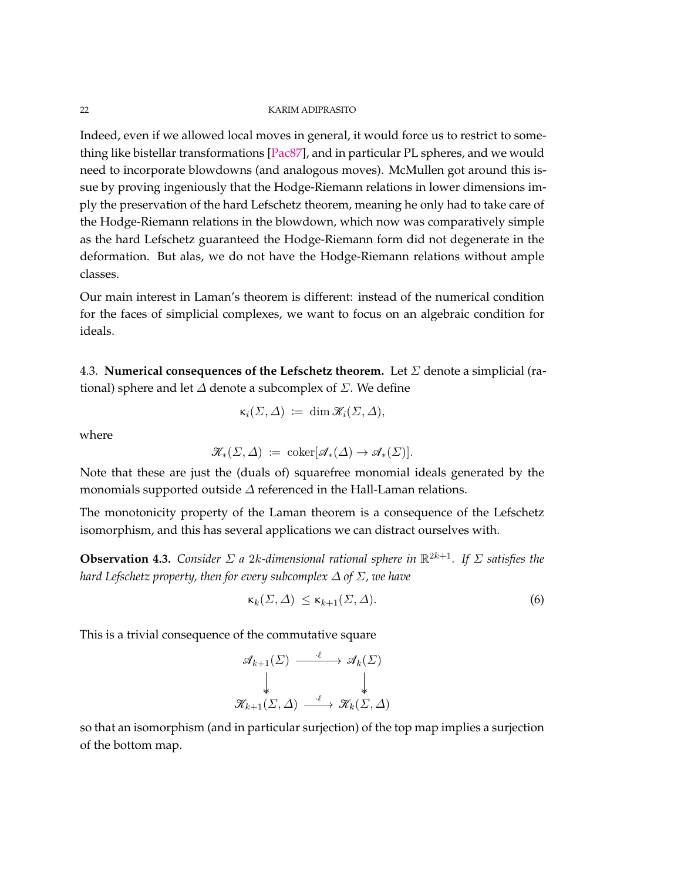Indeed, even if we allowed local moves in general, it would force us to restrict to something like bistellar transformations [\[Pac87\]](#page-74-16), and in particular PL spheres, and we would need to incorporate blowdowns (and analogous moves). McMullen got around this issue by proving ingeniously that the Hodge-Riemann relations in lower dimensions imply the preservation of the hard Lefschetz theorem, meaning he only had to take care of the Hodge-Riemann relations in the blowdown, which now was comparatively simple as the hard Lefschetz guaranteed the Hodge-Riemann form did not degenerate in the deformation. But alas, we do not have the Hodge-Riemann relations without ample classes.

Our main interest in Laman's theorem is different: instead of the numerical condition for the faces of simplicial complexes, we want to focus on an algebraic condition for ideals.

4.3. **Numerical consequences of the Lefschetz theorem.** Let *Σ* denote a simplicial (rational) sphere and let *∆* denote a subcomplex of *Σ*. We define

$$
\kappa_i(\Sigma,\Delta) \;:=\; \dim \mathscr{K}_i(\Sigma,\Delta),
$$

where

$$
\mathscr{K}_{*}(\Sigma, \Delta) \coloneqq \mathrm{coker}[\mathscr{A}_{*}(\Delta) \to \mathscr{A}_{*}(\Sigma)].
$$

Note that these are just the (duals of) squarefree monomial ideals generated by the monomials supported outside *∆* referenced in the Hall-Laman relations.

The monotonicity property of the Laman theorem is a consequence of the Lefschetz isomorphism, and this has several applications we can distract ourselves with.

<span id="page-21-2"></span>**Observation 4.3.** *Consider*  $\Sigma$  *a* 2*k*-dimensional rational sphere in  $\mathbb{R}^{2k+1}$ . If  $\Sigma$  satisfies the *hard Lefschetz property, then for every subcomplex ∆ of Σ, we have*

<span id="page-21-1"></span>
$$
\kappa_k(\Sigma, \Delta) \le \kappa_{k+1}(\Sigma, \Delta). \tag{6}
$$

This is a trivial consequence of the commutative square

$$
\mathscr{A}_{k+1}(\Sigma) \xrightarrow{\cdot \ell} \mathscr{A}_k(\Sigma) \downarrow \qquad \qquad \downarrow \mathscr{K}_{k+1}(\Sigma, \Delta) \xrightarrow{\cdot \ell} \mathscr{K}_k(\Sigma, \Delta)
$$

<span id="page-21-0"></span>so that an isomorphism (and in particular surjection) of the top map implies a surjection of the bottom map.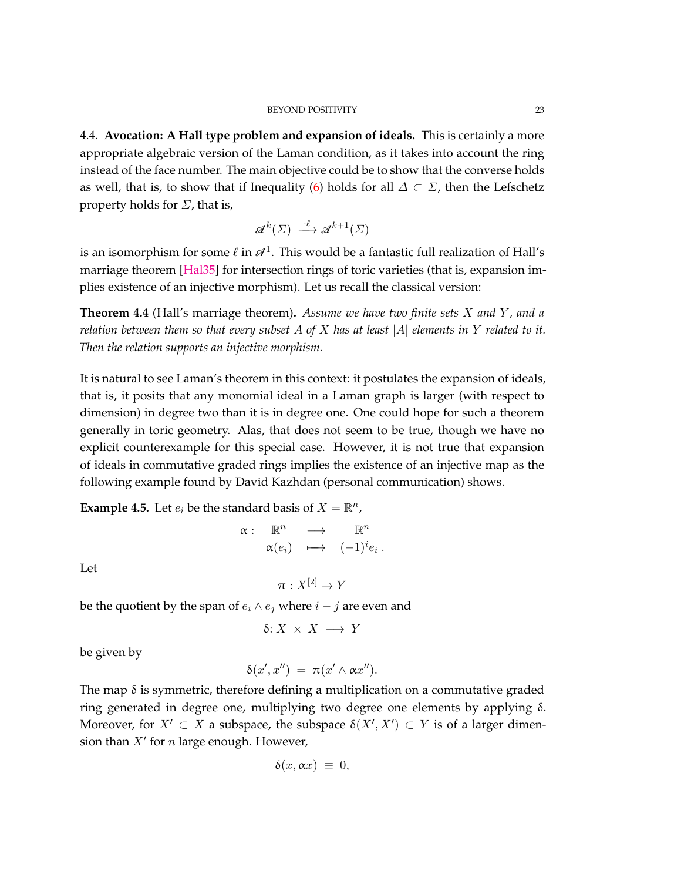4.4. **Avocation: A Hall type problem and expansion of ideals.** This is certainly a more appropriate algebraic version of the Laman condition, as it takes into account the ring instead of the face number. The main objective could be to show that the converse holds as well, that is, to show that if Inequality [\(6\)](#page-21-1) holds for all  $\Delta \subset \Sigma$ , then the Lefschetz property holds for *Σ*, that is,

$$
\mathcal{A}^k(\Sigma) \xrightarrow{\cdot \ell} \mathcal{A}^{k+1}(\Sigma)
$$

is an isomorphism for some  $\ell$  in  $\mathscr{A}^1.$  This would be a fantastic full realization of Hall's marriage theorem [\[Hal35\]](#page-72-21) for intersection rings of toric varieties (that is, expansion implies existence of an injective morphism). Let us recall the classical version:

**Theorem 4.4** (Hall's marriage theorem)**.** *Assume we have two finite sets X and Y , and a relation between them so that every subset A of X has at least* |*A*| *elements in Y related to it. Then the relation supports an injective morphism.*

It is natural to see Laman's theorem in this context: it postulates the expansion of ideals, that is, it posits that any monomial ideal in a Laman graph is larger (with respect to dimension) in degree two than it is in degree one. One could hope for such a theorem generally in toric geometry. Alas, that does not seem to be true, though we have no explicit counterexample for this special case. However, it is not true that expansion of ideals in commutative graded rings implies the existence of an injective map as the following example found by David Kazhdan (personal communication) shows.

**Example 4.5.** Let  $e_i$  be the standard basis of  $X = \mathbb{R}^n$ ,

$$
\begin{array}{rccc}\n\alpha: & \mathbb{R}^n & \longrightarrow & \mathbb{R}^n \\
& \alpha(e_i) & \longmapsto & (-1)^i e_i \,.\n\end{array}
$$

Let

$$
\pi:X^{[2]}\to Y
$$

be the quotient by the span of  $e_i \wedge e_j$  where  $i - j$  are even and

$$
\delta\!:\!X\,\times\,X\,\longrightarrow\,Y
$$

be given by

$$
\delta(x',x'') = \pi(x' \wedge \alpha x'').
$$

The map  $\delta$  is symmetric, therefore defining a multiplication on a commutative graded ring generated in degree one, multiplying two degree one elements by applying δ. Moreover, for  $X' \subset X$  a subspace, the subspace  $\delta(X', X') \subset Y$  is of a larger dimension than  $X'$  for  $n$  large enough. However,

$$
\delta(x,\alpha x) \ \equiv \ 0,
$$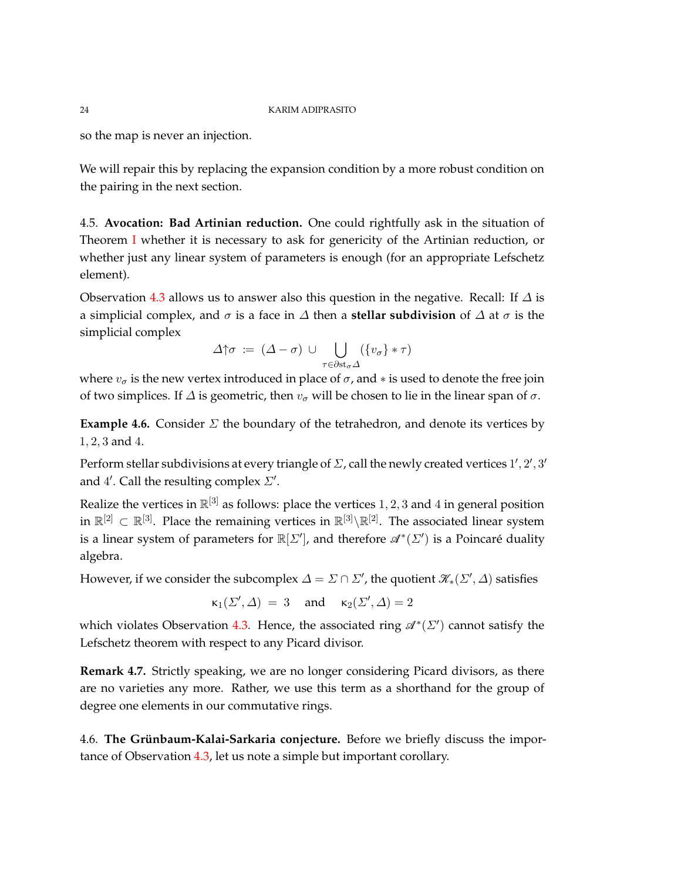so the map is never an injection.

We will repair this by replacing the expansion condition by a more robust condition on the pairing in the next section.

4.5. **Avocation: Bad Artinian reduction.** One could rightfully ask in the situation of Theorem [I](#page-1-0) whether it is necessary to ask for genericity of the Artinian reduction, or whether just any linear system of parameters is enough (for an appropriate Lefschetz element).

Observation [4.3](#page-21-2) allows us to answer also this question in the negative. Recall: If *∆* is a simplicial complex, and *σ* is a face in *∆* then a **stellar subdivision** of *∆* at *σ* is the simplicial complex

$$
\varDelta\!\!\uparrow\!\!\sigma\; \coloneqq\; (\varDelta-\sigma)\;\cup\;\bigcup_{\tau\in\partial\mathrm{st}_\sigma\varDelta}(\{v_\sigma\}\ast\tau)
$$

where  $v_{\sigma}$  is the new vertex introduced in place of  $\sigma$ , and  $*$  is used to denote the free join of two simplices. If *∆* is geometric, then *v<sup>σ</sup>* will be chosen to lie in the linear span of *σ*.

**Example 4.6.** Consider  $\Sigma$  the boundary of the tetrahedron, and denote its vertices by 1*,* 2*,* 3 and 4.

Perform stellar subdivisions at every triangle of  $\Sigma$ , call the newly created vertices  $1', 2', 3'$ and 4'. Call the resulting complex *Σ'*.

Realize the vertices in  $\mathbb{R}^{[3]}$  as follows: place the vertices  $1,2,3$  and  $4$  in general position in  $\mathbb{R}^{[2]} \subset \mathbb{R}^{[3]}$ . Place the remaining vertices in  $\mathbb{R}^{[3]}\backslash \mathbb{R}^{[2]}$ . The associated linear system is a linear system of parameters for  $\mathbb{R}[\Sigma']$ , and therefore  $\mathscr{A}^*(\Sigma')$  is a Poincaré duality algebra.

However, if we consider the subcomplex  $\varDelta = \varSigma \cap \varSigma'$ , the quotient  $\mathscr{K}_*(\varSigma', \varDelta)$  satisfies

$$
\kappa_1(\varSigma',\varDelta) \ = \ 3 \quad \hbox{ and } \quad \kappa_2(\varSigma',\varDelta) = 2
$$

which violates Observation [4.3.](#page-21-2) Hence, the associated ring  $\mathcal{A}^*(\Sigma')$  cannot satisfy the Lefschetz theorem with respect to any Picard divisor.

**Remark 4.7.** Strictly speaking, we are no longer considering Picard divisors, as there are no varieties any more. Rather, we use this term as a shorthand for the group of degree one elements in our commutative rings.

<span id="page-23-0"></span>4.6. **The Grünbaum-Kalai-Sarkaria conjecture.** Before we briefly discuss the importance of Observation [4.3,](#page-21-2) let us note a simple but important corollary.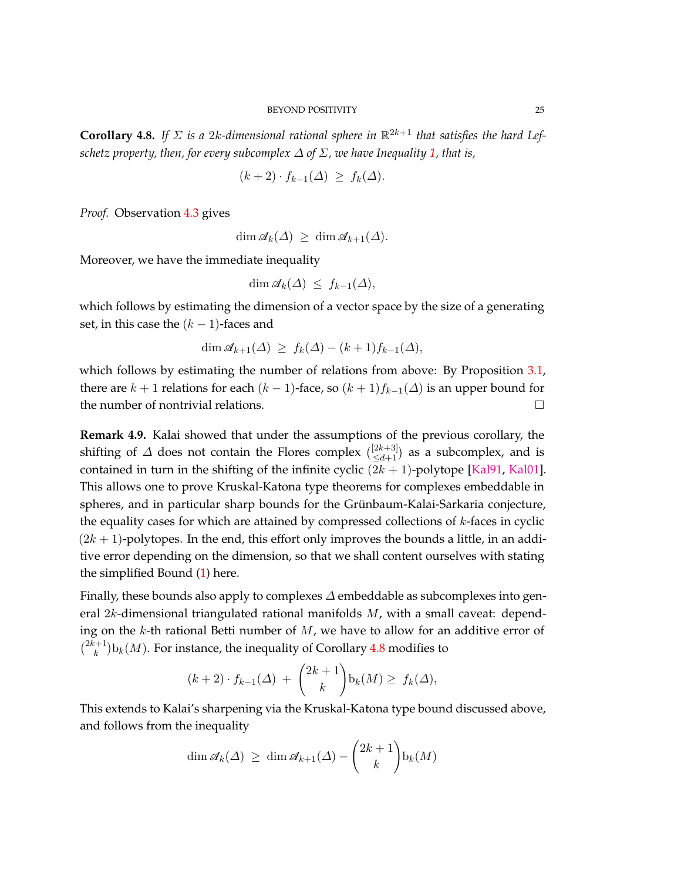<span id="page-24-1"></span>**Corollary 4.8.** If  $\Sigma$  is a 2*k*-dimensional rational sphere in  $\mathbb{R}^{2k+1}$  that satisfies the hard Lef*schetz property, then, for every subcomplex*  $\Delta$  *of*  $\Sigma$ *, we have Inequality* [1,](#page-6-0) *that is,* 

$$
(k+2)\cdot f_{k-1}(\Delta) \ge f_k(\Delta).
$$

*Proof.* Observation [4.3](#page-21-2) gives

 $\dim \mathscr{A}_k(\Delta) \geq \dim \mathscr{A}_{k+1}(\Delta)$ .

Moreover, we have the immediate inequality

$$
\dim \mathscr{A}_k(\Delta) \leq f_{k-1}(\Delta),
$$

which follows by estimating the dimension of a vector space by the size of a generating set, in this case the  $(k - 1)$ -faces and

$$
\dim \mathcal{A}_{k+1}(\Delta) \ge f_k(\Delta) - (k+1)f_{k-1}(\Delta),
$$

which follows by estimating the number of relations from above: By Proposition [3.1,](#page-12-0) there are  $k + 1$  relations for each  $(k - 1)$ -face, so  $(k + 1)f_{k-1}(\Delta)$  is an upper bound for the number of nontrivial relations.

<span id="page-24-0"></span>**Remark 4.9.** Kalai showed that under the assumptions of the previous corollary, the shifting of  $\varDelta$  does not contain the Flores complex  $\binom{[2k+3]}{\le d+1}$  as a subcomplex, and is contained in turn in the shifting of the infinite cyclic  $(2k + 1)$ -polytope [\[Kal91,](#page-72-4) [Kal01\]](#page-73-8). This allows one to prove Kruskal-Katona type theorems for complexes embeddable in spheres, and in particular sharp bounds for the Grünbaum-Kalai-Sarkaria conjecture, the equality cases for which are attained by compressed collections of *k*-faces in cyclic  $(2k + 1)$ -polytopes. In the end, this effort only improves the bounds a little, in an additive error depending on the dimension, so that we shall content ourselves with stating the simplified Bound [\(1\)](#page-6-0) here.

Finally, these bounds also apply to complexes *∆* embeddable as subcomplexes into general 2*k*-dimensional triangulated rational manifolds *M*, with a small caveat: depending on the *k*-th rational Betti number of *M*, we have to allow for an additive error of  $\binom{2k+1}{k}$  $(k_k^{t+1})$   $\mathbf{b}_k(M)$ . For instance, the inequality of Corollary [4.8](#page-24-1) modifies to

$$
(k+2)\cdot f_{k-1}(\Delta) + \binom{2k+1}{k} \mathbf{b}_k(M) \ge f_k(\Delta),
$$

This extends to Kalai's sharpening via the Kruskal-Katona type bound discussed above, and follows from the inequality

$$
\dim \mathscr{A}_k(\Delta) \ge \dim \mathscr{A}_{k+1}(\Delta) - {2k+1 \choose k} \mathbf{b}_k(M)
$$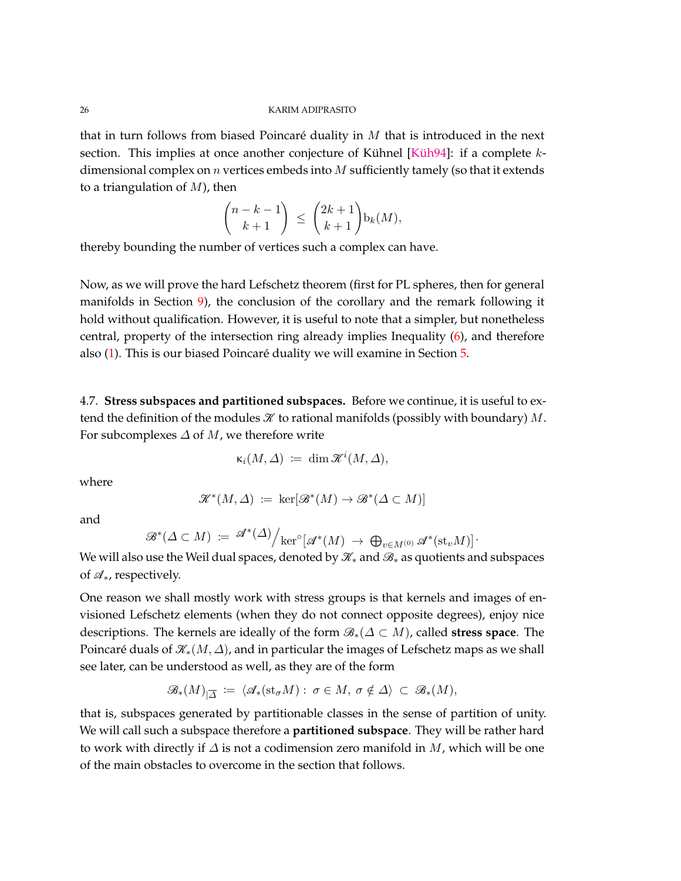that in turn follows from biased Poincaré duality in *M* that is introduced in the next section. This implies at once another conjecture of Kühnel [\[Küh94\]](#page-73-16): if a complete *k*dimensional complex on *n* vertices embeds into *M* sufficiently tamely (so that it extends to a triangulation of *M*), then

$$
\binom{n-k-1}{k+1} \le \binom{2k+1}{k+1} \mathbf{b}_k(M),
$$

thereby bounding the number of vertices such a complex can have.

Now, as we will prove the hard Lefschetz theorem (first for PL spheres, then for general manifolds in Section [9\)](#page-67-0), the conclusion of the corollary and the remark following it hold without qualification. However, it is useful to note that a simpler, but nonetheless central, property of the intersection ring already implies Inequality [\(6\)](#page-21-1), and therefore also [\(1\)](#page-6-0). This is our biased Poincaré duality we will examine in Section [5.](#page-26-0)

4.7. **Stress subspaces and partitioned subspaces.** Before we continue, it is useful to extend the definition of the modules  $\mathcal K$  to rational manifolds (possibly with boundary)  $M$ . For subcomplexes *∆* of *M*, we therefore write

$$
\kappa_i(M,\Delta) \; := \; \dim \mathcal{K}^i(M,\Delta),
$$

where

$$
\mathcal{K}^*(M,\Delta) \coloneqq \ker[\mathcal{B}^*(M) \to \mathcal{B}^*(\Delta \subset M)]
$$

and

$$
\mathscr{B}^*(\Delta \subset M) \coloneqq \mathscr{A}^*(\Delta) / \ker^{\circ}[\mathscr{A}^*(M) \to \bigoplus_{v \in M^{(0)}} \mathscr{A}^*(\mathrm{st}_v M)]
$$

*.*

We will also use the Weil dual spaces, denoted by  $\mathcal{K}_*$  and  $\mathcal{B}_*$  as quotients and subspaces of A∗, respectively.

One reason we shall mostly work with stress groups is that kernels and images of envisioned Lefschetz elements (when they do not connect opposite degrees), enjoy nice descriptions. The kernels are ideally of the form B∗(*∆* ⊂ *M*), called **stress space**. The Poincaré duals of  $\mathcal{K}_*(M,\Delta)$ , and in particular the images of Lefschetz maps as we shall see later, can be understood as well, as they are of the form

$$
\mathscr{B}_*(M)_{|\overline{\Delta}} := \langle \mathscr{A}_*(\mathrm{st}_{\sigma} M) : \sigma \in M, \sigma \notin \Delta \rangle \subset \mathscr{B}_*(M),
$$

that is, subspaces generated by partitionable classes in the sense of partition of unity. We will call such a subspace therefore a **partitioned subspace**. They will be rather hard to work with directly if *∆* is not a codimension zero manifold in *M*, which will be one of the main obstacles to overcome in the section that follows.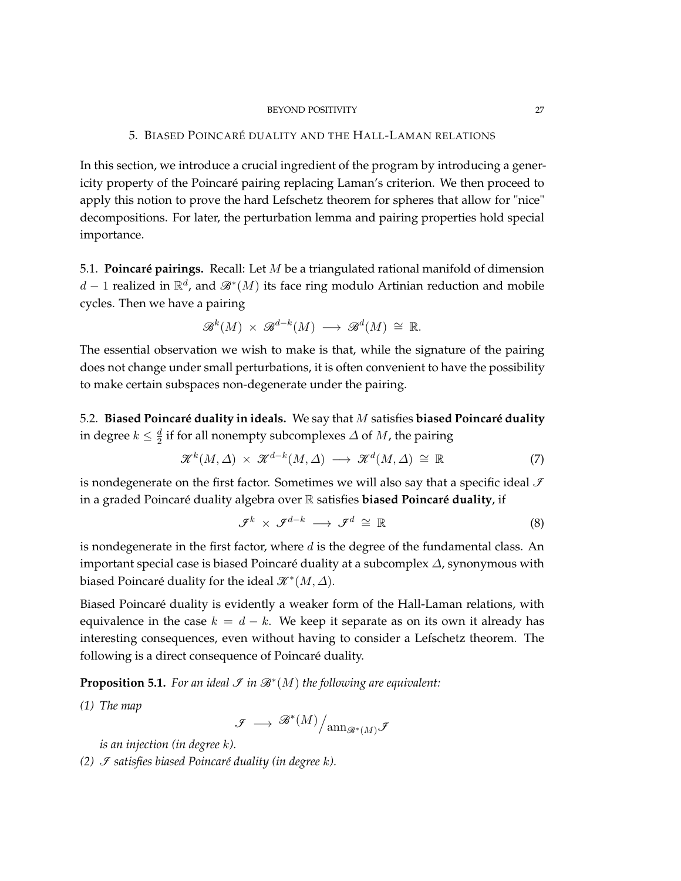#### BEYOND POSITIVITY 27

## 5. BIASED POINCARÉ DUALITY AND THE HALL-LAMAN RELATIONS

<span id="page-26-0"></span>In this section, we introduce a crucial ingredient of the program by introducing a genericity property of the Poincaré pairing replacing Laman's criterion. We then proceed to apply this notion to prove the hard Lefschetz theorem for spheres that allow for "nice" decompositions. For later, the perturbation lemma and pairing properties hold special importance.

5.1. **Poincaré pairings.** Recall: Let *M* be a triangulated rational manifold of dimension *d* − 1 realized in  $\mathbb{R}^d$ , and  $\mathscr{B}^*(M)$  its face ring modulo Artinian reduction and mobile cycles. Then we have a pairing

$$
\mathcal{B}^k(M) \times \mathcal{B}^{d-k}(M) \longrightarrow \mathcal{B}^d(M) \cong \mathbb{R}.
$$

The essential observation we wish to make is that, while the signature of the pairing does not change under small perturbations, it is often convenient to have the possibility to make certain subspaces non-degenerate under the pairing.

5.2. **Biased Poincaré duality in ideals.** We say that *M* satisfies **biased Poincaré duality** in degree  $k \leq \frac{d}{2}$ 2 if for all nonempty subcomplexes *∆* of *M*, the pairing

$$
\mathcal{K}^k(M,\Delta) \times \mathcal{K}^{d-k}(M,\Delta) \longrightarrow \mathcal{K}^d(M,\Delta) \cong \mathbb{R} \tag{7}
$$

is nondegenerate on the first factor. Sometimes we will also say that a specific ideal  $\mathcal I$ in a graded Poincaré duality algebra over R satisfies **biased Poincaré duality**, if

$$
\mathcal{F}^k \times \mathcal{F}^{d-k} \longrightarrow \mathcal{F}^d \cong \mathbb{R} \tag{8}
$$

is nondegenerate in the first factor, where *d* is the degree of the fundamental class. An important special case is biased Poincaré duality at a subcomplex *∆*, synonymous with biased Poincaré duality for the ideal  $\mathscr{K}^*(M, \Delta)$ .

Biased Poincaré duality is evidently a weaker form of the Hall-Laman relations, with equivalence in the case  $k = d - k$ . We keep it separate as on its own it already has interesting consequences, even without having to consider a Lefschetz theorem. The following is a direct consequence of Poincaré duality.

**Proposition 5.1.** For an ideal  $\mathcal{F}$  in  $\mathcal{B}^*(M)$  the following are equivalent:

*(1) The map*

$$
\mathscr{F}\,\longrightarrow\,\mathscr{B}^*(M)\Big/\mathrm{ann}_{\mathscr{B}^*(M)}\mathscr{F}
$$

*is an injection (in degree k).*

*(2) <i>J* satisfies biased Poincaré duality (in degree k).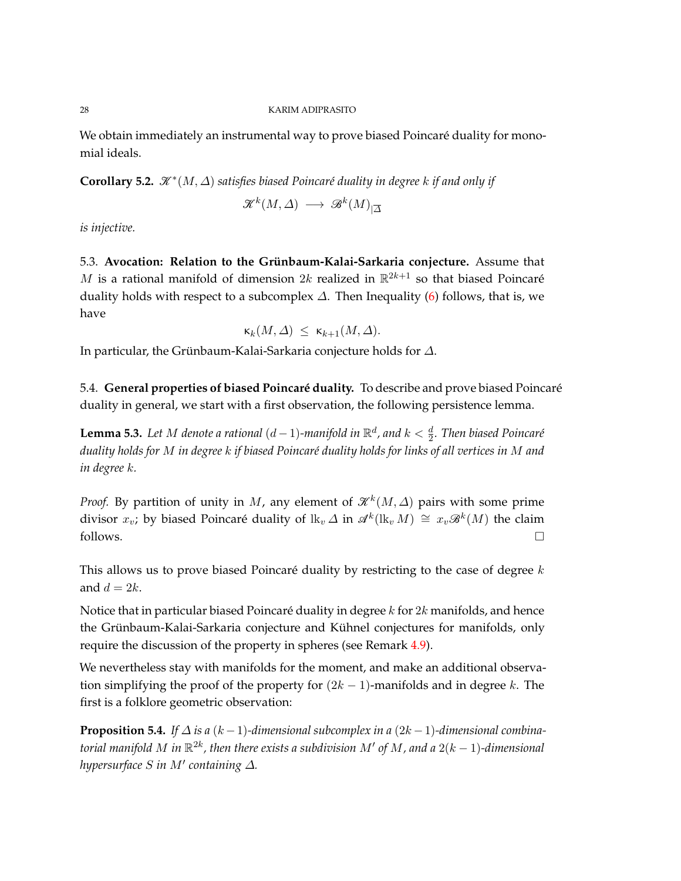We obtain immediately an instrumental way to prove biased Poincaré duality for monomial ideals.

<span id="page-27-0"></span>Corollary 5.2.  $\mathcal{K}^*(M, \Delta)$  satisfies biased Poincaré duality in degree *k* if and only if

$$
\mathcal{K}^k(M,\varDelta)\ \longrightarrow\ \mathcal{B}^k(M)_{|\overline{\varDelta}}
$$

*is injective.*

5.3. **Avocation: Relation to the Grünbaum-Kalai-Sarkaria conjecture.** Assume that *M* is a rational manifold of dimension  $2k$  realized in  $\mathbb{R}^{2k+1}$  so that biased Poincaré duality holds with respect to a subcomplex  $\Delta$ . Then Inequality [\(6\)](#page-21-1) follows, that is, we have

$$
\kappa_k(M,\Delta) \ \leq \ \kappa_{k+1}(M,\Delta).
$$

In particular, the Grünbaum-Kalai-Sarkaria conjecture holds for *∆*.

5.4. **General properties of biased Poincaré duality.** To describe and prove biased Poincaré duality in general, we start with a first observation, the following persistence lemma.

**Lemma 5.3.** Let M denote a rational  $(d-1)$ -manifold in  $\mathbb{R}^d$ , and  $k < \frac{d}{2}$ . Then biased Poincaré *duality holds for M in degree k if biased Poincaré duality holds for links of all vertices in M and in degree k.*

*Proof.* By partition of unity in *M*, any element of  $\mathcal{K}^{k}(M, \Delta)$  pairs with some prime divisor  $x_v$ ; by biased Poincaré duality of lk<sub>v</sub>  $\varDelta$  in  $\mathscr{A}^k(\mathrm{lk}_v\,M) \,\cong\, x_v\mathscr{B}^k(M)$  the claim follows.  $\Box$ 

This allows us to prove biased Poincaré duality by restricting to the case of degree *k* and  $d = 2k$ .

Notice that in particular biased Poincaré duality in degree *k* for 2*k* manifolds, and hence the Grünbaum-Kalai-Sarkaria conjecture and Kühnel conjectures for manifolds, only require the discussion of the property in spheres (see Remark [4.9\)](#page-24-0).

We nevertheless stay with manifolds for the moment, and make an additional observation simplifying the proof of the property for (2*k* − 1)-manifolds and in degree *k*. The first is a folklore geometric observation:

<span id="page-27-1"></span>**Proposition 5.4.** *If*  $\Delta$  *is a* ( $k-1$ )-dimensional subcomplex in a ( $2k-1$ )-dimensional combina $t$ orial manifold  $M$  in  $\mathbb{R}^{2k}$ , then there exists a subdivision  $M'$  of  $M$ , and a  $2(k-1)$ -dimensional *hypersurface S in M*<sup>0</sup> *containing ∆.*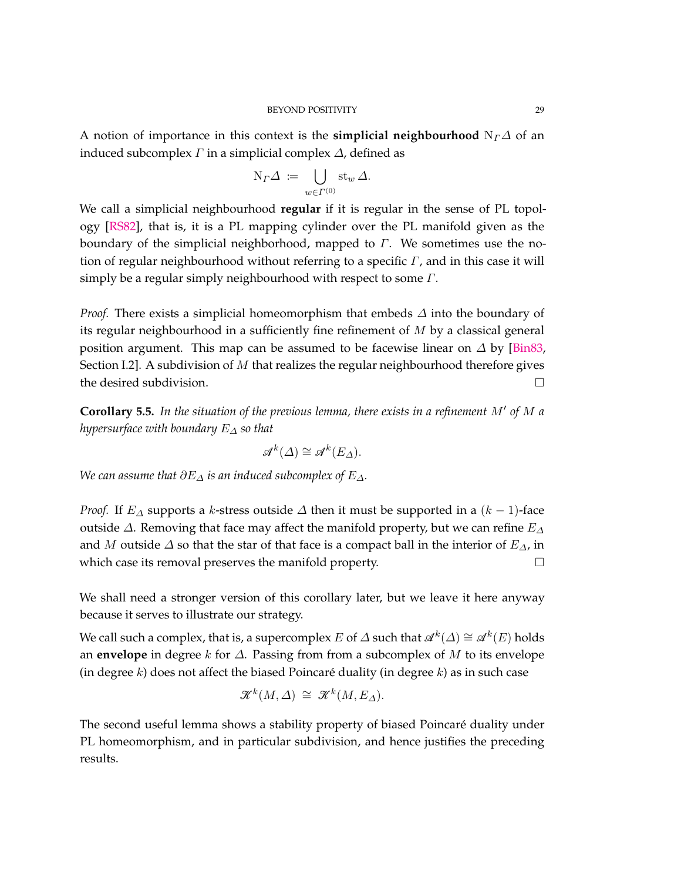A notion of importance in this context is the **simplicial neighbourhood**  $N_f\Delta$  of an induced subcomplex *Γ* in a simplicial complex *∆*, defined as

$$
N_{\varGamma} \varDelta \, := \, \bigcup_{w \in \varGamma^{(0)}} \operatorname{st}_w \varDelta.
$$

We call a simplicial neighbourhood **regular** if it is regular in the sense of PL topology [\[RS82\]](#page-74-17), that is, it is a PL mapping cylinder over the PL manifold given as the boundary of the simplicial neighborhood, mapped to *Γ*. We sometimes use the notion of regular neighbourhood without referring to a specific *Γ*, and in this case it will simply be a regular simply neighbourhood with respect to some *Γ*.

*Proof.* There exists a simplicial homeomorphism that embeds  $\Delta$  into the boundary of its regular neighbourhood in a sufficiently fine refinement of *M* by a classical general position argument. This map can be assumed to be facewise linear on *∆* by [\[Bin83,](#page-71-11) Section I.2]. A subdivision of *M* that realizes the regular neighbourhood therefore gives the desired subdivision.

<span id="page-28-0"></span>**Corollary 5.5.** In the situation of the previous lemma, there exists in a refinement M' of M a *hypersurface with boundary E<sup>∆</sup> so that*

$$
\mathscr{A}^k(\varDelta) \cong \mathscr{A}^k(E_\varDelta).
$$

*We can assume that ∂E<sup>∆</sup> is an induced subcomplex of E∆.*

*Proof.* If  $E_\Delta$  supports a *k*-stress outside  $\Delta$  then it must be supported in a ( $k-1$ )-face outside *∆*. Removing that face may affect the manifold property, but we can refine *E<sup>∆</sup>* and *M* outside *∆* so that the star of that face is a compact ball in the interior of *E∆*, in which case its removal preserves the manifold property.

We shall need a stronger version of this corollary later, but we leave it here anyway because it serves to illustrate our strategy.

We call such a complex, that is, a supercomplex  $E$  of  $\varDelta$  such that  $\mathscr{A}^k(\varDelta) \cong \mathscr{A}^k(E)$  holds an **envelope** in degree *k* for *∆*. Passing from from a subcomplex of *M* to its envelope (in degree *k*) does not affect the biased Poincaré duality (in degree *k*) as in such case

$$
\mathcal{K}^k(M,\Delta) \cong \mathcal{K}^k(M,E_\Delta).
$$

The second useful lemma shows a stability property of biased Poincaré duality under PL homeomorphism, and in particular subdivision, and hence justifies the preceding results.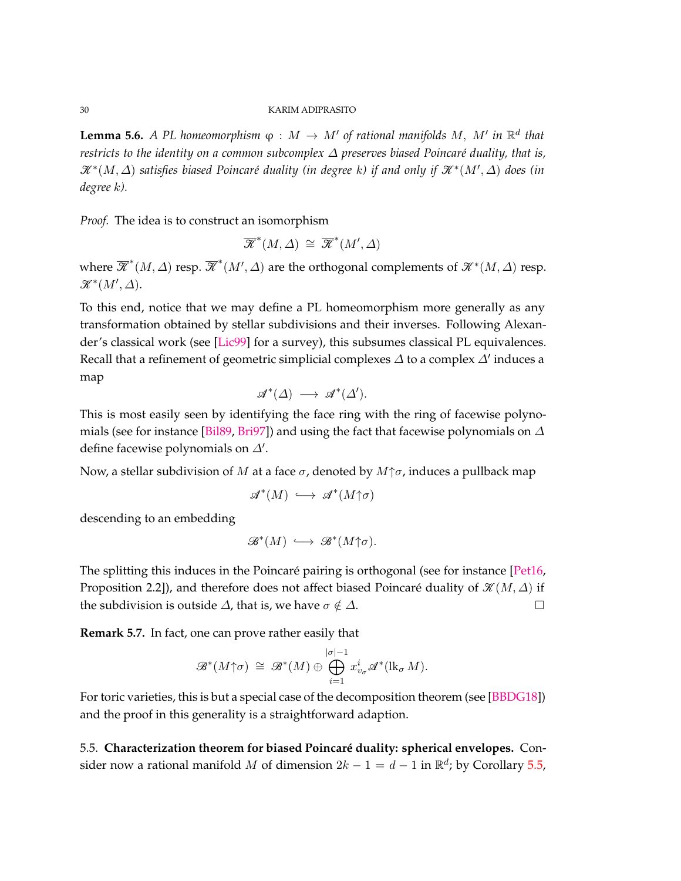**Lemma 5.6.** *A PL homeomorphism*  $\varphi : M \to M'$  *of rational manifolds M, M' in*  $\mathbb{R}^d$  *that restricts to the identity on a common subcomplex ∆ preserves biased Poincaré duality, that is,*  $\mathscr{K}^*(M, \Delta)$  satisfies biased Poincaré duality (in degree k) if and only if  $\mathscr{K}^*(M', \Delta)$  does (in *degree k).*

*Proof.* The idea is to construct an isomorphism

$$
\overline{\mathscr{K}}^*(M,\varDelta) \cong \overline{\mathscr{K}}^*(M',\varDelta)
$$

where  $\overline{\mathscr{K}}^*(M, \Delta)$  resp.  $\overline{\mathscr{K}}^*(M', \Delta)$  are the orthogonal complements of  $\mathscr{K}^*(M, \Delta)$  resp.  $\mathscr{K}^*(M', \Delta)$ .

To this end, notice that we may define a PL homeomorphism more generally as any transformation obtained by stellar subdivisions and their inverses. Following Alexander's classical work (see [\[Lic99\]](#page-73-17) for a survey), this subsumes classical PL equivalences. Recall that a refinement of geometric simplicial complexes  $\varDelta$  to a complex  $\varDelta'$  induces a map

$$
\mathscr{A}^*(\Delta) \longrightarrow \mathscr{A}^*(\Delta').
$$

This is most easily seen by identifying the face ring with the ring of facewise polynomials (see for instance [\[Bil89,](#page-71-12) [Bri97\]](#page-71-13)) and using the fact that facewise polynomials on *∆* define facewise polynomials on  $\Delta'$ .

Now, a stellar subdivision of *M* at a face *σ*, denoted by *M*↑*σ*, induces a pullback map

$$
\mathscr{A}^*(M) \,\,\hookrightarrow\,\, \mathscr{A}^*(M\!\!\uparrow\!\!\sigma)
$$

descending to an embedding

$$
\mathcal{B}^*(M) \ \hookrightarrow \ \mathcal{B}^*(M \uparrow \sigma).
$$

The splitting this induces in the Poincaré pairing is orthogonal (see for instance [\[Pet16,](#page-74-18) Proposition 2.2]), and therefore does not affect biased Poincaré duality of  $\mathcal{K}(M,\Delta)$  if the subdivision is outside  $\Delta$ , that is, we have  $\sigma \notin \Delta$ .

**Remark 5.7.** In fact, one can prove rather easily that

$$
\mathcal{B}^*(M\!\!\uparrow\!\!\sigma) \cong \mathcal{B}^*(M) \oplus \bigoplus_{i=1}^{|\sigma|-1} x_{v_\sigma}^i \mathcal{A}^*(\mathrm{lk}_\sigma M).
$$

For toric varieties, this is but a special case of the decomposition theorem (see [\[BBDG18\]](#page-71-1)) and the proof in this generality is a straightforward adaption.

5.5. **Characterization theorem for biased Poincaré duality: spherical envelopes.** Consider now a rational manifold M of dimension  $2k - 1 = d - 1$  in  $\mathbb{R}^d$ ; by Corollary [5.5,](#page-28-0)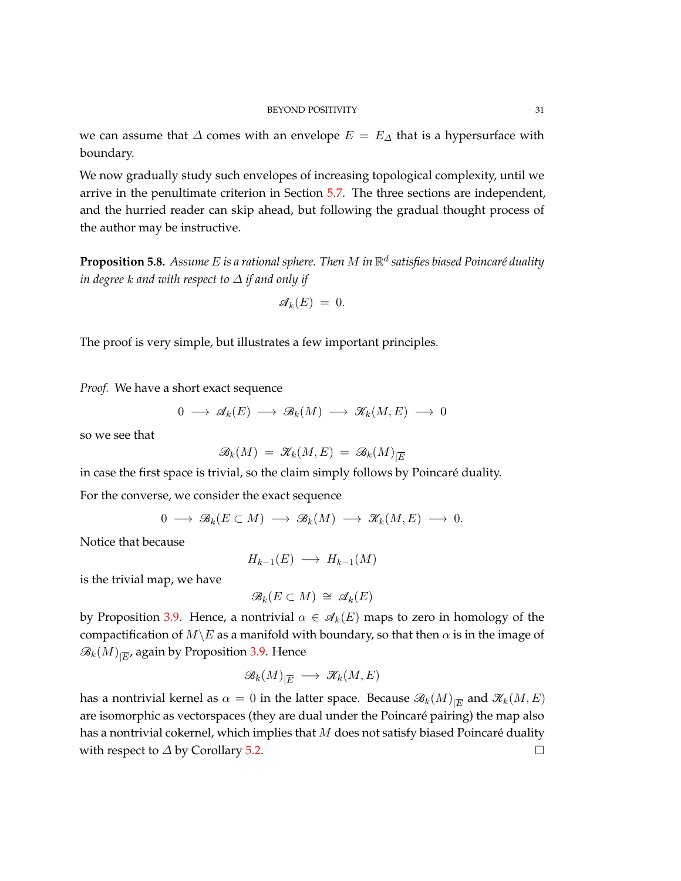we can assume that  $\Delta$  comes with an envelope  $E = E_{\Delta}$  that is a hypersurface with boundary.

We now gradually study such envelopes of increasing topological complexity, until we arrive in the penultimate criterion in Section [5.7.](#page-33-0) The three sections are independent, and the hurried reader can skip ahead, but following the gradual thought process of the author may be instructive.

**Proposition 5.8.** *Assume E is a rational sphere. Then M in* R *d satisfies biased Poincaré duality in degree k and with respect to ∆ if and only if*

$$
\mathscr{A}_k(E) = 0.
$$

The proof is very simple, but illustrates a few important principles.

*Proof.* We have a short exact sequence

$$
0 \longrightarrow \mathscr{A}_k(E) \longrightarrow \mathscr{B}_k(M) \longrightarrow \mathscr{K}_k(M,E) \longrightarrow 0
$$

so we see that

$$
\mathscr{B}_k(M) \;=\; \mathscr{K}_k(M,E) \;=\; \mathscr{B}_k(M)_{|\overline{E}}
$$

in case the first space is trivial, so the claim simply follows by Poincaré duality. For the converse, we consider the exact sequence

$$
0 \longrightarrow \mathcal{B}_k(E \subset M) \longrightarrow \mathcal{B}_k(M) \longrightarrow \mathcal{K}_k(M,E) \longrightarrow 0.
$$

Notice that because

$$
H_{k-1}(E) \longrightarrow H_{k-1}(M)
$$

is the trivial map, we have

$$
\mathcal{B}_k(E \subset M) \cong \mathcal{A}_k(E)
$$

by Proposition [3.9.](#page-16-0) Hence, a nontrivial  $\alpha \in \mathcal{A}_k(E)$  maps to zero in homology of the compactification of  $M\&$  as a manifold with boundary, so that then  $\alpha$  is in the image of  $\mathscr{B}_k(M)_{|\overline{E}'}$  again by Proposition [3.9.](#page-16-0) Hence

$$
\mathscr{B}_k(M)_{|\overline{E}} \, \longrightarrow \, \mathscr{K}_k(M,E)
$$

has a nontrivial kernel as  $\alpha = 0$  in the latter space. Because  $\mathscr{B}_k(M)_{\vert \overline{E}}$  and  $\mathscr{K}_k(M,E)$ are isomorphic as vectorspaces (they are dual under the Poincaré pairing) the map also has a nontrivial cokernel, which implies that *M* does not satisfy biased Poincaré duality with respect to *∆* by Corollary [5.2.](#page-27-0)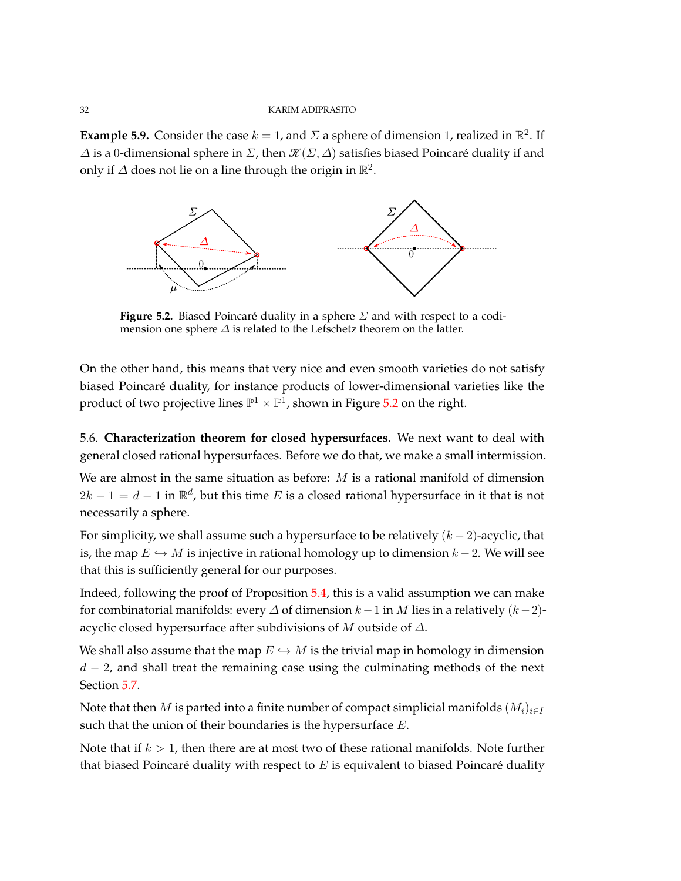<span id="page-31-0"></span>**Example 5.9.** Consider the case  $k = 1$ , and  $\Sigma$  a sphere of dimension 1, realized in  $\mathbb{R}^2$ . If  $\Delta$  is a 0-dimensional sphere in  $\Sigma$ , then  $\mathcal{K}(\Sigma,\Delta)$  satisfies biased Poincaré duality if and only if  $\Delta$  does not lie on a line through the origin in  $\mathbb{R}^2$ .

<span id="page-31-1"></span>

**Figure 5.2.** Biased Poincaré duality in a sphere *Σ* and with respect to a codimension one sphere *∆* is related to the Lefschetz theorem on the latter.

On the other hand, this means that very nice and even smooth varieties do not satisfy biased Poincaré duality, for instance products of lower-dimensional varieties like the product of two projective lines  $\mathbb{P}^1\times \mathbb{P}^1$ , shown in Figure [5.2](#page-31-1) on the right.

5.6. **Characterization theorem for closed hypersurfaces.** We next want to deal with general closed rational hypersurfaces. Before we do that, we make a small intermission.

We are almost in the same situation as before: *M* is a rational manifold of dimension  $2k - 1 = d - 1$  in  $\mathbb{R}^d$ , but this time *E* is a closed rational hypersurface in it that is not necessarily a sphere.

For simplicity, we shall assume such a hypersurface to be relatively (*k* − 2)-acyclic, that is, the map  $E \hookrightarrow M$  is injective in rational homology up to dimension  $k-2$ . We will see that this is sufficiently general for our purposes.

Indeed, following the proof of Proposition [5.4,](#page-27-1) this is a valid assumption we can make for combinatorial manifolds: every  $\Delta$  of dimension  $k-1$  in  $M$  lies in a relatively  $(k-2)$ acyclic closed hypersurface after subdivisions of *M* outside of *∆*.

We shall also assume that the map  $E \hookrightarrow M$  is the trivial map in homology in dimension *d* − 2, and shall treat the remaining case using the culminating methods of the next Section [5.7.](#page-33-0)

Note that then *M* is parted into a finite number of compact simplicial manifolds  $(M_i)_{i \in I}$ such that the union of their boundaries is the hypersurface *E*.

Note that if *k >* 1, then there are at most two of these rational manifolds. Note further that biased Poincaré duality with respect to *E* is equivalent to biased Poincaré duality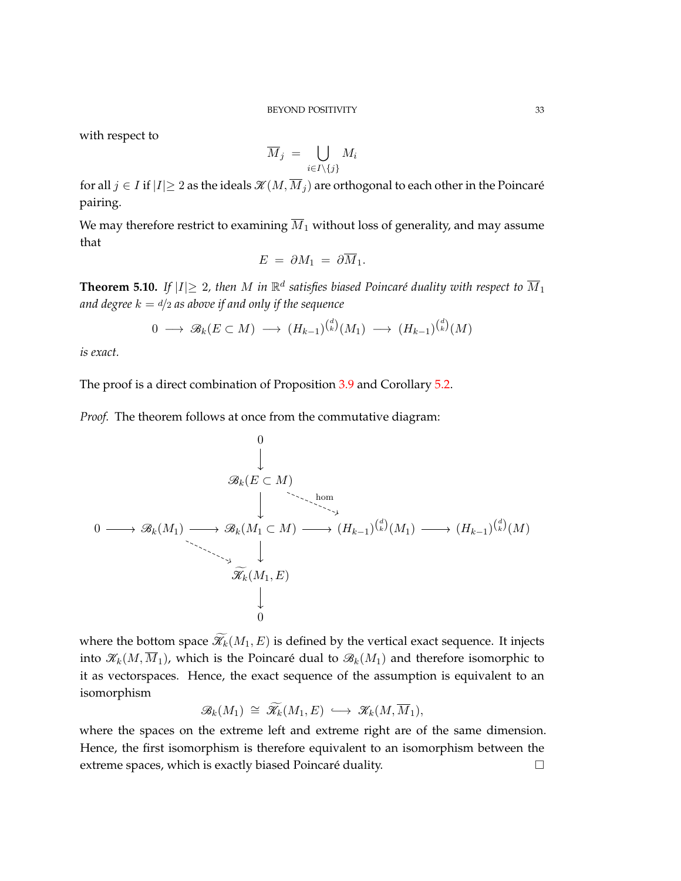with respect to

$$
\overline{M}_j \ = \ \bigcup_{i \in I \setminus \{j\}} M_i
$$

for all  $j \in I$  if  $|I|\geq 2$  as the ideals  $\mathcal{K}(M, \overline{M}_j)$  are orthogonal to each other in the Poincaré pairing.

We may therefore restrict to examining  $\overline{M}_1$  without loss of generality, and may assume that

$$
E = \partial M_1 = \partial \overline{M}_1.
$$

**Theorem 5.10.** If  $|I| \geq 2$ , then M in  $\mathbb{R}^d$  satisfies biased Poincaré duality with respect to  $\overline{M}_1$ *and degree*  $k = d/2$  *as above if and only if the sequence* 

$$
0 \longrightarrow \mathcal{B}_k(E \subset M) \longrightarrow (H_{k-1})^{d \choose k} (M_1) \longrightarrow (H_{k-1})^{d \choose k} (M)
$$

*is exact.*

The proof is a direct combination of Proposition [3.9](#page-16-0) and Corollary [5.2.](#page-27-0)

*Proof.* The theorem follows at once from the commutative diagram:

0 B*k*(*E* ⊂ *M*) 0 B*k*(*M*1) B*k*(*M*<sup>1</sup> ⊂ *M*) (*Hk*−1) ( *d k* ) (*M*1) (*Hk*−1) ( *d k* ) (*M*) Kf*k*(*M*1*, E*) 0 hom

where the bottom space  $\widetilde{\mathcal{H}}_k(M_1, E)$  is defined by the vertical exact sequence. It injects into  $\mathcal{K}_k(M, \overline{M}_1)$ , which is the Poincaré dual to  $\mathcal{B}_k(M_1)$  and therefore isomorphic to it as vectorspaces. Hence, the exact sequence of the assumption is equivalent to an isomorphism

$$
\mathcal{B}_k(M_1) \cong \widetilde{\mathcal{K}}_k(M_1,E) \hookrightarrow \mathcal{K}_k(M,\overline{M}_1),
$$

where the spaces on the extreme left and extreme right are of the same dimension. Hence, the first isomorphism is therefore equivalent to an isomorphism between the extreme spaces, which is exactly biased Poincaré duality.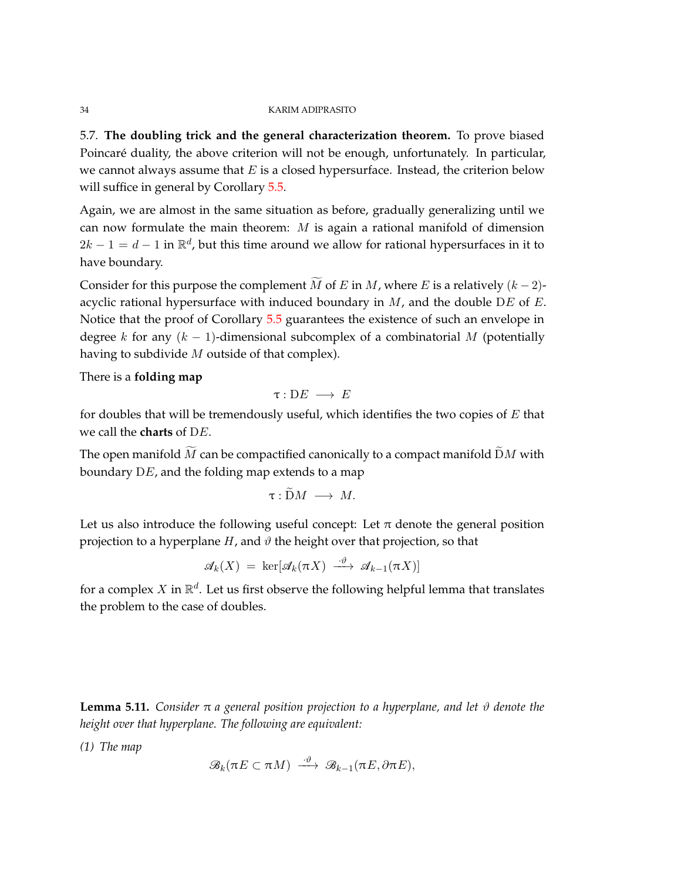<span id="page-33-0"></span>5.7. **The doubling trick and the general characterization theorem.** To prove biased Poincaré duality, the above criterion will not be enough, unfortunately. In particular, we cannot always assume that *E* is a closed hypersurface. Instead, the criterion below will suffice in general by Corollary [5.5.](#page-28-0)

Again, we are almost in the same situation as before, gradually generalizing until we can now formulate the main theorem: *M* is again a rational manifold of dimension  $2k - 1 = d - 1$  in  $\mathbb{R}^d$ , but this time around we allow for rational hypersurfaces in it to have boundary.

Consider for this purpose the complement  $\tilde{M}$  of *E* in  $M$ , where *E* is a relatively  $(k-2)$ acyclic rational hypersurface with induced boundary in *M*, and the double D*E* of *E*. Notice that the proof of Corollary [5.5](#page-28-0) guarantees the existence of such an envelope in degree *k* for any  $(k - 1)$ -dimensional subcomplex of a combinatorial *M* (potentially having to subdivide *M* outside of that complex).

There is a **folding map**

$$
\tau:DE\;\longrightarrow\;E
$$

for doubles that will be tremendously useful, which identifies the two copies of *E* that we call the **charts** of D*E*.

The open manifold  $\widetilde{M}$  can be compactified canonically to a compact manifold  $\widetilde{D}M$  with boundary D*E*, and the folding map extends to a map

$$
\tau: \widetilde{\mathrm{D}}M\ \longrightarrow\ M.
$$

Let us also introduce the following useful concept: Let  $\pi$  denote the general position projection to a hyperplane  $H$ , and  $\vartheta$  the height over that projection, so that

$$
\mathscr{A}_k(X) = \ker[\mathscr{A}_k(\pi X) \xrightarrow{\cdot \vartheta} \mathscr{A}_{k-1}(\pi X)]
$$

for a complex  $X$  in  $\mathbb{R}^d$ . Let us first observe the following helpful lemma that translates the problem to the case of doubles.

<span id="page-33-1"></span>**Lemma 5.11.** *Consider*  $π$  *a* general position projection to a hyperplane, and let  $\vartheta$  denote the *height over that hyperplane. The following are equivalent:*

*(1) The map*

$$
\mathscr{B}_k(\pi E \subset \pi M) \xrightarrow{\cdot \vartheta} \mathscr{B}_{k-1}(\pi E, \partial \pi E),
$$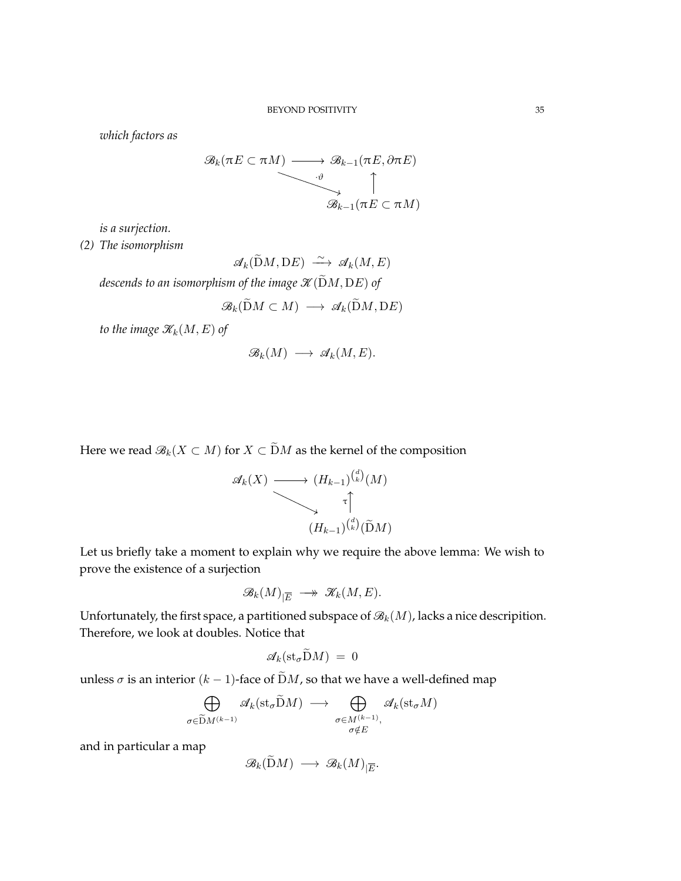*which factors as*

$$
\mathscr{B}_k(\pi E \subset \pi M) \longrightarrow \mathscr{B}_{k-1}(\pi E, \partial \pi E)
$$
  

$$
\downarrow \qquad \qquad \uparrow
$$
  

$$
\mathscr{B}_{k-1}(\pi E \subset \pi M)
$$

*is a surjection.*

*(2) The isomorphism*

 $\mathscr{A}_k(\widetilde{\mathrm{D}}M, \mathrm{D}E) \longrightarrow \mathscr{A}_k(M, E)$ 

*descends to an isomorphism of the image*  $\mathcal{K}(\widetilde{D}M, DE)$  *of* 

$$
\mathcal{B}_k(\tilde{\mathrm{D}}M \subset M) \longrightarrow \mathcal{A}_k(\tilde{\mathrm{D}}M, \mathrm{D}E)
$$

*to the image*  $\mathcal{K}_k(M, E)$  *of* 

$$
\mathcal{B}_k(M) \longrightarrow \mathcal{A}_k(M,E).
$$

Here we read  $\mathcal{B}_k(X \subset M)$  for  $X \subset \widetilde{D}M$  as the kernel of the composition

$$
\mathscr{A}_k(X) \longrightarrow (H_{k-1})^{d \choose k} (M)
$$
  

$$
\uparrow
$$
  

$$
(H_{k-1})^{d \choose k} (\widetilde{\mathbf{D}}M)
$$

*d*

Let us briefly take a moment to explain why we require the above lemma: We wish to prove the existence of a surjection

$$
\mathscr{B}_k(M)_{|\overline{E}} \longrightarrow \mathscr{K}_k(M,E).
$$

Unfortunately, the first space, a partitioned subspace of  $\mathcal{B}_k(M)$ , lacks a nice descripition. Therefore, we look at doubles. Notice that

$$
\mathcal{A}_k(\mathrm{st}_{\sigma} \mathrm{D} M) = 0
$$

unless  $\sigma$  is an interior ( $k - 1$ )-face of  $\tilde{D}M$ , so that we have a well-defined map

$$
\bigoplus_{\sigma \in \widetilde{\mathcal{D}}M^{(k-1)}} \mathscr{A}_k(\text{st}_{\sigma} \widetilde{\mathcal{D}}M) \longrightarrow \bigoplus_{\substack{\sigma \in M^{(k-1)}, \\ \sigma \notin E}} \mathscr{A}_k(\text{st}_{\sigma}M)
$$

and in particular a map

$$
\mathscr{B}_k(\widetilde{\mathrm{D}} M) \, \longrightarrow \, \mathscr{B}_k(M)_{|\overline{E}}.
$$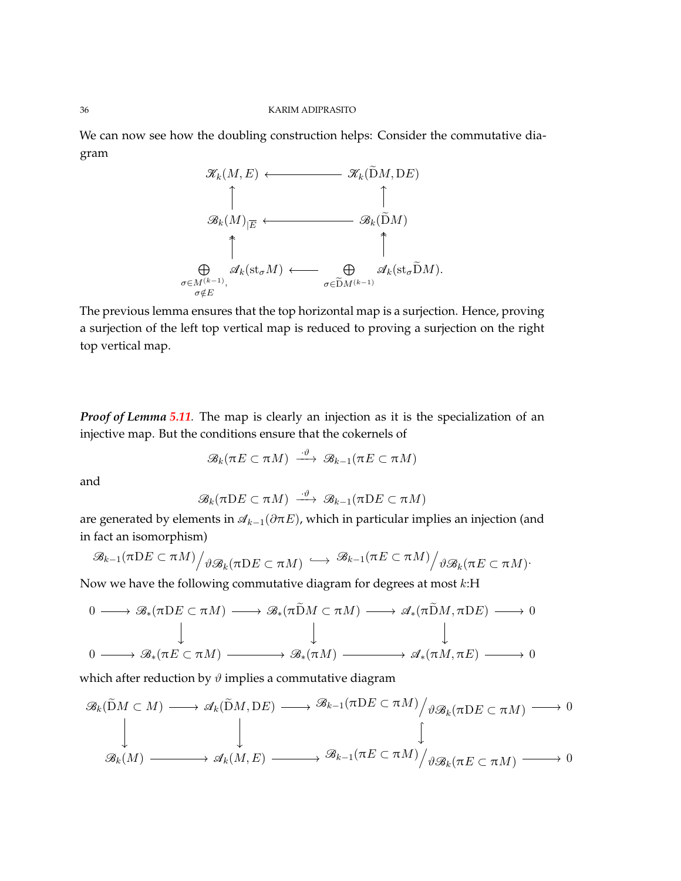We can now see how the doubling construction helps: Consider the commutative diagram



The previous lemma ensures that the top horizontal map is a surjection. Hence, proving a surjection of the left top vertical map is reduced to proving a surjection on the right top vertical map.

*Proof of Lemma [5.11](#page-33-1).* The map is clearly an injection as it is the specialization of an injective map. But the conditions ensure that the cokernels of

$$
\mathscr{B}_k(\pi E\subset \pi M)\;\stackrel{\cdot\vartheta}{\longrightarrow}\;\mathscr{B}_{k-1}(\pi E\subset \pi M)
$$

and

$$
\mathcal{B}_k(\pi\mathrm{D} E\subset \pi M)\ \stackrel{\cdot\vartheta}{\longrightarrow}\ \mathcal{B}_{k-1}(\pi\mathrm{D} E\subset \pi M)
$$

are generated by elements in A*k*−1(*∂*π*E*), which in particular implies an injection (and in fact an isomorphism)

$$
\mathscr{B}_{k-1}(\pi\mathrm{D} E\subset \pi M)\Big/\vartheta\mathscr{B}_{k}(\pi\mathrm{D} E\subset \pi M)\Big\longleftrightarrow \mathscr{B}_{k-1}(\pi E\subset \pi M)\Big/\vartheta\mathscr{B}_{k}(\pi E\subset \pi M)\Big.
$$

Now we have the following commutative diagram for degrees at most *k*:H

$$
\begin{array}{ccccccc}\n0 & \longrightarrow & \mathscr{B}_{*}(\pi \mathrm{D} E \subset \pi M) & \longrightarrow & \mathscr{B}_{*}(\pi \mathrm{\widetilde{D}} M \subset \pi M) & \longrightarrow & \mathscr{A}_{*}(\pi \mathrm{\widetilde{D}} M, \pi \mathrm{D} E) & \longrightarrow & 0 \\
 & & & & & & & \\
0 & \longrightarrow & \mathscr{B}_{*}(\pi E \subset \pi M) & \longrightarrow & \mathscr{B}_{*}(\pi M) & \longrightarrow & \mathscr{A}_{*}(\pi M, \pi E) & \longrightarrow & 0\n\end{array}
$$

which after reduction by  $\vartheta$  implies a commutative diagram

$$
\mathscr{B}_k(\widetilde{\mathbf{D}}M \subset M) \longrightarrow \mathscr{A}_k(\widetilde{\mathbf{D}}M, \mathbf{D}E) \longrightarrow \mathscr{B}_{k-1}(\pi \mathbf{D}E \subset \pi M) / \mathscr{B}_{k}(\pi \mathbf{D}E \subset \pi M) \longrightarrow 0
$$
  

$$
\downarrow \qquad \qquad \downarrow
$$
  

$$
\mathscr{B}_k(M) \longrightarrow \mathscr{A}_k(M, E) \longrightarrow \mathscr{B}_{k-1}(\pi E \subset \pi M) / \mathscr{B}_{k}(\pi E \subset \pi M) \longrightarrow 0
$$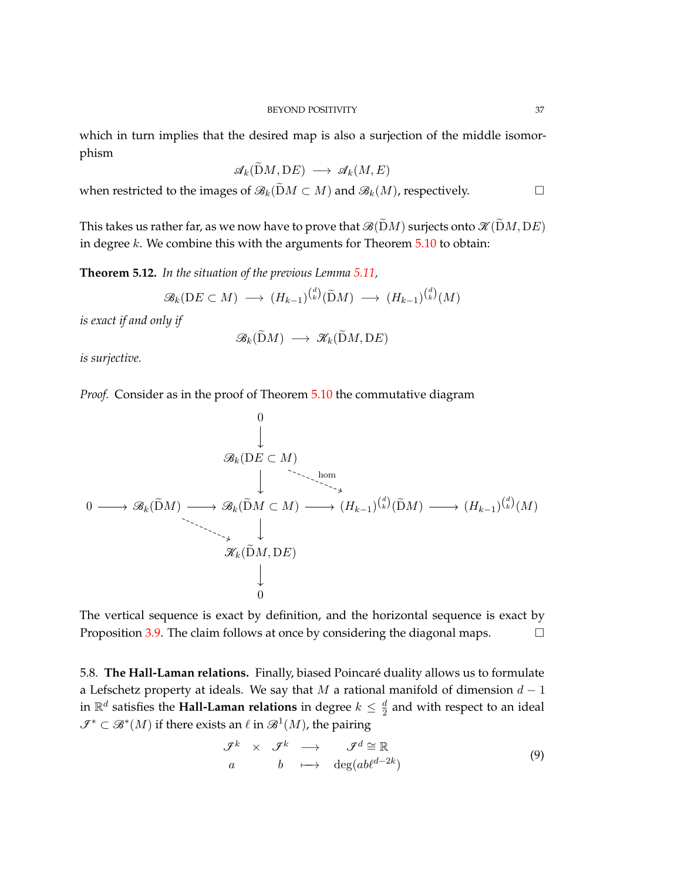which in turn implies that the desired map is also a surjection of the middle isomorphism

$$
\mathscr{A}_k(\widetilde{\mathrm{D}}M, \mathrm{D}E) \longrightarrow \mathscr{A}_k(M, E)
$$

when restricted to the images of  $\mathcal{B}_k(\tilde{D}M \subset M)$  and  $\mathcal{B}_k(M)$ , respectively. □

This takes us rather far, as we now have to prove that  $\mathcal{B}(\tilde{D}M)$  surjects onto  $\mathcal{K}(\tilde{D}M, DE)$ in degree *k*. We combine this with the arguments for Theorem [5.10](#page-32-0) to obtain:

<span id="page-36-0"></span>**Theorem 5.12.** *In the situation of the previous Lemma [5.11,](#page-33-0)*

$$
\mathcal{B}_k(\mathrm{D} E \subset M) \longrightarrow (H_{k-1})^{d \choose k} (\widetilde{\mathrm{D}} M) \longrightarrow (H_{k-1})^{d \choose k} (M)
$$

*is exact if and only if*

$$
\mathscr{B}_k(\widetilde{\mathrm{D}}M) \longrightarrow \mathscr{K}_k(\widetilde{\mathrm{D}}M,\mathrm{D}E)
$$

*is surjective.*

*Proof.* Consider as in the proof of Theorem [5.10](#page-32-0) the commutative diagram

$$
\begin{array}{cccc}\n & & & 0 & & \\
 & & \downarrow & & \\
 & & \mathscr{B}_k(\mathbf{D}E \subset M) & & \\
 & & \downarrow & & \ddots & \ddots & \\
 & & & \downarrow & & \\
 & & & \mathscr{B}_k(\widetilde{\mathbf{D}}M) \longrightarrow \mathscr{B}_k(\widetilde{\mathbf{D}}M \subset M) \longrightarrow (H_{k-1})^{\binom{d}{k}}(\widetilde{\mathbf{D}}M) \longrightarrow (H_{k-1})^{\binom{d}{k}}(M) \\
 & & \downarrow & \\
 & & \mathscr{K}_k(\widetilde{\mathbf{D}}M, \mathbf{D}E) & & \\
 & & \downarrow & & \\
 & & 0 & & \\
 & & & & \n\end{array}
$$

The vertical sequence is exact by definition, and the horizontal sequence is exact by Proposition [3.9.](#page-16-0) The claim follows at once by considering the diagonal maps.  $\Box$ 

5.8. **The Hall-Laman relations.** Finally, biased Poincaré duality allows us to formulate a Lefschetz property at ideals. We say that *M* a rational manifold of dimension *d* − 1 in  $\mathbb{R}^d$  satisfies the **Hall-Laman relations** in degree  $k \leq \frac{d}{2}$  $\frac{a}{2}$  and with respect to an ideal  $\mathcal{I}^* \subset \mathcal{B}^*(M)$  if there exists an  $\ell$  in  $\mathcal{B}^1(M)$ , the pairing

$$
\begin{array}{rcl}\n\mathcal{F}^k & \times & \mathcal{F}^k \longrightarrow & \mathcal{F}^d \cong \mathbb{R} \\
a & b & \longmapsto & \deg(ab\ell^{d-2k})\n\end{array} \tag{9}
$$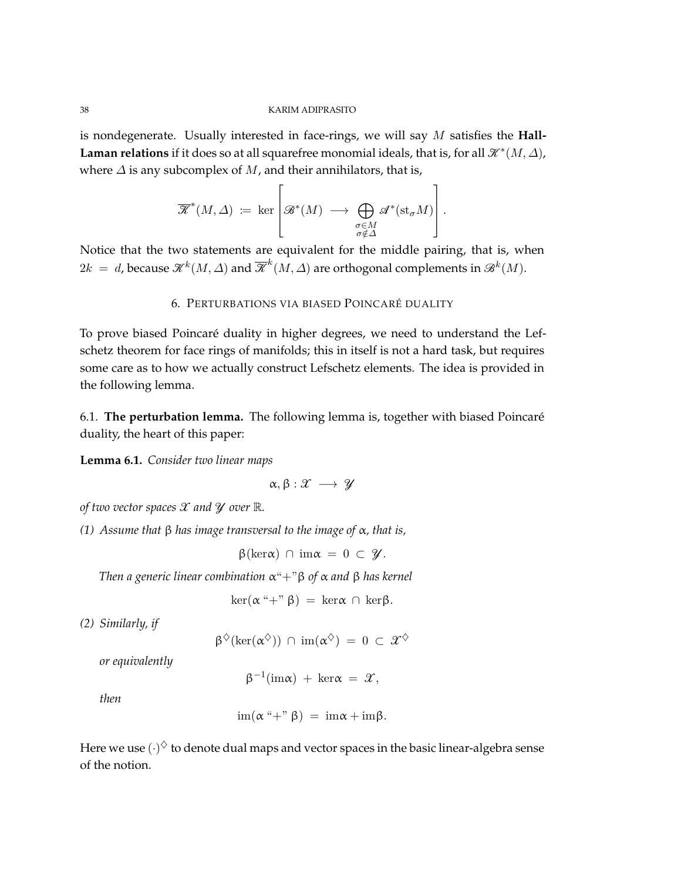is nondegenerate. Usually interested in face-rings, we will say *M* satisfies the **Hall-Laman relations** if it does so at all squarefree monomial ideals, that is, for all  $\mathcal{K}^*(M, \Delta)$ , where *∆* is any subcomplex of *M*, and their annihilators, that is,

$$
\overline{\mathcal{K}}^*(M,\Delta) := \ker \left[ \mathcal{B}^*(M) \longrightarrow \bigoplus_{\substack{\sigma \in M \\ \sigma \notin \Delta}} \mathcal{A}^*(\mathrm{st}_{\sigma} M) \right].
$$

Notice that the two statements are equivalent for the middle pairing, that is, when  $2k = d$ , because  $\mathscr{K}^k(M,\varDelta)$  and  $\overline{\mathscr{K}}^k(M,\varDelta)$  are orthogonal complements in  $\mathscr{B}^k(M).$ 

# 6. PERTURBATIONS VIA BIASED POINCARÉ DUALITY

To prove biased Poincaré duality in higher degrees, we need to understand the Lefschetz theorem for face rings of manifolds; this in itself is not a hard task, but requires some care as to how we actually construct Lefschetz elements. The idea is provided in the following lemma.

6.1. **The perturbation lemma.** The following lemma is, together with biased Poincaré duality, the heart of this paper:

<span id="page-37-0"></span>**Lemma 6.1.** *Consider two linear maps*

$$
\alpha, \beta: \mathcal{X} \longrightarrow \mathcal{Y}
$$

*of two vector spaces* X *and* Y *over* R*.*

*(1) Assume that* β *has image transversal to the image of* α*, that is,*

β(kerα) ∩ imα = 0 ⊂ Y*.*

*Then a generic linear combination* α"+"β *of* α *and* β *has kernel*

$$
\ker(\alpha \text{``}+ \text{''}\beta) = \ker \alpha \cap \ker \beta.
$$

*(2) Similarly, if*

$$
\beta^{\diamondsuit}(\ker(\alpha^{\diamondsuit})) \ \cap \ \operatorname{im}(\alpha^{\diamondsuit}) \ = \ 0 \ \subset \ \mathcal{X}^{\diamondsuit}
$$

*or equivalently*

 $\beta^{-1}(\text{im}\alpha) + \text{ker}\alpha = \mathcal{X},$ 

*then*

$$
\operatorname{im}(\alpha \overset{\alpha}{+}\overset{\beta}{-}\beta) = \operatorname{im}\alpha + \operatorname{im}\beta.
$$

Here we use  $(\cdot)^{\Diamond}$  to denote dual maps and vector spaces in the basic linear-algebra sense of the notion.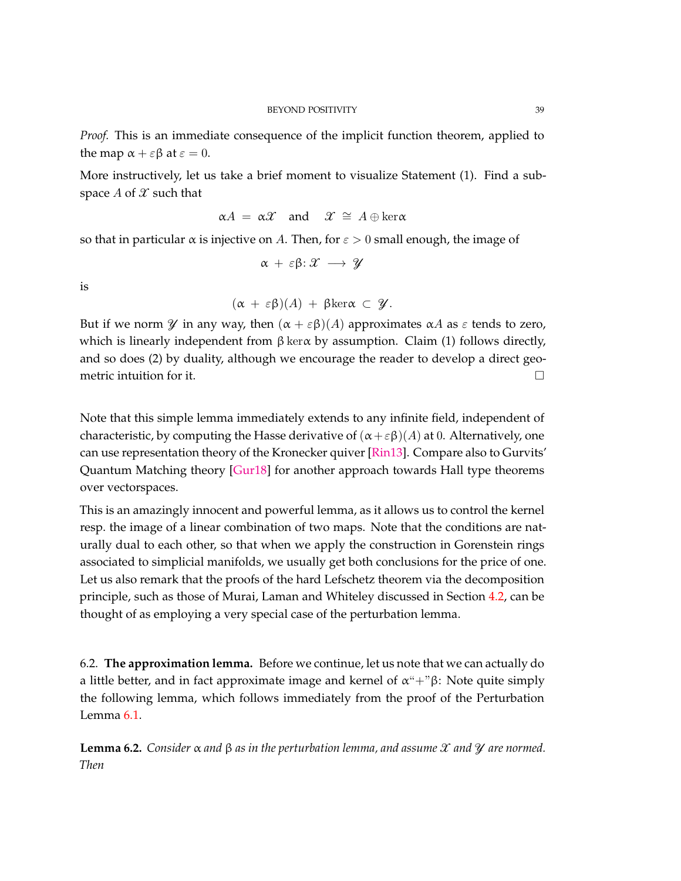*Proof.* This is an immediate consequence of the implicit function theorem, applied to the map  $\alpha + \varepsilon \beta$  at  $\varepsilon = 0$ .

More instructively, let us take a brief moment to visualize Statement (1). Find a subspace  $A$  of  $\mathcal X$  such that

$$
\alpha A = \alpha \mathcal{X}
$$
 and  $\mathcal{X} \cong A \oplus \ker \alpha$ 

so that in particular  $\alpha$  is injective on *A*. Then, for  $\varepsilon > 0$  small enough, the image of

$$
\alpha + \varepsilon \beta \colon \mathcal{X} \longrightarrow \mathcal{Y}
$$

is

$$
(\alpha + \varepsilon \beta)(A) + \beta \text{ker}\alpha \subset \mathscr{Y}.
$$

But if we norm  $\mathcal Y$  in any way, then  $(\alpha + \varepsilon \beta)(A)$  approximates  $\alpha A$  as  $\varepsilon$  tends to zero, which is linearly independent from  $\beta$  ker $\alpha$  by assumption. Claim (1) follows directly, and so does (2) by duality, although we encourage the reader to develop a direct geometric intuition for it.  $\Box$ 

Note that this simple lemma immediately extends to any infinite field, independent of characteristic, by computing the Hasse derivative of  $(\alpha + \varepsilon \beta)(A)$  at 0. Alternatively, one can use representation theory of the Kronecker quiver [\[Rin13\]](#page-74-0). Compare also to Gurvits' Quantum Matching theory [\[Gur18\]](#page-72-0) for another approach towards Hall type theorems over vectorspaces.

This is an amazingly innocent and powerful lemma, as it allows us to control the kernel resp. the image of a linear combination of two maps. Note that the conditions are naturally dual to each other, so that when we apply the construction in Gorenstein rings associated to simplicial manifolds, we usually get both conclusions for the price of one. Let us also remark that the proofs of the hard Lefschetz theorem via the decomposition principle, such as those of Murai, Laman and Whiteley discussed in Section [4.2,](#page-19-0) can be thought of as employing a very special case of the perturbation lemma.

6.2. **The approximation lemma.** Before we continue, let us note that we can actually do a little better, and in fact approximate image and kernel of  $\alpha$ "+"β: Note quite simply the following lemma, which follows immediately from the proof of the Perturbation Lemma [6.1.](#page-37-0)

<span id="page-38-0"></span>**Lemma 6.2.** *Consider* α *and* β *as in the perturbation lemma, and assume* X *and* Y *are normed. Then*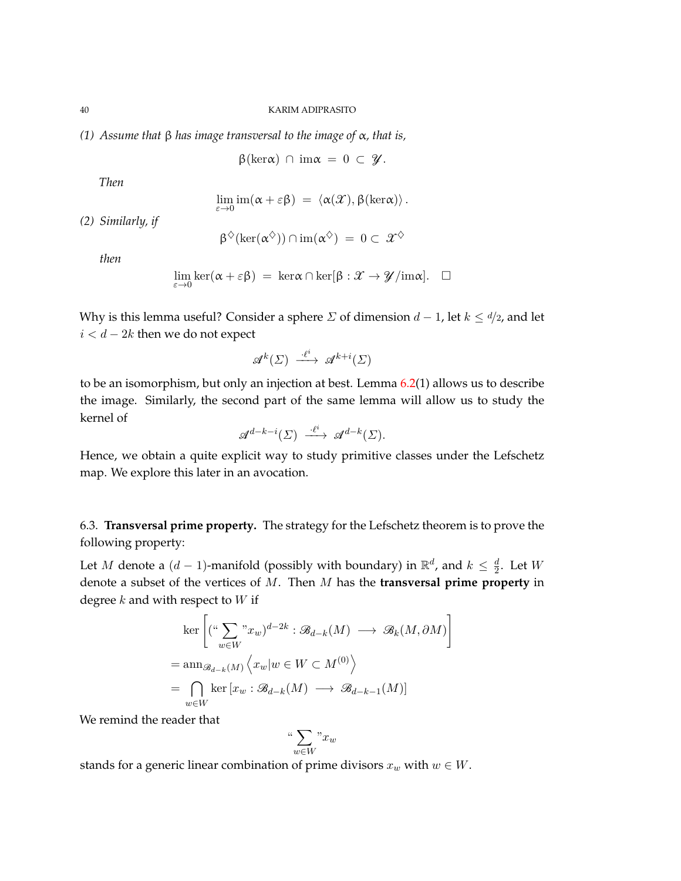*(1) Assume that* β *has image transversal to the image of* α*, that is,*

 $β(kerα) ∩ imα = 0 ⊂ ℤ$ .

*Then*

$$
\lim_{\varepsilon \to 0} \mathrm{im}(\alpha + \varepsilon \beta) = \langle \alpha(\mathcal{X}), \beta(\mathrm{ker}\alpha) \rangle.
$$

*(2) Similarly, if*

$$
\beta^{\diamondsuit}(\ker(\alpha^{\diamondsuit})) \cap \mathrm{im}(\alpha^{\diamondsuit}) = 0 \subset \mathcal{X}^{\diamondsuit}
$$

*then*

$$
\lim_{\varepsilon \to 0} \ker(\alpha + \varepsilon \beta) = \ker \alpha \cap \ker[\beta : \mathcal{X} \to \mathcal{Y}/\mathrm{im} \alpha]. \quad \Box
$$

Why is this lemma useful? Consider a sphere *Σ* of dimension  $d - 1$ , let  $k \leq d/2$ , and let *i < d* − 2*k* then we do not expect

$$
\mathcal{A}^k(\Sigma) \xrightarrow{\cdot \ell^i} \mathcal{A}^{k+i}(\Sigma)
$$

to be an isomorphism, but only an injection at best. Lemma  $6.2(1)$  $6.2(1)$  allows us to describe the image. Similarly, the second part of the same lemma will allow us to study the kernel of

$$
\mathcal{A}^{d-k-i}(\Sigma) \xrightarrow{\cdot \ell^i} \mathcal{A}^{d-k}(\Sigma).
$$

Hence, we obtain a quite explicit way to study primitive classes under the Lefschetz map. We explore this later in an avocation.

6.3. **Transversal prime property.** The strategy for the Lefschetz theorem is to prove the following property:

Let *M* denote a  $(d-1)$ -manifold (possibly with boundary) in  $\mathbb{R}^d$ , and  $k \leq \frac{d}{2}$  $\frac{a}{2}$ . Let *W* denote a subset of the vertices of *M*. Then *M* has the **transversal prime property** in degree *k* and with respect to *W* if

$$
\ker \left[ \left( \begin{array}{c} \left( \begin{array}{c} \left( \begin{array}{c} \left( \begin{array}{c} \left( \begin{array}{c} \left( \begin{array}{c} \left( \begin{array}{c} \left( \begin{array}{c} \left( \begin{array}{c} \left( \begin{array}{c} \left( \begin{array}{c} \left( \begin{array}{c} \left( \end{array} \right) & \frac{\partial}{\partial x} \end{array} \right) & \frac{\partial}{\partial x} \end{array} \right) & \frac{\partial}{\partial x} \end{array} \right) & \frac{\partial}{\partial x}} \\ \frac{\partial}{\partial x} & \frac{\partial}{\partial x} \end{array} \right) & \frac{\partial}{\partial x} \end{array} \right] & \frac{\partial}{\partial x} \end{array} \right] & \frac{\partial}{\partial x} \end{array} \right] & \frac{\partial}{\partial x} \end{array} \tag{0} \end{cases} \right) & \frac{\partial}{\partial x} \end{cases} \implies \mathbb{E} \left[ x_w : \mathscr{B}_{d-k}(M) \longrightarrow \mathscr{B}_{d-k-1}(M) \right] & \frac{\partial}{\partial x} \end{array} \right]
$$

We remind the reader that

$$
\text{``}\sum_{w\in W}\text{''}x_w
$$

stands for a generic linear combination of prime divisors  $x_w$  with  $w \in W$ .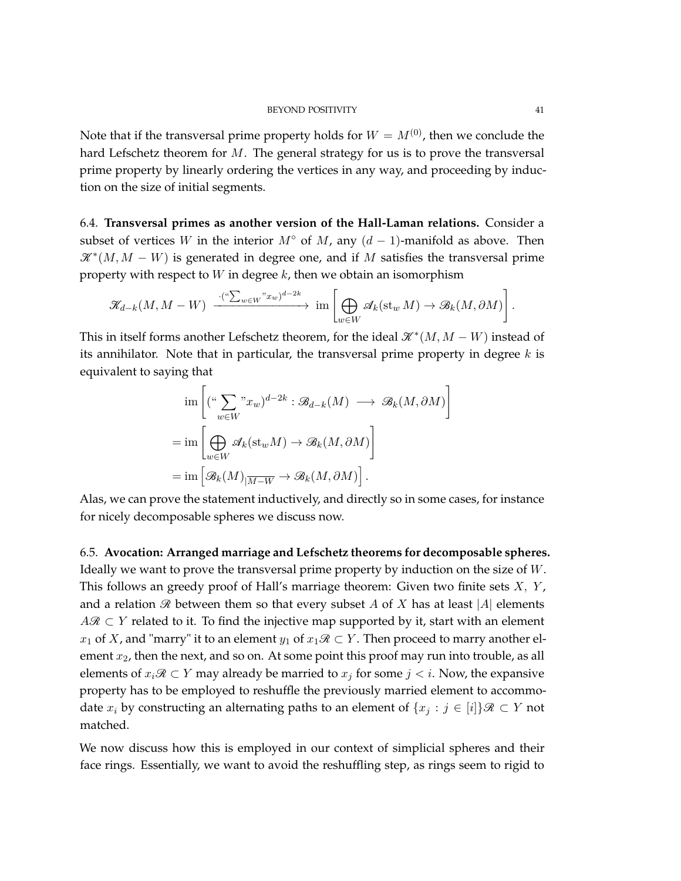Note that if the transversal prime property holds for  $W = M^{(0)}$ , then we conclude the hard Lefschetz theorem for *M*. The general strategy for us is to prove the transversal prime property by linearly ordering the vertices in any way, and proceeding by induction on the size of initial segments.

6.4. **Transversal primes as another version of the Hall-Laman relations.** Consider a subset of vertices *W* in the interior  $M^{\circ}$  of  $M$ , any  $(d-1)$ -manifold as above. Then  $\mathscr{K}^*(M, M - W)$  is generated in degree one, and if M satisfies the transversal prime property with respect to *W* in degree *k*, then we obtain an isomorphism

$$
\mathscr{K}_{d-k}(M,M-W) \xrightarrow{\cdot (\text{``}\sum_{w\in W} \text{``}x_w)^{d-2k}} \text{im}\left[\bigoplus_{w\in W} \mathscr{A}_k(\text{st}_w M) \to \mathscr{B}_k(M,\partial M)\right].
$$

This in itself forms another Lefschetz theorem, for the ideal  $\mathcal{K}^*(M, M - W)$  instead of its annihilator. Note that in particular, the transversal prime property in degree *k* is equivalent to saying that

$$
\begin{aligned}\n&\lim \left[ (\stackrel{u}{\sum} \stackrel{m}{\sum} w_x w)^{d-2k} : \mathcal{B}_{d-k}(M) \longrightarrow \mathcal{B}_k(M, \partial M) \right] \\
&= \lim \left[ \bigoplus_{w \in W} \mathcal{A}_k(\mathrm{st}_w M) \to \mathcal{B}_k(M, \partial M) \right] \\
&= \lim \left[ \mathcal{B}_k(M) \right]_{\overline{M-W}} \to \mathcal{B}_k(M, \partial M) \right].\n\end{aligned}
$$

Alas, we can prove the statement inductively, and directly so in some cases, for instance for nicely decomposable spheres we discuss now.

<span id="page-40-0"></span>6.5. **Avocation: Arranged marriage and Lefschetz theorems for decomposable spheres.** Ideally we want to prove the transversal prime property by induction on the size of *W*. This follows an greedy proof of Hall's marriage theorem: Given two finite sets *X, Y* , and a relation  $\mathcal R$  between them so that every subset *A* of *X* has at least |*A*| elements  $A\mathcal{R} \subset Y$  related to it. To find the injective map supported by it, start with an element *x*<sub>1</sub> of *X*, and "marry" it to an element *y*<sub>1</sub> of *x*<sub>1</sub> $\Re \subset Y$ . Then proceed to marry another element *x*2, then the next, and so on. At some point this proof may run into trouble, as all elements of  $x_i \mathcal{R} \subset Y$  may already be married to  $x_j$  for some  $j < i$ . Now, the expansive property has to be employed to reshuffle the previously married element to accommodate  $x_i$  by constructing an alternating paths to an element of  $\{x_i : j \in [i]\}\mathcal{R} \subset Y$  not matched.

We now discuss how this is employed in our context of simplicial spheres and their face rings. Essentially, we want to avoid the reshuffling step, as rings seem to rigid to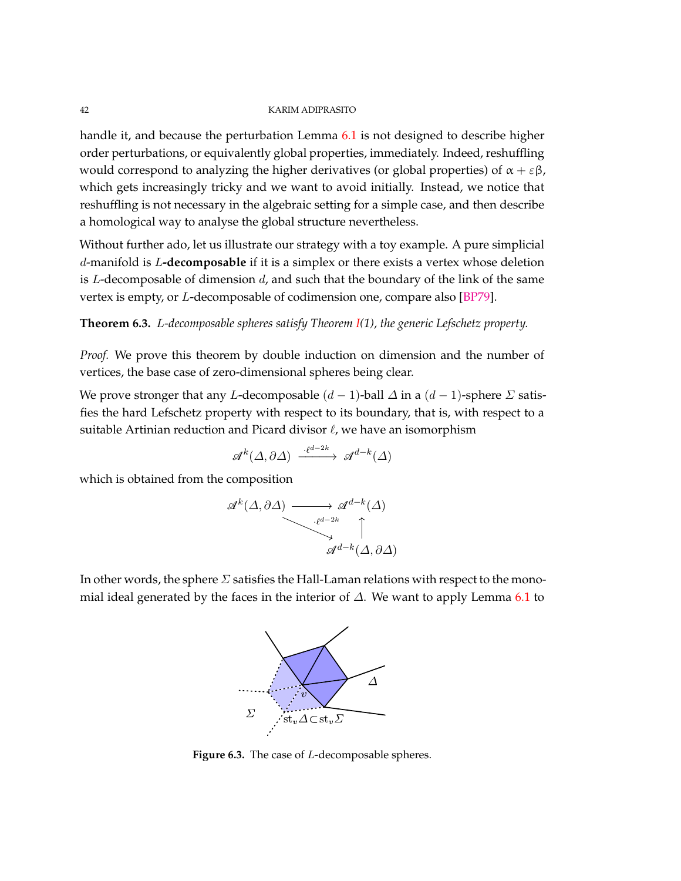<span id="page-41-1"></span>handle it, and because the perturbation Lemma [6.1](#page-37-0) is not designed to describe higher order perturbations, or equivalently global properties, immediately. Indeed, reshuffling would correspond to analyzing the higher derivatives (or global properties) of  $\alpha + \varepsilon \beta$ , which gets increasingly tricky and we want to avoid initially. Instead, we notice that reshuffling is not necessary in the algebraic setting for a simple case, and then describe a homological way to analyse the global structure nevertheless.

Without further ado, let us illustrate our strategy with a toy example. A pure simplicial *d*-manifold is *L***-decomposable** if it is a simplex or there exists a vertex whose deletion is *L*-decomposable of dimension *d*, and such that the boundary of the link of the same vertex is empty, or *L*-decomposable of codimension one, compare also [\[BP79\]](#page-71-0).

# <span id="page-41-0"></span>**Theorem 6.3.** *L-decomposable spheres satisfy Theorem [I\(](#page-1-0)1), the generic Lefschetz property.*

*Proof.* We prove this theorem by double induction on dimension and the number of vertices, the base case of zero-dimensional spheres being clear.

We prove stronger that any *L*-decomposable (*d* − 1)-ball *∆* in a (*d* − 1)-sphere *Σ* satisfies the hard Lefschetz property with respect to its boundary, that is, with respect to a suitable Artinian reduction and Picard divisor  $\ell$ , we have an isomorphism

$$
\mathscr{A}^k(\Delta, \partial \Delta) \xrightarrow{\cdot \ell^{d-2k}} \mathscr{A}^{d-k}(\Delta)
$$

which is obtained from the composition

$$
\mathscr{A}^{k}(\Delta, \partial \Delta) \longrightarrow \mathscr{A}^{d-k}(\Delta)
$$

$$
\downarrow^{\ell^{d-2k}} \qquad \qquad \uparrow
$$

$$
\mathscr{A}^{d-k}(\Delta, \partial \Delta)
$$

In other words, the sphere *Σ* satisfies the Hall-Laman relations with respect to the monomial ideal generated by the faces in the interior of *∆*. We want to apply Lemma [6.1](#page-37-0) to



**Figure 6.3.** The case of *L*-decomposable spheres.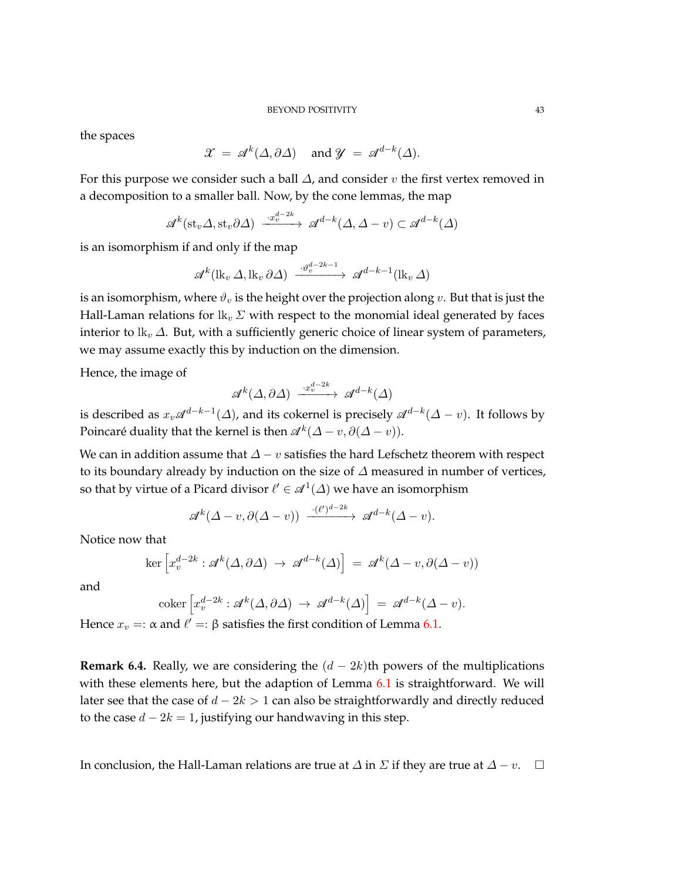## BEYOND POSITIVITY 43

the spaces

$$
\mathcal{X} = \mathcal{A}^k(\Delta, \partial \Delta) \quad \text{and } \mathcal{Y} = \mathcal{A}^{d-k}(\Delta).
$$

For this purpose we consider such a ball *∆*, and consider *v* the first vertex removed in a decomposition to a smaller ball. Now, by the cone lemmas, the map

$$
\mathcal{A}^k(\text{st}_v\Delta,\text{st}_v\partial\Delta) \xrightarrow{\cdot x_v^{d-2k}} \mathcal{A}^{d-k}(\Delta,\Delta-v) \subset \mathcal{A}^{d-k}(\Delta)
$$

is an isomorphism if and only if the map

$$
\mathscr{A}^{k}(\mathrm{lk}_{v}\,\Delta,\mathrm{lk}_{v}\,\partial\Delta)\xrightarrow{\cdot\vartheta_{v}^{d-2k-1}}\mathscr{A}^{d-k-1}(\mathrm{lk}_{v}\,\Delta)
$$

is an isomorphism, where  $\vartheta_v$  is the height over the projection along v. But that is just the Hall-Laman relations for  $lk_v \Sigma$  with respect to the monomial ideal generated by faces interior to lk*<sup>v</sup> ∆*. But, with a sufficiently generic choice of linear system of parameters, we may assume exactly this by induction on the dimension.

Hence, the image of

$$
\mathscr{A}^k(\varDelta, \partial \varDelta) \xrightarrow{\cdot x_v^{d-2k}} \mathscr{A}^{d-k}(\varDelta)
$$

is described as  $x_v\mathscr{A}^{d-k-1}(\varDelta)$ , and its cokernel is precisely  $\mathscr{A}^{d-k}(\varDelta-v).$  It follows by Poincaré duality that the kernel is then  $\mathscr{A}^k(\Delta - v, \partial(\Delta - v))$ .

We can in addition assume that  $\Delta - v$  satisfies the hard Lefschetz theorem with respect to its boundary already by induction on the size of *∆* measured in number of vertices, so that by virtue of a Picard divisor  $\ell' \in \mathscr{A}^1(\varDelta)$  we have an isomorphism

$$
\mathscr{A}^k(\Delta-v,\partial(\Delta-v)) \xrightarrow{-(\ell')^{d-2k}} \mathscr{A}^{d-k}(\Delta-v).
$$

Notice now that

$$
\ker \left[ x_v^{d-2k} : \mathcal{A}^k(\Delta, \partial \Delta) \to \mathcal{A}^{d-k}(\Delta) \right] = \mathcal{A}^k(\Delta - v, \partial (\Delta - v))
$$

and

$$
\text{coker}\left[x_v^{d-2k}:\mathscr{A}^k(\Delta,\partial\Delta)\to\mathscr{A}^{d-k}(\Delta)\right] = \mathscr{A}^{d-k}(\Delta-v).
$$

Hence  $x_v =: \alpha$  and  $\ell' =: \beta$  satisfies the first condition of Lemma [6.1.](#page-37-0)

**Remark 6.4.** Really, we are considering the  $(d - 2k)$ th powers of the multiplications with these elements here, but the adaption of Lemma [6.1](#page-37-0) is straightforward. We will later see that the case of *d* − 2*k >* 1 can also be straightforwardly and directly reduced to the case  $d - 2k = 1$ , justifying our handwaving in this step.

In conclusion, the Hall-Laman relations are true at  $\Delta$  in  $\Sigma$  if they are true at  $\Delta - v$ .  $\square$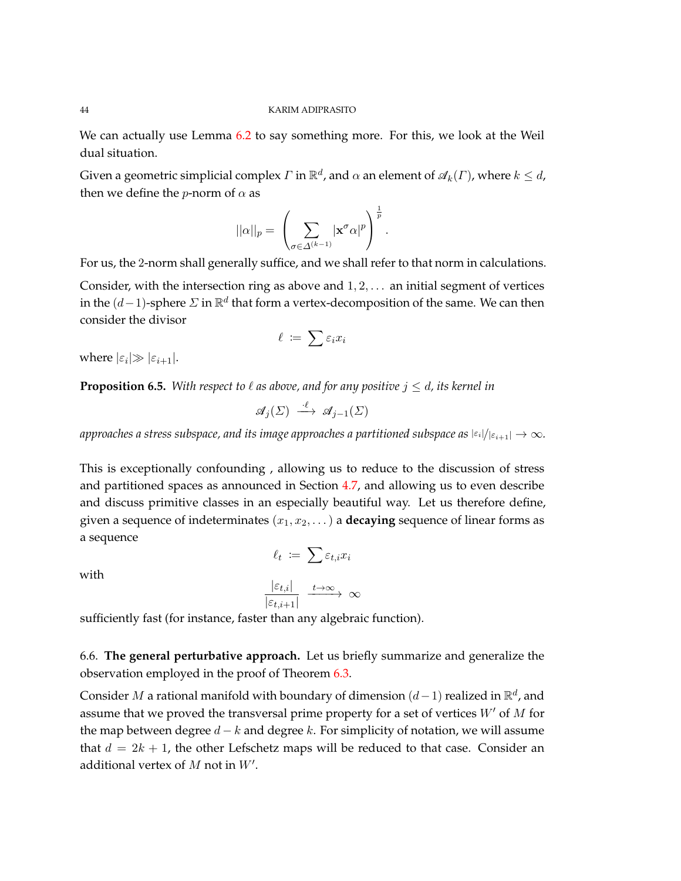We can actually use Lemma [6.2](#page-38-0) to say something more. For this, we look at the Weil dual situation.

Given a geometric simplicial complex  $\varGamma$  in  $\mathbb{R}^d$ , and  $\alpha$  an element of  $\mathscr{A}_k(\varGamma)$ , where  $k\leq d$ , then we define the *p*-norm of  $\alpha$  as

$$
||\alpha||_p = \left(\sum_{\sigma \in \Delta^{(k-1)}} |\mathbf{x}^{\sigma}\alpha|^p\right)^{\frac{1}{p}}.
$$

For us, the 2-norm shall generally suffice, and we shall refer to that norm in calculations.

Consider, with the intersection ring as above and 1*,* 2*, . . .* an initial segment of vertices in the  $(d-1)$ -sphere  $\Sigma$  in  $\mathbb{R}^d$  that form a vertex-decomposition of the same. We can then consider the divisor

$$
\ell \ \coloneqq \ \sum \varepsilon_i x_i
$$

where  $|\varepsilon_i| \gg |\varepsilon_{i+1}|$ .

<span id="page-43-1"></span>**Proposition 6.5.** With respect to  $\ell$  as above, and for any positive  $j \leq d$ , its kernel in

$$
\mathscr{A}_j(\Sigma) \stackrel{\cdot \ell}{\longrightarrow} \mathscr{A}_{j-1}(\Sigma)
$$

*approaches a stress subspace, and its image approaches a partitioned subspace as*  $|\epsilon_i|/|\epsilon_{i+1}| \to \infty$ *.* 

This is exceptionally confounding , allowing us to reduce to the discussion of stress and partitioned spaces as announced in Section [4.7,](#page-25-0) and allowing us to even describe and discuss primitive classes in an especially beautiful way. Let us therefore define, given a sequence of indeterminates  $(x_1, x_2, \ldots)$  a **decaying** sequence of linear forms as a sequence

with

$$
\ell_t := \sum \varepsilon_{t,i} x_i
$$

$$
\frac{|\varepsilon_{t,i}|}{|\varepsilon_{t,i+1}|} \xrightarrow{t \to \infty} \infty
$$

sufficiently fast (for instance, faster than any algebraic function).

<span id="page-43-0"></span>6.6. **The general perturbative approach.** Let us briefly summarize and generalize the observation employed in the proof of Theorem [6.3.](#page-41-0)

Consider *M* a rational manifold with boundary of dimension (*d*−1) realized in R *d* , and assume that we proved the transversal prime property for a set of vertices  $W'$  of  $M$  for the map between degree *d* − *k* and degree *k*. For simplicity of notation, we will assume that  $d = 2k + 1$ , the other Lefschetz maps will be reduced to that case. Consider an additional vertex of  $M$  not in  $W'$ .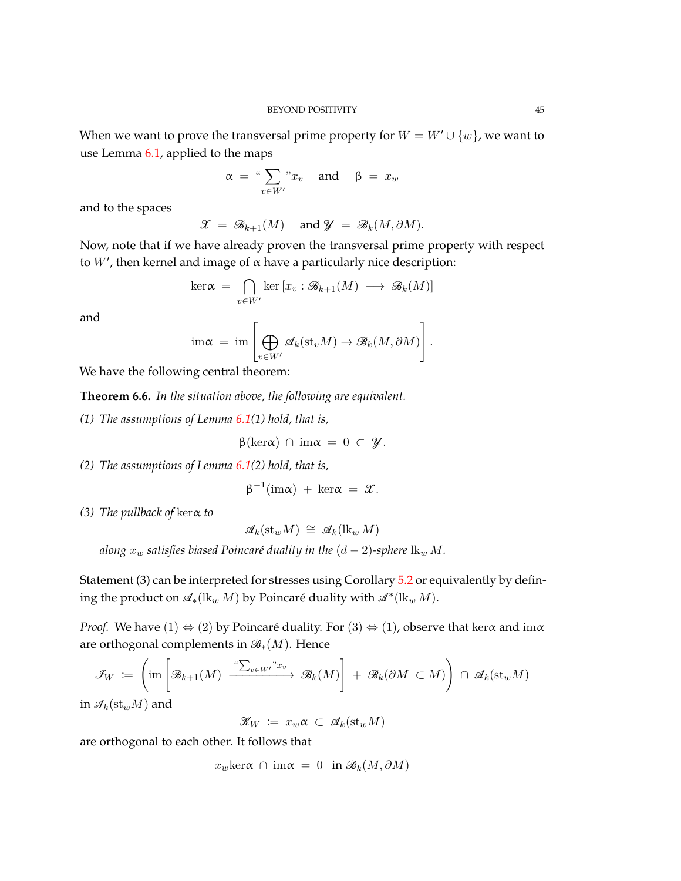When we want to prove the transversal prime property for  $W = W' \cup \{w\}$ , we want to use Lemma [6.1,](#page-37-0) applied to the maps

$$
\alpha = \sqrt[u]{\sum_{v \in W'} x_v} \quad \text{and} \quad \beta = x_w
$$

and to the spaces

$$
\mathscr{X} \ = \ \mathscr{B}_{k+1}(M) \quad \text{ and } \mathscr{Y} \ = \ \mathscr{B}_{k}(M, \partial M).
$$

Now, note that if we have already proven the transversal prime property with respect to  $W'$ , then kernel and image of  $\alpha$  have a particularly nice description:

$$
\ker \alpha = \bigcap_{v \in W'} \ker \left[ x_v : \mathcal{B}_{k+1}(M) \longrightarrow \mathcal{B}_k(M) \right]
$$

and

$$
\operatorname{im}\nolimits \alpha \ = \ \operatorname{im}\nolimits \left[\bigoplus_{v \in W'} \mathscr{A}_k(\operatorname{st}_v M) \to \mathscr{B}_k(M, \partial M)\right].
$$

We have the following central theorem:

<span id="page-44-0"></span>**Theorem 6.6.** *In the situation above, the following are equivalent.*

*(1) The assumptions of Lemma [6.1\(](#page-37-0)1) hold, that is,*

$$
\beta(\ker\alpha) \cap \operatorname{im}\alpha = 0 \subset \mathcal{Y}.
$$

*(2) The assumptions of Lemma [6.1\(](#page-37-0)2) hold, that is,*

 $\beta^{-1}(\text{im}\alpha) + \text{ker}\alpha = \mathcal{X}.$ 

*(3) The pullback of* kerα *to*

$$
\mathcal{A}_k(\mathrm{st}_w M) \cong \mathcal{A}_k(\mathrm{lk}_w M)
$$

*along*  $x_w$  *satisfies biased Poincaré duality in the*  $(d - 2)$ *-sphere*  $\text{lk}_w M$ *.* 

Statement (3) can be interpreted for stresses using Corollary [5.2](#page-27-0) or equivalently by defining the product on  $\mathscr{A}_*(\mathrm{lk}_w M)$  by Poincaré duality with  $\mathscr{A}^*(\mathrm{lk}_w M)$ .

*Proof.* We have (1)  $\Leftrightarrow$  (2) by Poincaré duality. For (3)  $\Leftrightarrow$  (1), observe that ker $\alpha$  and im $\alpha$ are orthogonal complements in B∗(*M*). Hence

$$
\mathcal{F}_W := \left( \text{im} \left[ \mathcal{B}_{k+1}(M) \xrightarrow{\alpha \sum_{v \in W'} x_v} \mathcal{B}_k(M) \right] + \mathcal{B}_k(\partial M \subset M) \right) \cap \mathcal{A}_k(\mathrm{st}_w M)
$$

in  $\mathscr{A}_k(\mathrm{st}_w M)$  and

 $\mathscr{K}_W \coloneqq x_w \alpha \subset \mathscr{A}_k(\mathrm{st}_w M)$ 

are orthogonal to each other. It follows that

 $x_w \text{ker}\alpha \cap \text{im}\alpha = 0 \text{ in } \mathcal{B}_k(M, \partial M)$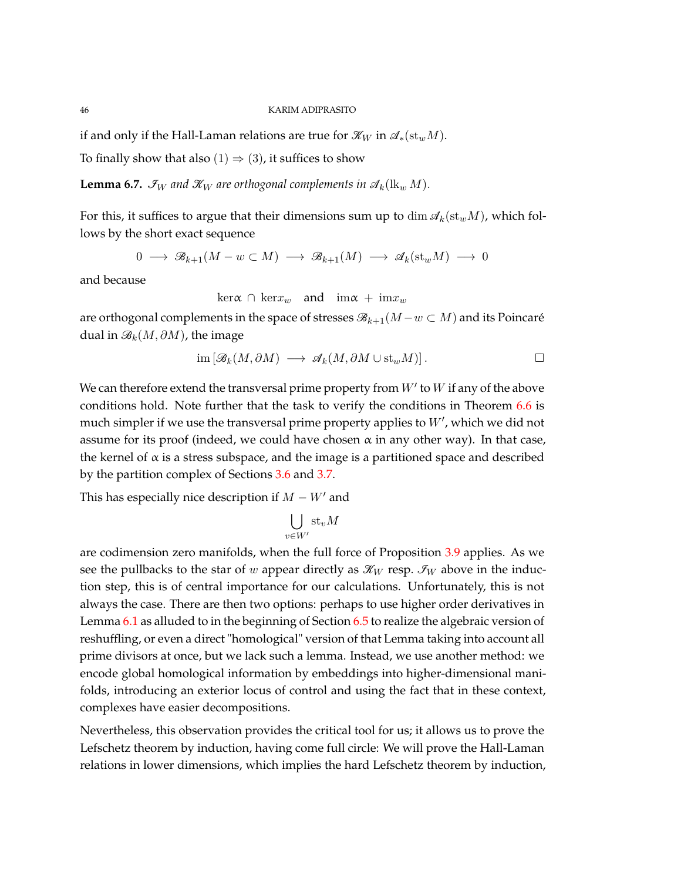if and only if the Hall-Laman relations are true for  $\mathcal{K}_W$  in  $\mathcal{A}_*(\mathrm{st}_w M)$ .

To finally show that also  $(1) \Rightarrow (3)$ , it suffices to show

<span id="page-45-0"></span>**Lemma 6.7.**  $\mathcal{I}_W$  and  $\mathcal{K}_W$  are orthogonal complements in  $\mathcal{A}_k(\mathbf{lk}_w M)$ .

For this, it suffices to argue that their dimensions sum up to  $\dim \mathcal{A}_k(\text{st}_w M)$ , which follows by the short exact sequence

$$
0 \longrightarrow \mathcal{B}_{k+1}(M - w \subset M) \longrightarrow \mathcal{B}_{k+1}(M) \longrightarrow \mathcal{A}_{k}(\mathrm{st}_{w}M) \longrightarrow 0
$$

and because

$$
\ker \alpha \cap \ker x_w \quad \text{and} \quad \lim \alpha + \lim x_w
$$

are orthogonal complements in the space of stresses  $\mathcal{B}_{k+1}(M-w \subset M)$  and its Poincaré dual in B*k*(*M, ∂M*), the image

$$
\operatorname{im} \left[ \mathcal{B}_k(M, \partial M) \longrightarrow \mathcal{A}_k(M, \partial M \cup \mathrm{st}_w M) \right]. \qquad \qquad \Box
$$

We can therefore extend the transversal prime property from  $W'$  to  $W$  if any of the above conditions hold. Note further that the task to verify the conditions in Theorem [6.6](#page-44-0) is much simpler if we use the transversal prime property applies to  $W'$ , which we did not assume for its proof (indeed, we could have chosen  $\alpha$  in any other way). In that case, the kernel of  $\alpha$  is a stress subspace, and the image is a partitioned space and described by the partition complex of Sections [3.6](#page-13-0) and [3.7.](#page-15-0)

This has especially nice description if  $M - W'$  and

$$
\bigcup_{v \in W'} \mathrm{st}_v M
$$

are codimension zero manifolds, when the full force of Proposition [3.9](#page-16-0) applies. As we see the pullbacks to the star of *w* appear directly as  $\mathcal{K}_W$  resp.  $\mathcal{I}_W$  above in the induction step, this is of central importance for our calculations. Unfortunately, this is not always the case. There are then two options: perhaps to use higher order derivatives in Lemma [6.1](#page-37-0) as alluded to in the beginning of Section [6.5](#page-40-0) to realize the algebraic version of reshuffling, or even a direct "homological" version of that Lemma taking into account all prime divisors at once, but we lack such a lemma. Instead, we use another method: we encode global homological information by embeddings into higher-dimensional manifolds, introducing an exterior locus of control and using the fact that in these context, complexes have easier decompositions.

Nevertheless, this observation provides the critical tool for us; it allows us to prove the Lefschetz theorem by induction, having come full circle: We will prove the Hall-Laman relations in lower dimensions, which implies the hard Lefschetz theorem by induction,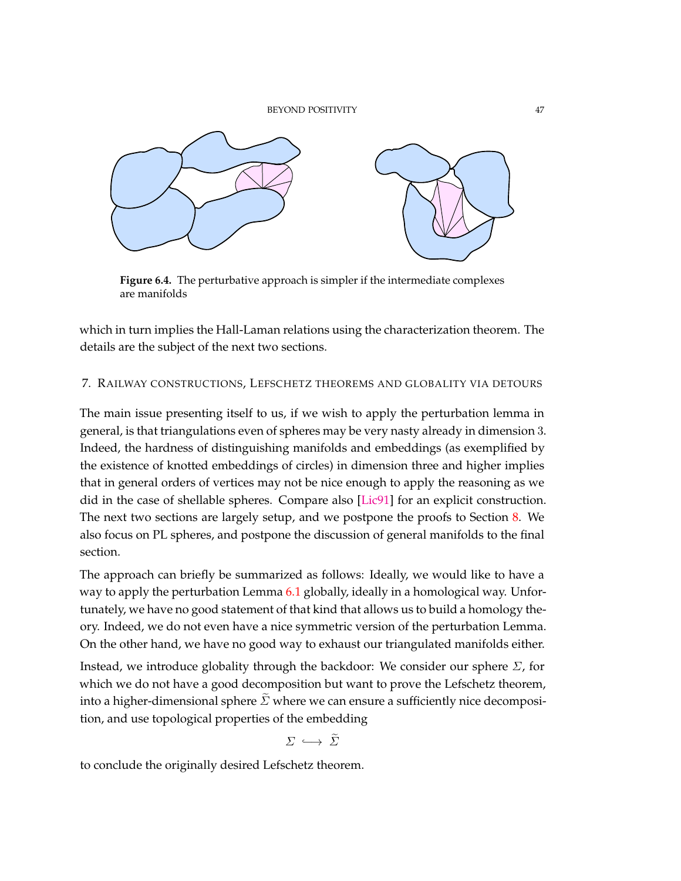

**Figure 6.4.** The perturbative approach is simpler if the intermediate complexes are manifolds

which in turn implies the Hall-Laman relations using the characterization theorem. The details are the subject of the next two sections.

# 7. RAILWAY CONSTRUCTIONS, LEFSCHETZ THEOREMS AND GLOBALITY VIA DETOURS

The main issue presenting itself to us, if we wish to apply the perturbation lemma in general, is that triangulations even of spheres may be very nasty already in dimension 3. Indeed, the hardness of distinguishing manifolds and embeddings (as exemplified by the existence of knotted embeddings of circles) in dimension three and higher implies that in general orders of vertices may not be nice enough to apply the reasoning as we did in the case of shellable spheres. Compare also [\[Lic91\]](#page-73-0) for an explicit construction. The next two sections are largely setup, and we postpone the proofs to Section [8.](#page-53-0) We also focus on PL spheres, and postpone the discussion of general manifolds to the final section.

The approach can briefly be summarized as follows: Ideally, we would like to have a way to apply the perturbation Lemma [6.1](#page-37-0) globally, ideally in a homological way. Unfortunately, we have no good statement of that kind that allows us to build a homology theory. Indeed, we do not even have a nice symmetric version of the perturbation Lemma. On the other hand, we have no good way to exhaust our triangulated manifolds either.

Instead, we introduce globality through the backdoor: We consider our sphere *Σ*, for which we do not have a good decomposition but want to prove the Lefschetz theorem, into a higher-dimensional sphere  $\tilde{\Sigma}$  where we can ensure a sufficiently nice decomposition, and use topological properties of the embedding

$$
\Sigma \hookrightarrow \tilde{\Sigma}
$$

to conclude the originally desired Lefschetz theorem.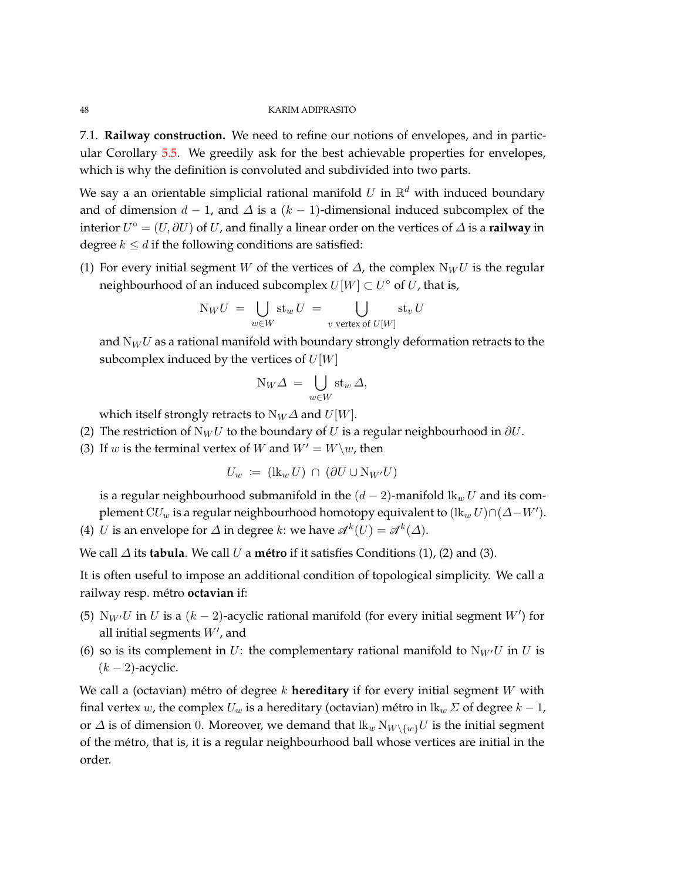7.1. **Railway construction.** We need to refine our notions of envelopes, and in particular Corollary [5.5.](#page-28-0) We greedily ask for the best achievable properties for envelopes, which is why the definition is convoluted and subdivided into two parts.

We say a an orientable simplicial rational manifold  $U$  in  $\mathbb{R}^d$  with induced boundary and of dimension  $d - 1$ , and  $\Delta$  is a  $(k - 1)$ -dimensional induced subcomplex of the interior  $U^{\circ} = (U, \partial U)$  of  $U$ , and finally a linear order on the vertices of  $\Delta$  is a **railway** in degree  $k \le d$  if the following conditions are satisfied:

(1) For every initial segment *W* of the vertices of  $\Delta$ , the complex  $N_WU$  is the regular neighbourhood of an induced subcomplex  $U[W] \subset U^{\circ}$  of  $U$ , that is,

$$
N_W U = \bigcup_{w \in W} st_w U = \bigcup_{v \text{ vertex of } U[W]} st_v U
$$

and N*<sup>W</sup> U* as a rational manifold with boundary strongly deformation retracts to the subcomplex induced by the vertices of *U*[*W*]

$$
N_W\varDelta\,=\,\bigcup_{w\in W}\operatorname{st}_w\varDelta,
$$

which itself strongly retracts to  $N_W\Delta$  and  $U[W]$ .

- (2) The restriction of  $N_WU$  to the boundary of *U* is a regular neighbourhood in  $\partial U$ .
- (3) If *w* is the terminal vertex of *W* and  $W' = W\wedge w$ , then

$$
U_w := (\mathrm{lk}_w U) \cap (\partial U \cup \mathrm{N}_{W'} U)
$$

is a regular neighbourhood submanifold in the  $(d-2)$ -manifold  $\mathbf{lk}_w U$  and its complement  $\mathrm{C}U_w$  is a regular neighbourhood homotopy equivalent to  $(\mathrm{lk}_w\,U)\cap(\varDelta-W')$ .

(4) *U* is an envelope for  $\Delta$  in degree *k*: we have  $\mathscr{A}^k(U) = \mathscr{A}^k(\Delta)$ .

We call *∆* its **tabula**. We call *U* a **métro** if it satisfies Conditions (1), (2) and (3).

It is often useful to impose an additional condition of topological simplicity. We call a railway resp. métro **octavian** if:

- (5)  $N_W$ *U* in *U* is a  $(k-2)$ -acyclic rational manifold (for every initial segment *W'*) for all initial segments  $W'$ , and
- (6) so is its complement in *U*: the complementary rational manifold to  $N_{W}U$  in *U* is (*k* − 2)-acyclic.

We call a (octavian) métro of degree *k* **hereditary** if for every initial segment *W* with final vertex *w*, the complex  $U_w$  is a hereditary (octavian) métro in  $\mathbb{R}_w \Sigma$  of degree  $k - 1$ , or  $\Delta$  is of dimension 0. Moreover, we demand that  $\lim_{w \to w} N_{W \setminus \{w\}} U$  is the initial segment of the métro, that is, it is a regular neighbourhood ball whose vertices are initial in the order.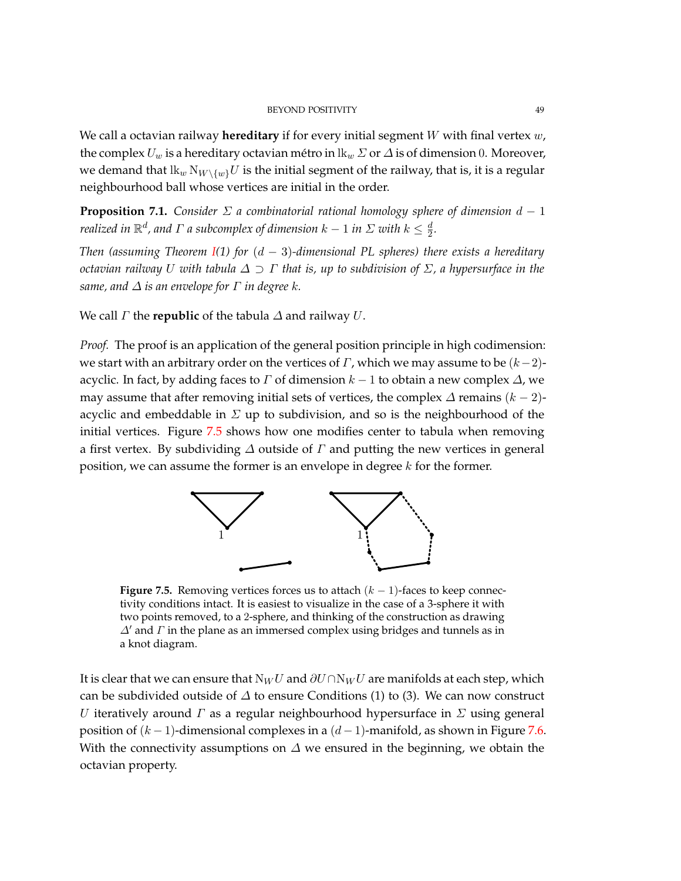We call a octavian railway **hereditary** if for every initial segment *W* with final vertex *w*, the complex  $U_w$  is a hereditary octavian métro in  $\mathbb{R}_w \Sigma$  or  $\Delta$  is of dimension 0. Moreover, we demand that  $lk_w \, N_{W \setminus \{w\}} U$  is the initial segment of the railway, that is, it is a regular neighbourhood ball whose vertices are initial in the order.

<span id="page-48-1"></span>**Proposition 7.1.** *Consider*  $\Sigma$  *a combinatorial rational homology sphere of dimension*  $d-1$ *realized in*  $\mathbb{R}^d$ , and  $\Gamma$  a subcomplex of dimension  $k-1$  in  $\Sigma$  with  $k\leq \frac{d}{2}$  $\frac{d}{2}$ .

*Then (assuming Theorem [I\(](#page-1-0)1) for* (*d* − 3)*-dimensional PL spheres) there exists a hereditary octavian railway U with tabula ∆* ⊃ *Γ that is, up to subdivision of Σ, a hypersurface in the same, and ∆ is an envelope for Γ in degree k.*

We call *Γ* the **republic** of the tabula *∆* and railway *U*.

*Proof.* The proof is an application of the general position principle in high codimension: we start with an arbitrary order on the vertices of *Γ*, which we may assume to be (*k*−2) acyclic. In fact, by adding faces to *Γ* of dimension  $k - 1$  to obtain a new complex  $\Delta$ , we may assume that after removing initial sets of vertices, the complex  $\Delta$  remains  $(k - 2)$ acyclic and embeddable in *Σ* up to subdivision, and so is the neighbourhood of the initial vertices. Figure [7.5](#page-48-0) shows how one modifies center to tabula when removing a first vertex. By subdividing *∆* outside of *Γ* and putting the new vertices in general position, we can assume the former is an envelope in degree *k* for the former.

<span id="page-48-0"></span>

**Figure 7.5.** Removing vertices forces us to attach (*k* − 1)-faces to keep connectivity conditions intact. It is easiest to visualize in the case of a 3-sphere it with two points removed, to a 2-sphere, and thinking of the construction as drawing *∆*<sup> $\alpha$ </sup> and *Γ* in the plane as an immersed complex using bridges and tunnels as in a knot diagram.

It is clear that we can ensure that  $N_WU$  and  $\partial U \cap N_WU$  are manifolds at each step, which can be subdivided outside of *∆* to ensure Conditions (1) to (3). We can now construct *U* iteratively around *Γ* as a regular neighbourhood hypersurface in *Σ* using general position of (*k* − 1)-dimensional complexes in a (*d* − 1)-manifold, as shown in Figure [7.6.](#page-49-0) With the connectivity assumptions on  $\Delta$  we ensured in the beginning, we obtain the octavian property.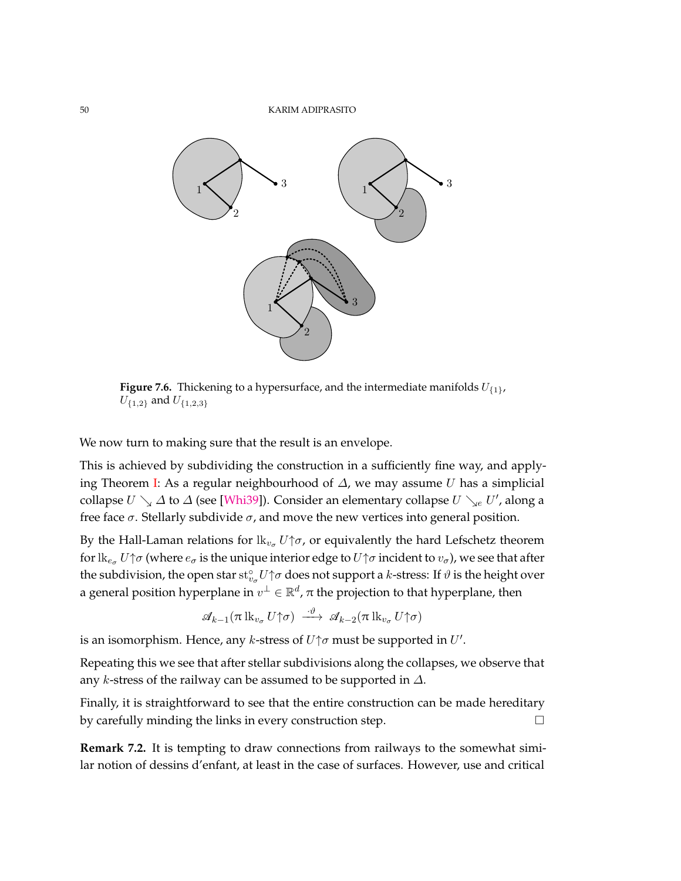<span id="page-49-0"></span>

**Figure 7.6.** Thickening to a hypersurface, and the intermediate manifolds *U*{1}, *U*{1*,*2} and *U*{1*,*2*,*3}

We now turn to making sure that the result is an envelope.

This is achieved by subdividing the construction in a sufficiently fine way, and applying Theorem [I:](#page-1-0) As a regular neighbourhood of *∆*, we may assume *U* has a simplicial collapse  $U \searrow \Delta$  to  $\Delta$  (see [\[Whi39\]](#page-74-1)). Consider an elementary collapse  $U \searrow_e U'$ , along a free face  $σ$ . Stellarly subdivide  $σ$ , and move the new vertices into general position.

By the Hall-Laman relations for  $\mathit{lk}_{v_{\sigma}} U \uparrow \sigma$ , or equivalently the hard Lefschetz theorem for  $\text{lk}_{e_{\sigma}} U \uparrow \sigma$  (where  $e_{\sigma}$  is the unique interior edge to  $U \uparrow \sigma$  incident to  $v_{\sigma}$ ), we see that after the subdivision, the open star  $\mathrm{st}^\circ_{v_\sigma}U\!\!\uparrow\!\sigma$  does not support a *k*-stress: If  $\vartheta$  is the height over a general position hyperplane in  $v^\perp \in \mathbb{R}^d$ ,  $\pi$  the projection to that hyperplane, then

$$
\mathscr{A}_{k-1}(\pi\operatorname{lk}_{v_{\sigma}} U\gamma\sigma) \xrightarrow{\cdot\vartheta} \mathscr{A}_{k-2}(\pi\operatorname{lk}_{v_{\sigma}} U\gamma\sigma)
$$

is an isomorphism. Hence, any *k*-stress of  $U\uparrow \sigma$  must be supported in  $U'$ .

Repeating this we see that after stellar subdivisions along the collapses, we observe that any *k*-stress of the railway can be assumed to be supported in *∆*.

Finally, it is straightforward to see that the entire construction can be made hereditary by carefully minding the links in every construction step.

**Remark 7.2.** It is tempting to draw connections from railways to the somewhat similar notion of dessins d'enfant, at least in the case of surfaces. However, use and critical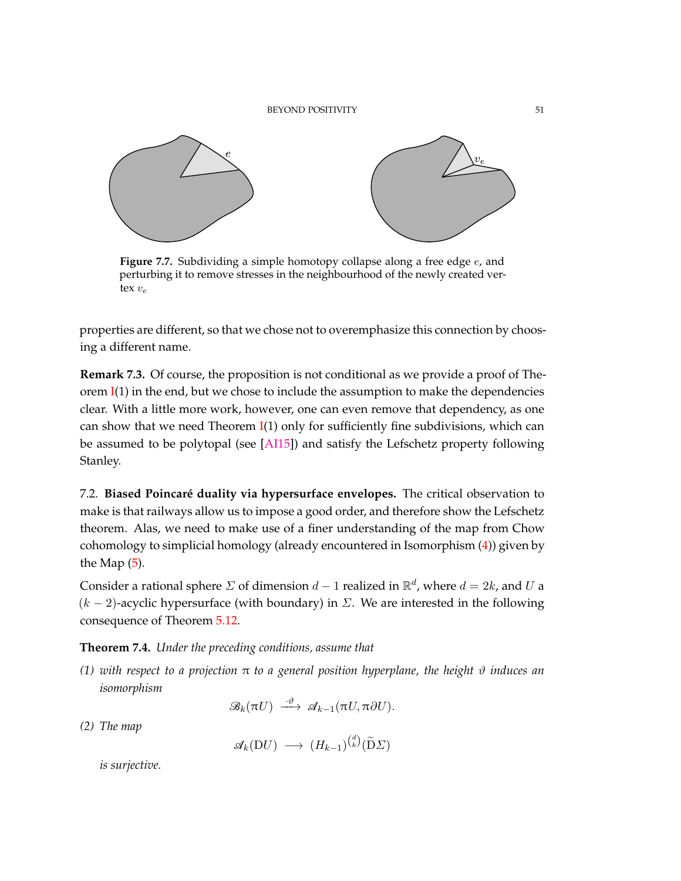<span id="page-50-1"></span>

**Figure 7.7.** Subdividing a simple homotopy collapse along a free edge *e*, and perturbing it to remove stresses in the neighbourhood of the newly created vertex  $v_e$ 

properties are different, so that we chose not to overemphasize this connection by choosing a different name.

**Remark 7.3.** Of course, the proposition is not conditional as we provide a proof of Theorem  $I(1)$  $I(1)$  in the end, but we chose to include the assumption to make the dependencies clear. With a little more work, however, one can even remove that dependency, as one can show that we need Theorem  $I(1)$  $I(1)$  only for sufficiently fine subdivisions, which can be assumed to be polytopal (see [\[AI15\]](#page-71-1)) and satisfy the Lefschetz property following Stanley.

7.2. **Biased Poincaré duality via hypersurface envelopes.** The critical observation to make is that railways allow us to impose a good order, and therefore show the Lefschetz theorem. Alas, we need to make use of a finer understanding of the map from Chow cohomology to simplicial homology (already encountered in Isomorphism [\(4\)](#page-16-1)) given by the Map [\(5\)](#page-17-0).

Consider a rational sphere  $\Sigma$  of dimension  $d-1$  realized in  $\mathbb{R}^d$ , where  $d=2k$ , and  $U$  a  $(k-2)$ -acyclic hypersurface (with boundary) in  $\Sigma$ . We are interested in the following consequence of Theorem [5.12.](#page-36-0)

<span id="page-50-0"></span>**Theorem 7.4.** *Under the preceding conditions, assume that*

*(1) with respect to a projection* π *to a general position hyperplane, the height ϑ induces an isomorphism*

$$
\mathscr{B}_k(\pi U) \stackrel{\cdot \vartheta}{\longrightarrow} \mathscr{A}_{k-1}(\pi U, \pi \partial U).
$$

*(2) The map*

 $\mathscr{A}_k(\mathrm{D}U) \longrightarrow (H_{k-1})^{\binom{d}{k}}(\widetilde{\mathrm{D}}\Sigma)$ 

*is surjective.*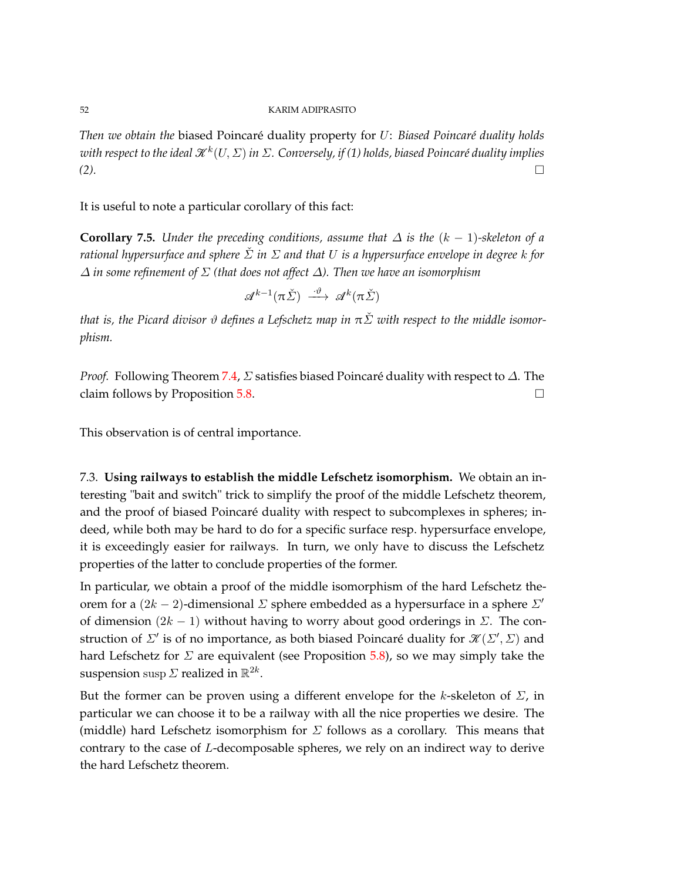*Then we obtain the* biased Poincaré duality property for *U*: *Biased Poincaré duality holds with respect to the ideal* K*<sup>k</sup>* (*U, Σ*) *in Σ. Conversely, if (1) holds, biased Poincaré duality implies (2).*

It is useful to note a particular corollary of this fact:

**Corollary 7.5.** *Under the preceding conditions, assume that*  $\Delta$  *is the*  $(k - 1)$ -skeleton of a *rational hypersurface and sphere Σ*ˇ *in Σ and that U is a hypersurface envelope in degree k for ∆ in some refinement of Σ (that does not affect ∆). Then we have an isomorphism*

$$
\mathscr{A}^{k-1}(\pi\check{\Sigma}) \stackrel{\cdot\vartheta}{\longrightarrow} \mathscr{A}^k(\pi\check{\Sigma})
$$

*that is, the Picard divisor ϑ defines a Lefschetz map in* π*Σ*ˇ *with respect to the middle isomorphism.*

*Proof.* Following Theorem [7.4,](#page-50-0) *Σ* satisfies biased Poincaré duality with respect to *∆*. The claim follows by Proposition [5.8.](#page-30-0)  $\Box$ 

This observation is of central importance.

7.3. **Using railways to establish the middle Lefschetz isomorphism.** We obtain an interesting "bait and switch" trick to simplify the proof of the middle Lefschetz theorem, and the proof of biased Poincaré duality with respect to subcomplexes in spheres; indeed, while both may be hard to do for a specific surface resp. hypersurface envelope, it is exceedingly easier for railways. In turn, we only have to discuss the Lefschetz properties of the latter to conclude properties of the former.

In particular, we obtain a proof of the middle isomorphism of the hard Lefschetz theorem for a  $(2k − 2)$ -dimensional *Σ* sphere embedded as a hypersurface in a sphere *Σ'* of dimension (2*k* − 1) without having to worry about good orderings in *Σ*. The construction of  $\Sigma'$  is of no importance, as both biased Poincaré duality for  $\mathcal{K}(\Sigma', \Sigma)$  and hard Lefschetz for *Σ* are equivalent (see Proposition [5.8\)](#page-30-0), so we may simply take the suspension  $\sup \mathit{\Sigma}$  realized in  $\mathbb{R}^{2k}.$ 

But the former can be proven using a different envelope for the *k*-skeleton of *Σ*, in particular we can choose it to be a railway with all the nice properties we desire. The (middle) hard Lefschetz isomorphism for *Σ* follows as a corollary. This means that contrary to the case of *L*-decomposable spheres, we rely on an indirect way to derive the hard Lefschetz theorem.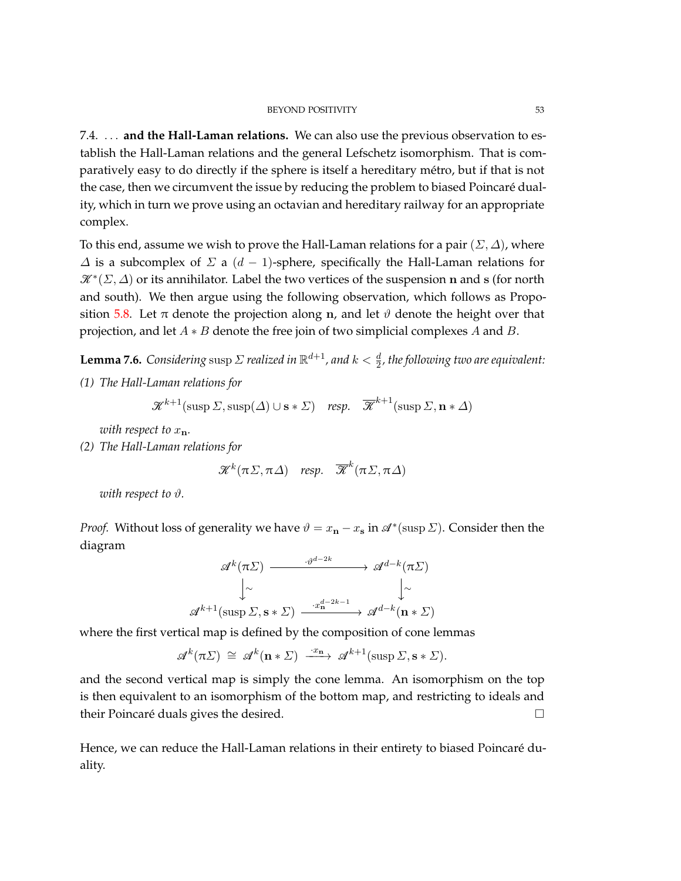## BEYOND POSITIVITY 53

7.4. *. . .* **and the Hall-Laman relations.** We can also use the previous observation to establish the Hall-Laman relations and the general Lefschetz isomorphism. That is comparatively easy to do directly if the sphere is itself a hereditary métro, but if that is not the case, then we circumvent the issue by reducing the problem to biased Poincaré duality, which in turn we prove using an octavian and hereditary railway for an appropriate complex.

To this end, assume we wish to prove the Hall-Laman relations for a pair (*Σ, ∆*), where *∆* is a subcomplex of *Σ* a (*d* − 1)-sphere, specifically the Hall-Laman relations for K<sup>∗</sup> (*Σ, ∆*) or its annihilator. Label the two vertices of the suspension **n** and **s** (for north and south). We then argue using the following observation, which follows as Propo-sition [5.8.](#page-30-0) Let  $\pi$  denote the projection along **n**, and let  $\vartheta$  denote the height over that projection, and let *A* ∗ *B* denote the free join of two simplicial complexes *A* and *B*.

<span id="page-52-0"></span> ${\bf Lemma 7.6.}$  *Considering susp*  $\Sigma$  *realized in*  $\mathbb{R}^{d+1}$ *, and*  $k<\frac{d}{2}$ *, the following two are equivalent: (1) The Hall-Laman relations for*

$$
\mathcal{K}^{k+1}(\text{sup }\Sigma,\text{sup}(\Delta)\cup\mathbf{s}*\Sigma)
$$
 resp.  $\overline{\mathcal{K}}^{k+1}(\text{sup }\Sigma,\mathbf{n}*\Delta)$ 

*with respect to*  $x_n$ *.* 

*(2) The Hall-Laman relations for*

$$
\mathcal{K}^k(\pi\Sigma,\pi\Delta) \quad resp. \quad \overline{\mathcal{K}}^k(\pi\Sigma,\pi\Delta)
$$

*with respect to ϑ.*

*Proof.* Without loss of generality we have  $\vartheta = x_{n} - x_{s}$  in  $\mathscr{A}^{*}(\sup \Sigma)$ . Consider then the diagram

$$
\mathcal{A}^{k}(\pi \Sigma) \xrightarrow{\cdot \vartheta^{d-2k}} \mathcal{A}^{d-k}(\pi \Sigma)
$$
\n
$$
\downarrow \sim \qquad \qquad \downarrow \sim
$$
\n
$$
\mathcal{A}^{k+1}(\text{supp }\Sigma, \mathbf{s} * \Sigma) \xrightarrow{\cdot x_{\mathbf{n}}^{d-2k-1}} \mathcal{A}^{d-k}(\mathbf{n} * \Sigma)
$$

where the first vertical map is defined by the composition of cone lemmas

 $\mathscr{A}^k(\pi \Sigma) \cong \mathscr{A}^k(\mathbf{n} * \Sigma) \xrightarrow{\cdot x_\mathbf{n}} \mathscr{A}^{k+1}(\text{supp }\Sigma, \mathbf{s} * \Sigma).$ 

and the second vertical map is simply the cone lemma. An isomorphism on the top is then equivalent to an isomorphism of the bottom map, and restricting to ideals and their Poincaré duals gives the desired.

Hence, we can reduce the Hall-Laman relations in their entirety to biased Poincaré duality.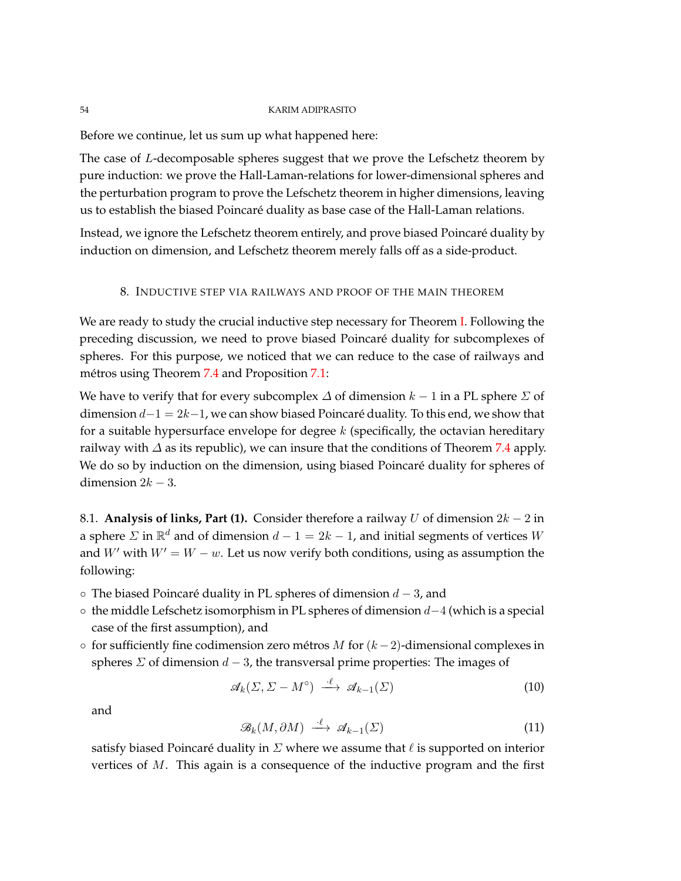Before we continue, let us sum up what happened here:

The case of *L*-decomposable spheres suggest that we prove the Lefschetz theorem by pure induction: we prove the Hall-Laman-relations for lower-dimensional spheres and the perturbation program to prove the Lefschetz theorem in higher dimensions, leaving us to establish the biased Poincaré duality as base case of the Hall-Laman relations.

Instead, we ignore the Lefschetz theorem entirely, and prove biased Poincaré duality by induction on dimension, and Lefschetz theorem merely falls off as a side-product.

# 8. INDUCTIVE STEP VIA RAILWAYS AND PROOF OF THE MAIN THEOREM

<span id="page-53-0"></span>We are ready to study the crucial inductive step necessary for Theorem [I.](#page-1-0) Following the preceding discussion, we need to prove biased Poincaré duality for subcomplexes of spheres. For this purpose, we noticed that we can reduce to the case of railways and métros using Theorem [7.4](#page-50-0) and Proposition [7.1:](#page-48-1)

We have to verify that for every subcomplex  $\Delta$  of dimension  $k - 1$  in a PL sphere  $\Sigma$  of dimension *d*−1 = 2*k*−1, we can show biased Poincaré duality. To this end, we show that for a suitable hypersurface envelope for degree *k* (specifically, the octavian hereditary railway with  $\Delta$  as its republic), we can insure that the conditions of Theorem [7.4](#page-50-0) apply. We do so by induction on the dimension, using biased Poincaré duality for spheres of dimension  $2k - 3$ .

8.1. **Analysis of links, Part (1).** Consider therefore a railway *U* of dimension  $2k - 2$  in a sphere *Σ* in R *<sup>d</sup>* and of dimension *d* − 1 = 2*k* − 1, and initial segments of vertices *W* and *W*<sup> $\prime$ </sup> with  $W' = W - w$ . Let us now verify both conditions, using as assumption the following:

- The biased Poincaré duality in PL spheres of dimension *d* − 3, and
- the middle Lefschetz isomorphism in PL spheres of dimension *d*−4 (which is a special case of the first assumption), and
- for sufficiently fine codimension zero métros *M* for (*k* −2)-dimensional complexes in spheres *Σ* of dimension *d* − 3, the transversal prime properties: The images of

<span id="page-53-1"></span>
$$
\mathcal{A}_k(\Sigma, \Sigma - M^\circ) \stackrel{\cdot \ell}{\longrightarrow} \mathcal{A}_{k-1}(\Sigma) \tag{10}
$$

and

$$
\mathcal{B}_k(M, \partial M) \stackrel{\cdot \ell}{\longrightarrow} \mathcal{A}_{k-1}(\Sigma) \tag{11}
$$

satisfy biased Poincaré duality in  $\Sigma$  where we assume that  $\ell$  is supported on interior vertices of *M*. This again is a consequence of the inductive program and the first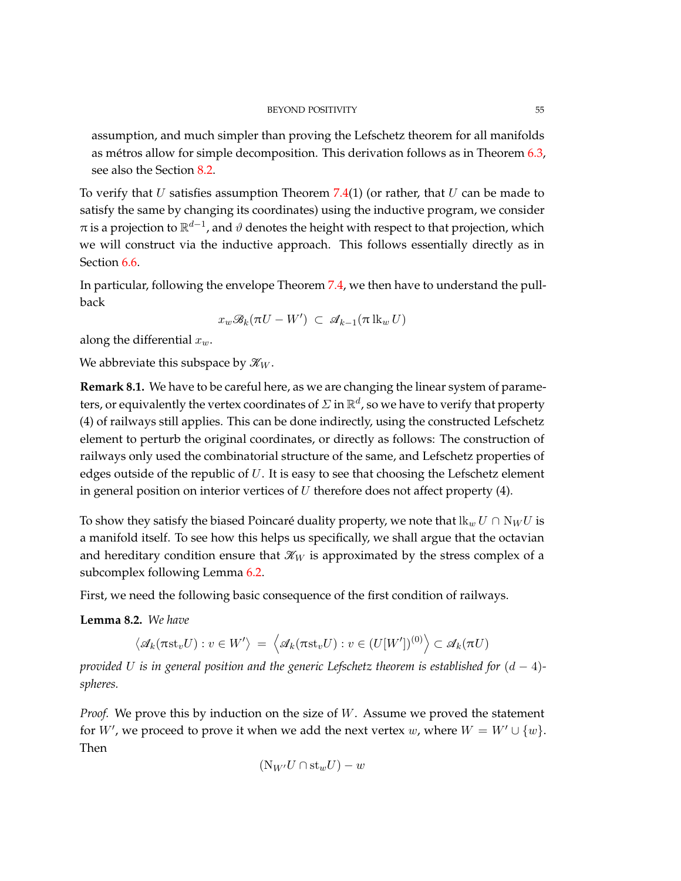assumption, and much simpler than proving the Lefschetz theorem for all manifolds as métros allow for simple decomposition. This derivation follows as in Theorem [6.3,](#page-41-0) see also the Section [8.2.](#page-55-0)

To verify that *U* satisfies assumption Theorem [7.4\(](#page-50-0)1) (or rather, that *U* can be made to satisfy the same by changing its coordinates) using the inductive program, we consider  $\pi$  is a projection to  $\mathbb{R}^{d-1}$ , and  $\vartheta$  denotes the height with respect to that projection, which we will construct via the inductive approach. This follows essentially directly as in Section [6.6.](#page-43-0)

In particular, following the envelope Theorem [7.4,](#page-50-0) we then have to understand the pullback

$$
x_w \mathcal{B}_k(\pi U - W') \subset \mathcal{A}_{k-1}(\pi \mathop{\rm lk}_w U)
$$

along the differential *xw*.

We abbreviate this subspace by  $\mathcal{K}_W$ .

**Remark 8.1.** We have to be careful here, as we are changing the linear system of parameters, or equivalently the vertex coordinates of  $\varSigma$  in  $\mathbb{R}^d$ , so we have to verify that property (4) of railways still applies. This can be done indirectly, using the constructed Lefschetz element to perturb the original coordinates, or directly as follows: The construction of railways only used the combinatorial structure of the same, and Lefschetz properties of edges outside of the republic of *U*. It is easy to see that choosing the Lefschetz element in general position on interior vertices of *U* therefore does not affect property (4).

To show they satisfy the biased Poincaré duality property, we note that  $\mathbf{lk}_w U \cap \mathbf{N}_W U$  is a manifold itself. To see how this helps us specifically, we shall argue that the octavian and hereditary condition ensure that  $\mathcal{K}_W$  is approximated by the stress complex of a subcomplex following Lemma [6.2.](#page-38-0)

First, we need the following basic consequence of the first condition of railways.

**Lemma 8.2.** *We have*

$$
\big\langle {\mathscr{A}}_k(\pi\mathrm{st}_v U): v\in W'\big\rangle\,=\, \big\langle {\mathscr{A}}_k(\pi\mathrm{st}_v U): v\in (U[W'])^{(0)}\big\rangle\subset {\mathscr{A}}_k(\pi U)
$$

*provided U is in general position and the generic Lefschetz theorem is established for* (*d* − 4) *spheres.*

*Proof.* We prove this by induction on the size of *W*. Assume we proved the statement for *W'*, we proceed to prove it when we add the next vertex *w*, where  $W = W' \cup \{w\}$ . Then

$$
(\mathrm{N}_{W'}U\cap \mathrm{st}_wU)-w
$$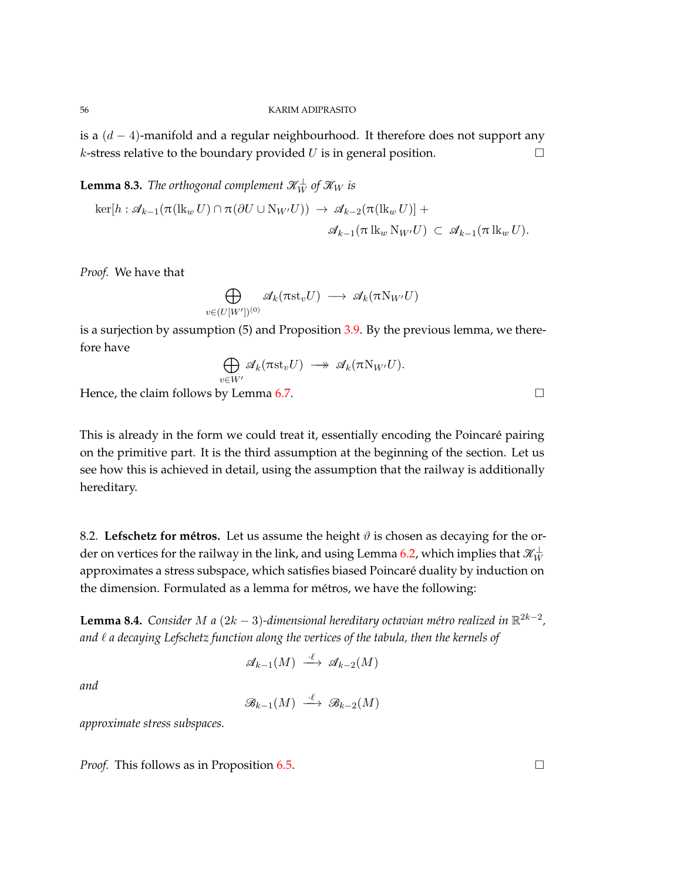is a (*d* − 4)-manifold and a regular neighbourhood. It therefore does not support any *k*-stress relative to the boundary provided *U* is in general position.

 ${\bf Lemma}$  8.3. *The orthogonal complement*  $\mathscr{K}_W^{\perp}$  *of*  $\mathscr{K}_W$  *is* 

$$
\ker[h : \mathscr{A}_{k-1}(\pi(\operatorname{lk}_{w} U) \cap \pi(\partial U \cup \operatorname{N}_{W'} U)) \to \mathscr{A}_{k-2}(\pi(\operatorname{lk}_{w} U)) +
$$
  

$$
\mathscr{A}_{k-1}(\pi \operatorname{lk}_{w} \operatorname{N}_{W'} U) \subset \mathscr{A}_{k-1}(\pi \operatorname{lk}_{w} U).
$$

*Proof.* We have that

$$
\bigoplus_{v \in (U[W'])^{(0)}} \mathscr{A}_k(\pi \mathrm{st}_v U) \longrightarrow \mathscr{A}_k(\pi \mathrm{N}_{W'} U)
$$

is a surjection by assumption  $(5)$  and Proposition [3.9.](#page-16-0) By the previous lemma, we therefore have

$$
\bigoplus_{v \in W'} \mathscr{A}_k(\pi \mathrm{st}_v U) \longrightarrow \mathscr{A}_k(\pi \mathrm{N}_{W'} U).
$$

Hence, the claim follows by Lemma [6.7.](#page-45-0)  $\Box$ 

This is already in the form we could treat it, essentially encoding the Poincaré pairing on the primitive part. It is the third assumption at the beginning of the section. Let us see how this is achieved in detail, using the assumption that the railway is additionally hereditary.

<span id="page-55-0"></span>8.2. Lefschetz for métros. Let us assume the height  $\vartheta$  is chosen as decaying for the order on vertices for the railway in the link*,* and using Lemma [6.2,](#page-38-0) which implies that  $\mathscr{K}^{\perp}_W$ approximates a stress subspace, which satisfies biased Poincaré duality by induction on the dimension. Formulated as a lemma for métros, we have the following:

<span id="page-55-1"></span>**Lemma 8.4.** *Consider M a* (2*k* − 3)*-dimensional hereditary octavian métro realized in* R 2*k*−2 *, and ` a decaying Lefschetz function along the vertices of the tabula, then the kernels of*

$$
\mathscr{A}_{k-1}(M) \stackrel{\cdot \ell}{\longrightarrow} \mathscr{A}_{k-2}(M)
$$

*and*

$$
\mathcal{B}_{k-1}(M) \xrightarrow{\cdot \ell} \mathcal{B}_{k-2}(M)
$$

*approximate stress subspaces.*

*Proof.* This follows as in Proposition [6.5.](#page-43-1) □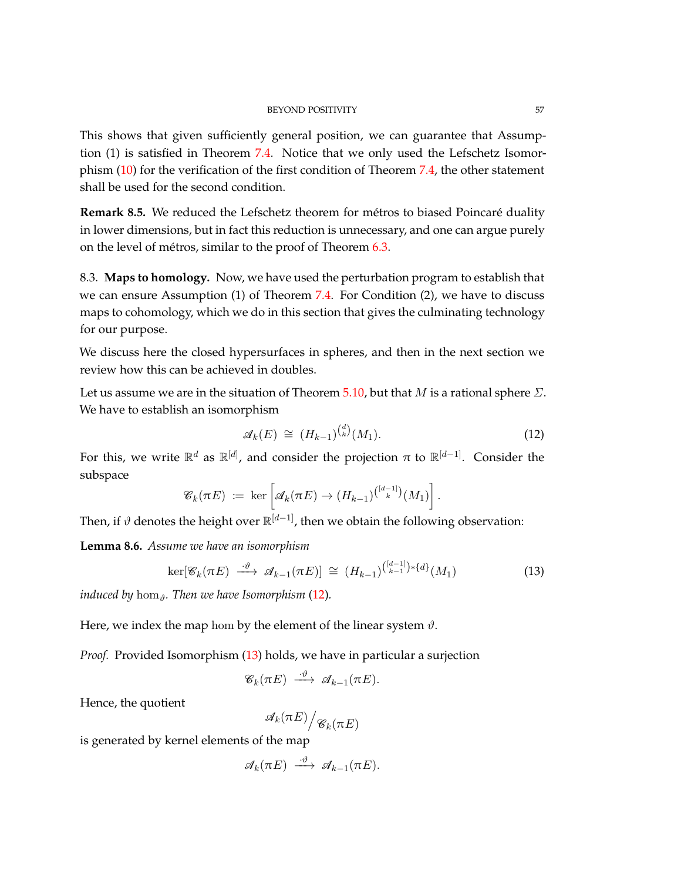This shows that given sufficiently general position, we can guarantee that Assumption (1) is satisfied in Theorem [7.4.](#page-50-0) Notice that we only used the Lefschetz Isomorphism [\(10\)](#page-53-1) for the verification of the first condition of Theorem [7.4,](#page-50-0) the other statement shall be used for the second condition.

**Remark 8.5.** We reduced the Lefschetz theorem for métros to biased Poincaré duality in lower dimensions, but in fact this reduction is unnecessary, and one can argue purely on the level of métros, similar to the proof of Theorem [6.3.](#page-41-0)

8.3. **Maps to homology.** Now, we have used the perturbation program to establish that we can ensure Assumption (1) of Theorem [7.4.](#page-50-0) For Condition (2), we have to discuss maps to cohomology, which we do in this section that gives the culminating technology for our purpose.

We discuss here the closed hypersurfaces in spheres, and then in the next section we review how this can be achieved in doubles.

Let us assume we are in the situation of Theorem [5.10,](#page-32-0) but that *M* is a rational sphere *Σ*. We have to establish an isomorphism

<span id="page-56-0"></span>
$$
\mathscr{A}_k(E) \cong (H_{k-1})^{d \choose k} (M_1). \tag{12}
$$

For this, we write  $\mathbb{R}^d$  as  $\mathbb{R}^{[d]}$ , and consider the projection  $\pi$  to  $\mathbb{R}^{[d-1]}$ . Consider the subspace

$$
\mathscr{C}_k(\pi E) \coloneqq \ker \left[ \mathscr{A}_k(\pi E) \to (H_{k-1})^{\binom{[d-1]}{k}} (M_1) \right].
$$

Then, if *ϑ* denotes the height over R [*d*−1], then we obtain the following observation:

<span id="page-56-2"></span>**Lemma 8.6.** *Assume we have an isomorphism*

<span id="page-56-1"></span>
$$
\ker[\mathscr{C}_k(\pi E) \xrightarrow{\cdot \vartheta} \mathscr{A}_{k-1}(\pi E)] \cong (H_{k-1})^{\binom{[d-1]}{k-1}*\{d\}}(M_1)
$$
 (13)

*induced by* hom*ϑ. Then we have Isomorphism* [\(12\)](#page-56-0)*.*

Here, we index the map hom by the element of the linear system  $\vartheta$ .

*Proof.* Provided Isomorphism [\(13\)](#page-56-1) holds, we have in particular a surjection

$$
\mathscr{C}_k(\pi E) \ \stackrel{\cdot \vartheta}{\longrightarrow} \ \mathscr{A}_{k-1}(\pi E).
$$

Hence, the quotient

$$
{\mathscr{A}}_k(\pi E)\Big/{\mathscr{C}}_k(\pi E)
$$

is generated by kernel elements of the map

$$
\mathscr{A}_k(\pi E) \stackrel{\cdot \vartheta}{\longrightarrow} \mathscr{A}_{k-1}(\pi E).
$$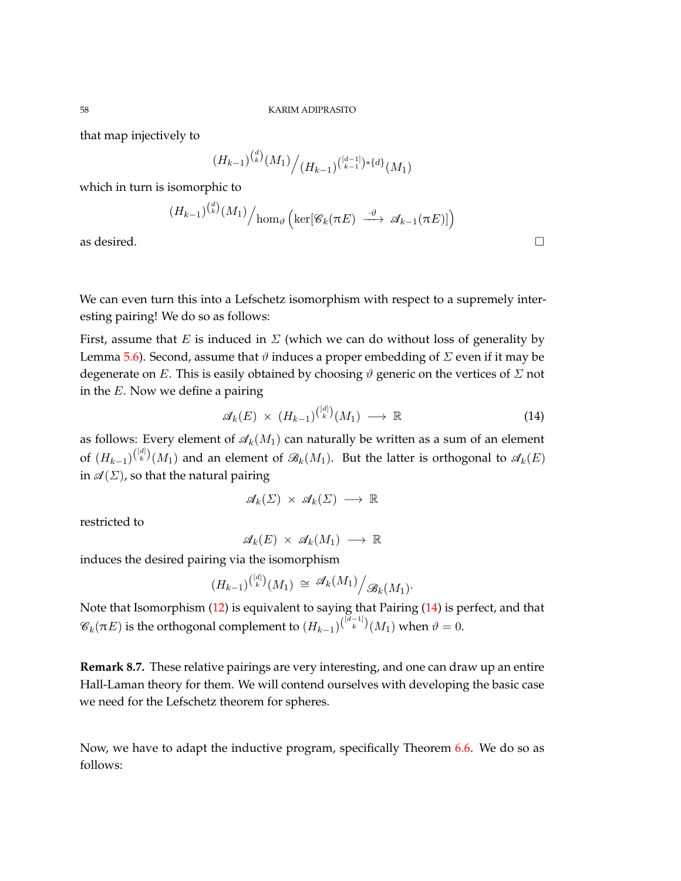that map injectively to

$$
(H_{k-1})^{d \choose k} (M_1) / (H_{k-1})^{{d-1 \choose k-1} * \{d\}} (M_1)
$$

which in turn is isomorphic to

$$
(H_{k-1})^{\binom{d}{k}}(M_1)\Big/\text{hom}_{\vartheta}\left(\text{ker}[\mathscr{C}_k(\pi E)\ \stackrel{\cdot\vartheta}{\longrightarrow}\ \mathscr{A}_{k-1}(\pi E)]\right)
$$

as desired.  $\Box$ 

We can even turn this into a Lefschetz isomorphism with respect to a supremely interesting pairing! We do so as follows:

First, assume that *E* is induced in  $\Sigma$  (which we can do without loss of generality by Lemma [5.6\)](#page-29-0). Second, assume that  $\vartheta$  induces a proper embedding of  $\Sigma$  even if it may be degenerate on *E*. This is easily obtained by choosing *ϑ* generic on the vertices of *Σ* not in the *E*. Now we define a pairing

<span id="page-57-0"></span>
$$
\mathcal{A}_k(E) \times (H_{k-1})^{\binom{[d]}{k}} (M_1) \longrightarrow \mathbb{R} \tag{14}
$$

as follows: Every element of  $\mathcal{A}_k(M_1)$  can naturally be written as a sum of an element of  $(H_{k-1})^{([d])}(M_1)$  and an element of  $\mathscr{B}_k(M_1)$ . But the latter is orthogonal to  $\mathscr{A}_k(E)$ in  $\mathscr{A}(\Sigma)$ , so that the natural pairing

$$
\mathscr{A}_k(\Sigma) \times \mathscr{A}_k(\Sigma) \longrightarrow \mathbb{R}
$$

restricted to

 $\mathscr{A}_k(E) \times \mathscr{A}_k(M_1) \longrightarrow \mathbb{R}$ 

induces the desired pairing via the isomorphism

$$
(H_{k-1})^{\binom{[d]}{k}}(M_1) \cong \mathscr{A}_k(M_1) / \mathscr{B}_k(M_1)
$$

Note that Isomorphism [\(12\)](#page-56-0) is equivalent to saying that Pairing [\(14\)](#page-57-0) is perfect, and that  $\mathscr{C}_k(\pi E)$  is the orthogonal complement to  $(H_{k-1})^{\binom{[d-1]}{k}}(M_1)$  when  $\vartheta = 0.$ 

**Remark 8.7.** These relative pairings are very interesting, and one can draw up an entire Hall-Laman theory for them. We will contend ourselves with developing the basic case we need for the Lefschetz theorem for spheres.

Now, we have to adapt the inductive program, specifically Theorem [6.6.](#page-44-0) We do so as follows: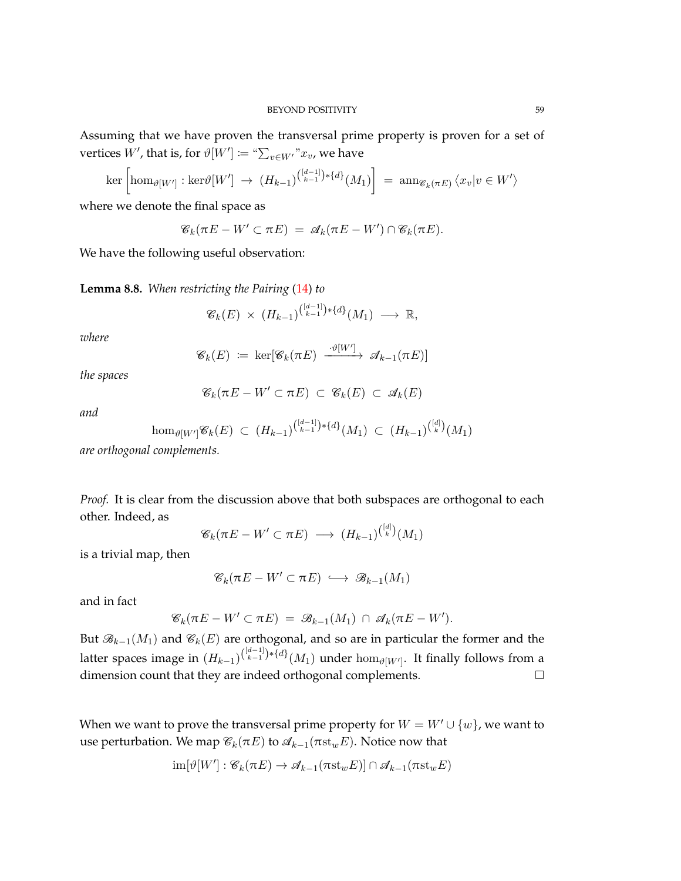Assuming that we have proven the transversal prime property is proven for a set of vertices  $W'$ , that is, for  $\vartheta[W']\coloneqq \text{``}\sum_{v\in W'}\text{''}x_v$ , we have

$$
\ker\left[\hom_{\vartheta[W']}:\ker\vartheta[W']\rightarrow (H_{k-1})^{\binom{[d-1]}{k-1}*\{d\}}(M_1)\right] = \operatorname{ann}_{\mathscr{C}_k(\pi E)}\langle x_v|v\in W'\rangle
$$

where we denote the final space as

$$
\mathscr{C}_k(\pi E - W' \subset \pi E) = \mathscr{A}_k(\pi E - W') \cap \mathscr{C}_k(\pi E).
$$

We have the following useful observation:

<span id="page-58-0"></span>**Lemma 8.8.** *When restricting the Pairing* [\(14\)](#page-57-0) *to*

$$
\mathcal{C}_k(E) \times (H_{k-1})^{\binom{[d-1]}{k-1}*\{d\}}(M_1) \longrightarrow \mathbb{R},
$$

*where*

$$
\mathscr{C}_k(E) \coloneqq \ker[\mathscr{C}_k(\pi E) \xrightarrow{\cdot \vartheta[W']} \mathscr{A}_{k-1}(\pi E)]
$$

*the spaces*

$$
\mathscr{C}_k(\pi E - W' \subset \pi E) \subset \mathscr{C}_k(E) \subset \mathscr{A}_k(E)
$$

*and*

$$
\hom_{\vartheta[W']} \mathscr{C}_k(E) \ \subset \ (H_{k-1})^{\binom{[d-1]}{k-1}*\{d\}}(M_1) \ \subset \ (H_{k-1})^{\binom{[d]}{k}}(M_1)
$$

*are orthogonal complements.*

*Proof.* It is clear from the discussion above that both subspaces are orthogonal to each other. Indeed, as [*d*]

$$
\mathscr{C}_k(\pi E - W' \subset \pi E) \longrightarrow (H_{k-1})^{\binom{[d]}{k}}(M_1)
$$

is a trivial map, then

$$
\mathscr{C}_k(\pi E - W' \subset \pi E) \,\,\hookrightarrow\,\, \mathscr{B}_{k-1}(M_1)
$$

and in fact

$$
\mathcal{C}_k(\pi E - W' \subset \pi E) = \mathcal{B}_{k-1}(M_1) \cap \mathcal{A}_k(\pi E - W').
$$

But  $\mathcal{B}_{k-1}(M_1)$  and  $\mathcal{C}_k(E)$  are orthogonal, and so are in particular the former and the latter spaces image in  $(H_{k-1})^{[\frac{[d-1]}{k-1})*\{d\}}(M_1)$  under  $\hom_{\vartheta[W']}$ . It finally follows from a dimension count that they are indeed orthogonal complements.

When we want to prove the transversal prime property for  $W = W' \cup \{w\}$ , we want to use perturbation. We map  $\mathcal{C}_k(\pi E)$  to  $\mathcal{A}_{k-1}(\pi \text{st}_w E)$ . Notice now that

$$
\operatorname{im}[\vartheta[W'] : \mathscr{C}_k(\pi E) \to \mathscr{A}_{k-1}(\pi \operatorname{st}_w E)] \cap \mathscr{A}_{k-1}(\pi \operatorname{st}_w E)
$$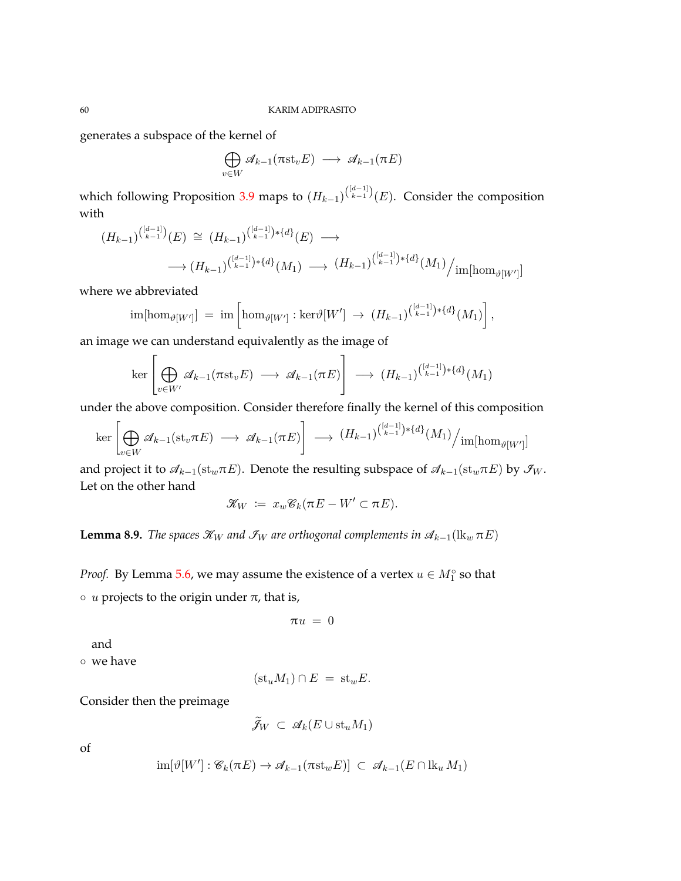generates a subspace of the kernel of

$$
\bigoplus_{v \in W} \mathscr{A}_{k-1}(\pi \mathrm{st}_v E) \longrightarrow \mathscr{A}_{k-1}(\pi E)
$$

which following Proposition [3.9](#page-16-0) maps to  $(H_{k-1})^{(\frac{[d-1]}{k-1})}(E)$ . Consider the composition with

$$
(H_{k-1})^{(\binom{[d-1]}{k-1})}(E) \cong (H_{k-1})^{(\binom{[d-1]}{k-1}*\{d\}}(E) \longrightarrow
$$
  

$$
\longrightarrow (H_{k-1})^{(\binom{[d-1]}{k-1}*\{d\}}(M_1) \longrightarrow (H_{k-1})^{(\binom{[d-1]}{k-1}*\{d\}}(M_1) / \text{im}[\text{hom}_{\vartheta[W']}]
$$

where we abbreviated

$$
\text{im}[\text{hom}_{\vartheta[W']}] = \text{im}\left[\text{hom}_{\vartheta[W']} : \text{ker}\vartheta[W'] \rightarrow (H_{k-1})^{(\frac{[d-1]}{k-1})*\{d\}}(M_1)\right],
$$

an image we can understand equivalently as the image of

$$
\ker \left[\bigoplus_{v \in W'} \mathscr{A}_{k-1}(\pi \mathrm{st}_v E) \longrightarrow \mathscr{A}_{k-1}(\pi E)\right] \longrightarrow (H_{k-1})^{\binom{[d-1]}{k-1}*\{d\}}(M_1)
$$

under the above composition. Consider therefore finally the kernel of this composition

$$
\ker \left[\bigoplus_{v \in W} \mathscr{A}_{k-1}(\mathrm{st}_v \pi E) \longrightarrow \mathscr{A}_{k-1}(\pi E)\right] \longrightarrow (H_{k-1})^{(\frac{[d-1]}{k-1}) \ast \{d\}}(M_1) / \mathrm{im}[\hom_{\vartheta[W']}]
$$

and project it to  $\mathcal{A}_{k-1}(\mathrm{st}_w \pi E)$ . Denote the resulting subspace of  $\mathcal{A}_{k-1}(\mathrm{st}_w \pi E)$  by  $\mathcal{I}_W$ . Let on the other hand

$$
\mathscr{K}_W := x_w \mathscr{C}_k(\pi E - W' \subset \pi E).
$$

**Lemma 8.9.** *The spaces*  $\mathcal{K}_W$  *and*  $\mathcal{F}_W$  *are orthogonal complements in*  $\mathcal{A}_{k-1}(\mathbf{lk}_w \pi E)$ 

*Proof.* By Lemma [5.6,](#page-29-0) we may assume the existence of a vertex  $u \in M_1^{\circ}$  so that

 $\circ$  *u* projects to the origin under  $\pi$ , that is,

$$
\pi u\ =\ 0
$$

and

◦ we have

$$
(\mathrm{st}_u M_1) \cap E = \mathrm{st}_w E.
$$

Consider then the preimage

$$
\tilde{\mathcal{J}}_W \,\subset\, \mathcal{A}_k(E \cup \text{st}_u M_1)
$$

of

$$
\operatorname{im}[\vartheta[W'] : \mathscr{C}_k(\pi E) \to \mathscr{A}_{k-1}(\pi \operatorname{st}_w E)] \subset \mathscr{A}_{k-1}(E \cap \operatorname{lk}_u M_1)
$$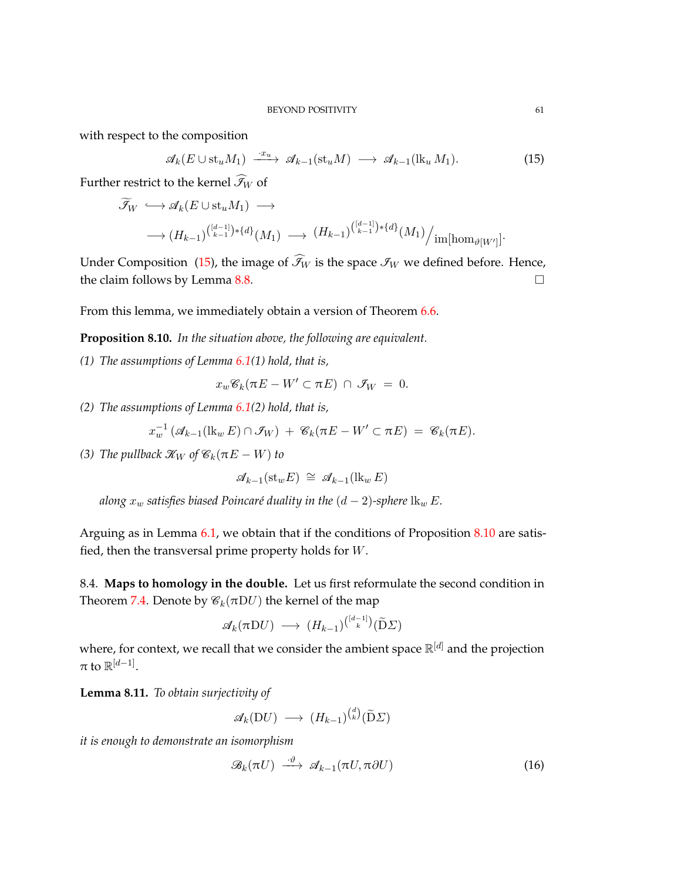with respect to the composition

<span id="page-60-0"></span>
$$
\mathcal{A}_k(E \cup \text{st}_u M_1) \xrightarrow{\cdot x_u} \mathcal{A}_{k-1}(\text{st}_u M) \longrightarrow \mathcal{A}_{k-1}(\text{lk}_u M_1). \tag{15}
$$

Further restrict to the kernel  $\widehat{S}_W$  of

$$
\widetilde{\mathcal{F}}_W \hookrightarrow \mathcal{A}_k(E \cup \mathrm{st}_u M_1) \longrightarrow
$$
  

$$
\longrightarrow (H_{k-1})^{(\begin{bmatrix} [d-1] \end{bmatrix}) \ast \{d\}}(M_1) \longrightarrow (H_{k-1})^{(\begin{bmatrix} [d-1] \end{bmatrix}) \ast \{d\}}(M_1) / \mathrm{im}[\hom_{\vartheta[W']}].
$$

Under Composition [\(15\)](#page-60-0), the image of  $\widehat{\mathcal{F}}_W$  is the space  $\mathcal{F}_W$  we defined before. Hence, the claim follows by Lemma  $8.8$ .

From this lemma, we immediately obtain a version of Theorem [6.6.](#page-44-0)

<span id="page-60-1"></span>**Proposition 8.10.** *In the situation above, the following are equivalent.*

*(1) The assumptions of Lemma [6.1\(](#page-37-0)1) hold, that is,*

$$
x_w\mathscr{C}_k(\pi E - W' \subset \pi E) \cap \mathscr{I}_W = 0.
$$

*(2) The assumptions of Lemma [6.1\(](#page-37-0)2) hold, that is,*

$$
x_w^{-1} \left( \mathcal{A}_{k-1}(\mathrm{lk}_w E) \cap \mathcal{I}_W \right) + \mathcal{C}_k(\pi E - W' \subset \pi E) = \mathcal{C}_k(\pi E).
$$

*(3) The pullback*  $\mathcal{K}_W$  *of*  $\mathcal{C}_k(\pi E - W)$  *to* 

$$
\mathcal{A}_{k-1}(\operatorname{st}_w E) \cong \mathcal{A}_{k-1}(\operatorname{lk}_w E)
$$

*along*  $x_w$  *satisfies biased Poincaré duality in the*  $(d - 2)$ *-sphere*  $\aleph_w E$ *.* 

Arguing as in Lemma [6.1,](#page-37-0) we obtain that if the conditions of Proposition [8.10](#page-60-1) are satisfied, then the transversal prime property holds for *W*.

8.4. **Maps to homology in the double.** Let us first reformulate the second condition in Theorem [7.4.](#page-50-0) Denote by  $\mathcal{C}_k(\pi D U)$  the kernel of the map

$$
\mathscr{A}_k(\pi \mathrm{D} U) \longrightarrow (H_{k-1})^{\binom{[d-1]}{k}} (\widetilde{\mathrm{D}} \Sigma)
$$

where, for context, we recall that we consider the ambient space R [*d*] and the projection  $\pi$  to  $\mathbb{R}^{[d-1]}.$ 

**Lemma 8.11.** *To obtain surjectivity of*

$$
\mathscr{A}_k(\mathrm{D}U) \longrightarrow (H_{k-1})^{\binom{d}{k}}(\widetilde{\mathrm{D}}\varSigma)
$$

*it is enough to demonstrate an isomorphism*

<span id="page-60-2"></span>
$$
\mathcal{B}_k(\pi U) \stackrel{\cdot \vartheta}{\longrightarrow} \mathcal{A}_{k-1}(\pi U, \pi \partial U) \tag{16}
$$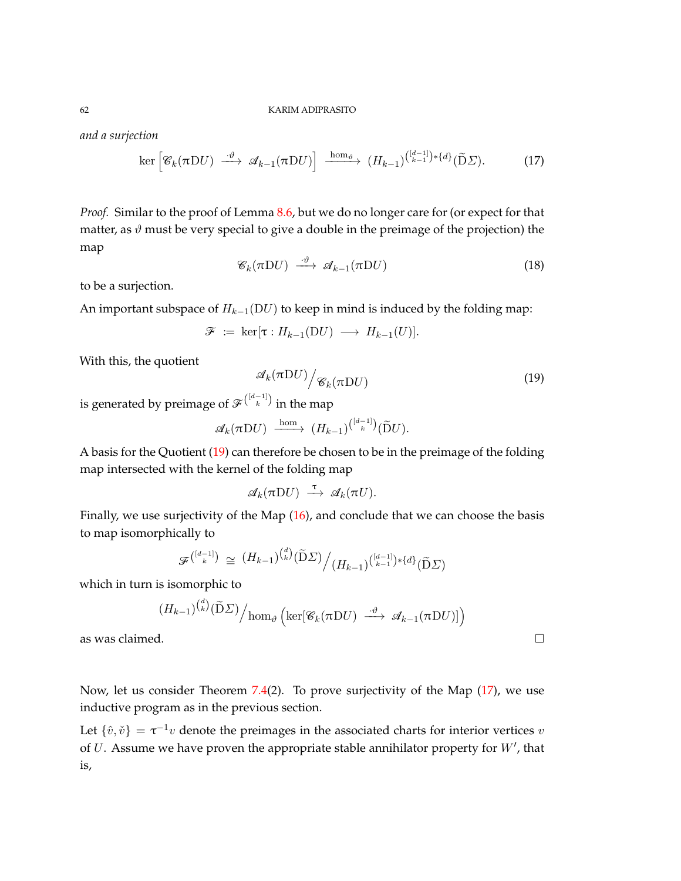*and a surjection*

<span id="page-61-1"></span>
$$
\ker \left[ \mathscr{C}_k(\pi \mathrm{D} U) \xrightarrow{\cdot \vartheta} \mathscr{A}_{k-1}(\pi \mathrm{D} U) \right] \xrightarrow{\mathrm{hom}_{\vartheta}} (H_{k-1})^{\binom{[d-1]}{k-1}*\{d\}} (\widetilde{\mathrm{D}} \Sigma). \tag{17}
$$

*Proof.* Similar to the proof of Lemma [8.6,](#page-56-2) but we do no longer care for (or expect for that matter, as  $\vartheta$  must be very special to give a double in the preimage of the projection) the map

$$
\mathcal{C}_k(\pi \mathrm{D} U) \xrightarrow{\cdot \vartheta} \mathcal{A}_{k-1}(\pi \mathrm{D} U) \tag{18}
$$

to be a surjection.

An important subspace of  $H_{k-1}(DU)$  to keep in mind is induced by the folding map:

$$
\mathcal{F} := \ker[\tau : H_{k-1}(DU) \longrightarrow H_{k-1}(U)].
$$

With this, the quotient

<span id="page-61-0"></span>
$$
\mathscr{A}_k(\pi \mathrm{D} U) / \mathscr{C}_k(\pi \mathrm{D} U) \tag{19}
$$

is generated by preimage of  $\mathscr{F}^{[\frac{d-1}{k}]}$  in the map

$$
\mathscr{A}_k(\pi \mathrm{D} U) \xrightarrow{\mathrm{hom}} (H_{k-1})^{\binom{[d-1]}{k}} (\widetilde{\mathrm{D}} U).
$$

A basis for the Quotient [\(19\)](#page-61-0) can therefore be chosen to be in the preimage of the folding map intersected with the kernel of the folding map

$$
\mathscr{A}_k(\pi DU) \stackrel{\tau}{\longrightarrow} \mathscr{A}_k(\pi U).
$$

Finally, we use surjectivity of the Map [\(16\)](#page-60-2), and conclude that we can choose the basis to map isomorphically to

$$
\mathcal{F}^{\binom{[d-1]}{k}} \cong (H_{k-1})^{\binom{d}{k}} (\widetilde{\mathbf{D}} \Sigma) / (H_{k-1})^{\binom{[d-1]}{k-1} * \{d\}} (\widetilde{\mathbf{D}} \Sigma)
$$

which in turn is isomorphic to

$$
(H_{k-1})^{(\overset{d}{k})}(\widetilde{D}\varSigma)\Big/\mathrm{hom}_{\vartheta}\left(\mathrm{ker}[\mathscr{C}_k(\pi D U) \stackrel{\cdot\vartheta}{\longrightarrow} \mathscr{A}_{k-1}(\pi D U)]\right)
$$

as was claimed.

Now, let us consider Theorem [7.4\(](#page-50-0)2). To prove surjectivity of the Map [\(17\)](#page-61-1), we use inductive program as in the previous section.

Let  $\{\hat{v}, \check{v}\} = \tau^{-1}v$  denote the preimages in the associated charts for interior vertices *v* of  $U$ . Assume we have proven the appropriate stable annihilator property for  $W'$ , that is,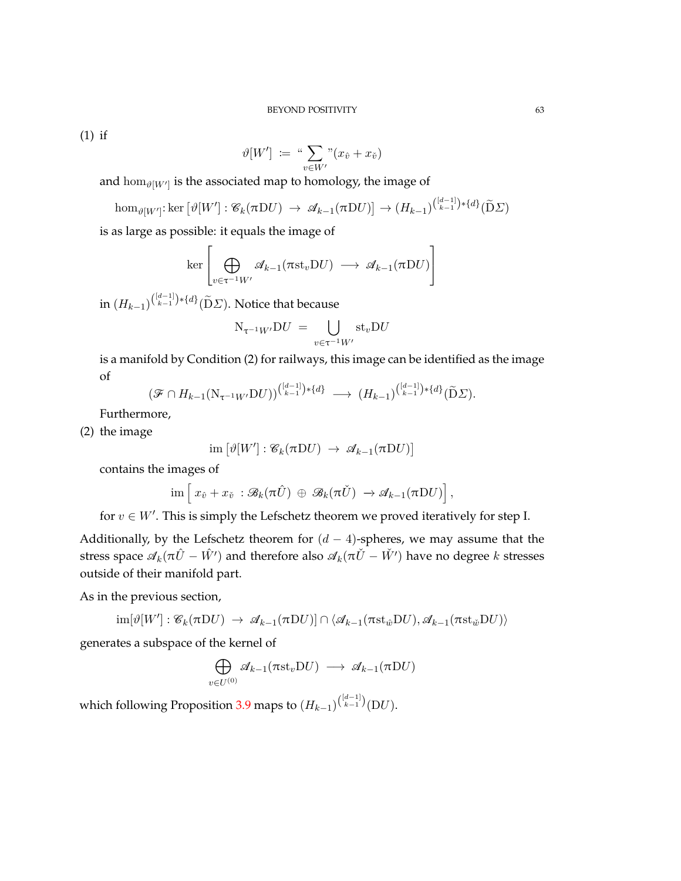(1) if

$$
\vartheta[W'] := \sqrt[u]{\sum_{v \in W'} v(x_{\hat{v}} + x_{\check{v}})}
$$

and  $\hom_{\vartheta[W']}$  is the associated map to homology, the image of

$$
\hom_{\vartheta[W']}:\ker\left[\vartheta[W'] : \mathscr{C}_k(\pi DU) \to \mathscr{A}_{k-1}(\pi DU)\right] \to (H_{k-1})^{\binom{[d-1]}{k-1}*\{d\}}(\widetilde{D}\Sigma)
$$

is as large as possible: it equals the image of

$$
\ker \left[ \bigoplus_{v \in \tau^{-1} W'} \mathscr{A}_{k-1}(\pi \mathrm{st}_v \mathrm{D} U) \longrightarrow \mathscr{A}_{k-1}(\pi \mathrm{D} U) \right]
$$

in (*Hk*−1) ( [*d*−1] *k*−1 )∗{*d*} (De*Σ*). Notice that because

$$
N_{\tau^{-1}W'}DU = \bigcup_{v \in \tau^{-1}W'} st_vDU
$$

is a manifold by Condition (2) for railways, this image can be identified as the image of

$$
(\mathcal{F} \cap H_{k-1}(N_{\tau^{-1}W'}DU))^{(\frac{d-1}{k-1})*\{d\}} \longrightarrow (H_{k-1})^{(\frac{d-1}{k-1})*\{d\}}(\widetilde{D}\Sigma).
$$

Furthermore,

(2) the image

$$
\text{im}\left[\vartheta[W'] : \mathcal{C}_k(\pi DU) \rightarrow \mathcal{A}_{k-1}(\pi DU)\right]
$$

contains the images of

$$
\text{im}\left[\,x_{\hat{v}}+x_{\check{v}}\,:\mathscr{B}_k(\pi\hat{U})\,\oplus\,\mathscr{B}_k(\pi\check{U})\,\to\mathscr{A}_{k-1}(\pi\mathrm{D}U)\right],
$$

for  $v \in W'$ . This is simply the Lefschetz theorem we proved iteratively for step I.

Additionally, by the Lefschetz theorem for  $(d - 4)$ -spheres, we may assume that the stress space  $\mathcal{A}_k(\pi \hat{U} - \hat{W}')$  and therefore also  $\mathcal{A}_k(\pi \check{U} - \check{W}')$  have no degree *k* stresses outside of their manifold part.

As in the previous section,

$$
\text{im}[\vartheta[W'] : \mathscr{C}_k(\pi DU) \rightarrow \mathscr{A}_{k-1}(\pi DU)] \cap \langle \mathscr{A}_{k-1}(\pi \text{st}_{\hat{w}}DU), \mathscr{A}_{k-1}(\pi \text{st}_{\hat{w}}DU) \rangle
$$

generates a subspace of the kernel of

$$
\bigoplus_{v \in U^{(0)}} \mathscr{A}_{k-1}(\pi \mathrm{st}_v \mathrm{D} U) \longrightarrow \mathscr{A}_{k-1}(\pi \mathrm{D} U)
$$

which following Proposition [3.9](#page-16-0) maps to  $(H_{k-1})^{\binom{[d-1]}{k-1}}( \mathrm{D} U).$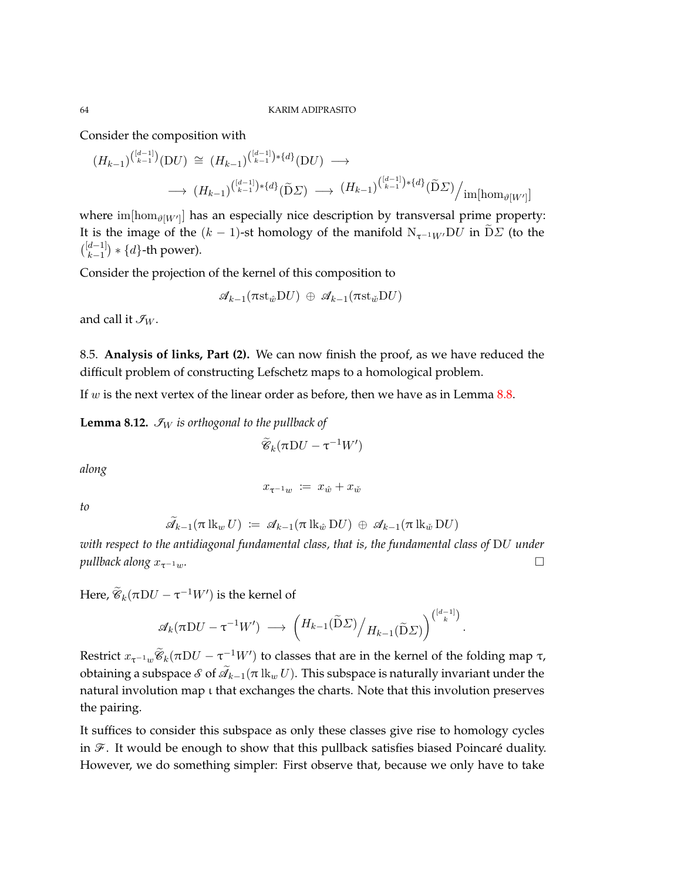Consider the composition with

$$
(H_{k-1})^{(\frac{[d-1]}{k-1})} (DU) \cong (H_{k-1})^{(\frac{[d-1]}{k-1})*\{d\}} (DU) \longrightarrow
$$
  

$$
\longrightarrow (H_{k-1})^{(\frac{[d-1]}{k-1})*\{d\}} (\widetilde{D} \Sigma) \longrightarrow (H_{k-1})^{(\frac{[d-1]}{k-1})*\{d\}} (\widetilde{D} \Sigma) / \text{im}[\text{hom}_{\vartheta[W']}]
$$

where  $\text{im}[\text{hom}_{\vartheta[W']}]$  has an especially nice description by transversal prime property: It is the image of the  $(k - 1)$ -st homology of the manifold  $N_{τ^{-1}W}DU$  in  $DΣ$  (to the  $\binom{[d-1]}{k-1}$  ∗ {*d*}-th power).

Consider the projection of the kernel of this composition to

 $\mathscr{A}_{k-1}(\pi \mathrm{st}_{\hat{w}}\mathrm{D}U) \oplus \mathscr{A}_{k-1}(\pi \mathrm{st}_{\hat{w}}\mathrm{D}U)$ 

and call it  $\mathcal{I}_W$ .

8.5. **Analysis of links, Part (2).** We can now finish the proof, as we have reduced the difficult problem of constructing Lefschetz maps to a homological problem.

If *w* is the next vertex of the linear order as before, then we have as in Lemma [8.8.](#page-58-0)

**Lemma 8.12.**  $\mathcal{I}_W$  *is orthogonal to the pullback of* 

 $\widetilde{\mathscr{C}}_k(\pi\mathrm{D} U - \tau^{-1}W')$ 

*along*

$$
x_{\tau^{-1}w} \: \coloneqq \: x_{\hat{w}} + x_{\check{w}}
$$

*to*

$$
\widetilde{\mathscr{A}}_{k-1}(\pi\operatorname{lk}_{w}U) \;:=\; \mathscr{A}_{k-1}(\pi\operatorname{lk}_{\hat{w}}\mathrm{D}U) \; \oplus \; \mathscr{A}_{k-1}(\pi\operatorname{lk}_{\check{w}}\mathrm{D}U)
$$

*with respect to the antidiagonal fundamental class, that is, the fundamental class of* D*U under pullback along*  $x_{τ-1w}$ *.* □

Here,  $\widetilde{\mathscr{C}}_k(\pi D U - \tau^{-1} W')$  is the kernel of

$$
\mathscr{A}_k(\pi \mathrm{D} U - \tau^{-1} W') \longrightarrow \left( H_{k-1}(\widetilde{\mathrm{D}} \Sigma) \middle/ H_{k-1}(\widetilde{\mathrm{D}} \Sigma) \right)^{\binom{[d-1]}{k}}
$$

*.*

Restrict  $x_{\tau^{-1}w}\widetilde{\mathscr{C}}_k(\pi D U - \tau^{-1}W')$  to classes that are in the kernel of the folding map τ,  $\alpha$  obtaining a subspace  $\delta$  of  $\mathscr{A}_{k-1}(\pi\operatorname{lk}_w U)$ . This subspace is naturally invariant under the natural involution map ι that exchanges the charts. Note that this involution preserves the pairing.

It suffices to consider this subspace as only these classes give rise to homology cycles in  $\mathcal F$ . It would be enough to show that this pullback satisfies biased Poincaré duality. However, we do something simpler: First observe that, because we only have to take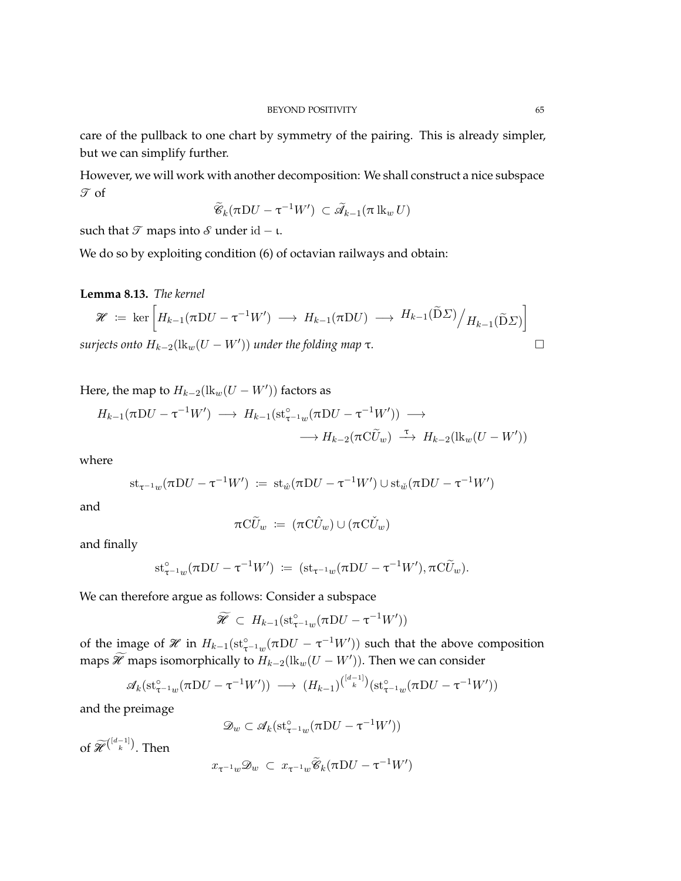care of the pullback to one chart by symmetry of the pairing. This is already simpler, but we can simplify further.

However, we will work with another decomposition: We shall construct a nice subspace  $\mathcal T$  of

$$
\widetilde{\mathcal{C}}_k(\pi \mathrm{D} U - \tau^{-1} W') \subset \widetilde{\mathcal{A}}_{k-1}(\pi \mathrm{lk}_w U)
$$

such that  $\mathcal T$  maps into  $\mathcal S$  under id – ι.

We do so by exploiting condition (6) of octavian railways and obtain:

**Lemma 8.13.** *The kernel*

$$
\mathcal{H} := \ker \left[ H_{k-1}(\pi DU - \tau^{-1}W') \longrightarrow H_{k-1}(\pi DU) \longrightarrow H_{k-1}(\widetilde{D}\Sigma) / H_{k-1}(\widetilde{D}\Sigma) \right]
$$
  
surjects onto  $H_{k-2}(\mathrm{lk}_w(U - W'))$  under the folding map  $\tau$ .

Here, the map to  $H_{k-2}(\text{lk}_w(U - W'))$  factors as

$$
H_{k-1}(\pi DU - \tau^{-1}W') \longrightarrow H_{k-1}(\operatorname{st}_{\tau^{-1}w}^{\circ}(\pi DU - \tau^{-1}W')) \longrightarrow
$$
  

$$
\longrightarrow H_{k-2}(\pi C\widetilde{U}_w) \stackrel{\tau}{\longrightarrow} H_{k-2}(\operatorname{lk}_{w}(U - W'))
$$

where

$$
\mathrm{st}_{\tau^{-1}w}(\pi D U - \tau^{-1}W') \; \coloneqq \; \mathrm{st}_{\hat{w}}(\pi D U - \tau^{-1}W') \cup \mathrm{st}_{\hat{w}}(\pi D U - \tau^{-1}W')
$$

and

$$
\pi\mathrm{C}\widetilde{U}_w := (\pi\mathrm{C}\widehat{U}_w) \cup (\pi\mathrm{C}\widetilde{U}_w)
$$

and finally

$$
\mathrm{st}_{\tau^{-1}w}^{\circ}(\pi D U - \tau^{-1}W') \; \coloneqq\; (\mathrm{st}_{\tau^{-1}w}(\pi D U - \tau^{-1}W'), \pi C\widetilde{U}_w).
$$

We can therefore argue as follows: Consider a subspace

$$
\widetilde{\mathscr{H}} \subset H_{k-1}(\operatorname{st}_{\tau^{-1}w}^{\circ}(\pi DU - \tau^{-1}W'))
$$

of the image of  $\mathcal X$  in  $H_{k-1}(\mathrm{st}_{\tau^{-1}w}^{\circ}(\pi)U - \tau^{-1}W')$  such that the above composition maps  $\widetilde{\mathscr{H}}$  maps isomorphically to  $H_{k-2}(\text{lk}_w(U-W'))$ . Then we can consider

$$
\mathscr{A}_k(\operatorname{st}_{\tau^{-1}w}^{\circ}(\pi DU - \tau^{-1}W')) \longrightarrow (H_{k-1})^{(\frac{[d-1]}{k})}(\operatorname{st}_{\tau^{-1}w}^{\circ}(\pi DU - \tau^{-1}W'))
$$

and the preimage

$$
\mathcal{D}_w \subset \mathcal{A}_k(\mathrm{st}_{\tau^{-1}w}^{\circ}(\pi D U - \tau^{-1} W'))
$$

of  $\widetilde{\mathscr{H}}^{(\frac{[d-1]}{k})}$ . Then

$$
x_{\tau^{-1}w} \mathscr{D}_w \ \subset \ x_{\tau^{-1}w} \widetilde{\mathscr{C}}_k (\pi \mathrm{D} U - \tau^{-1} W')
$$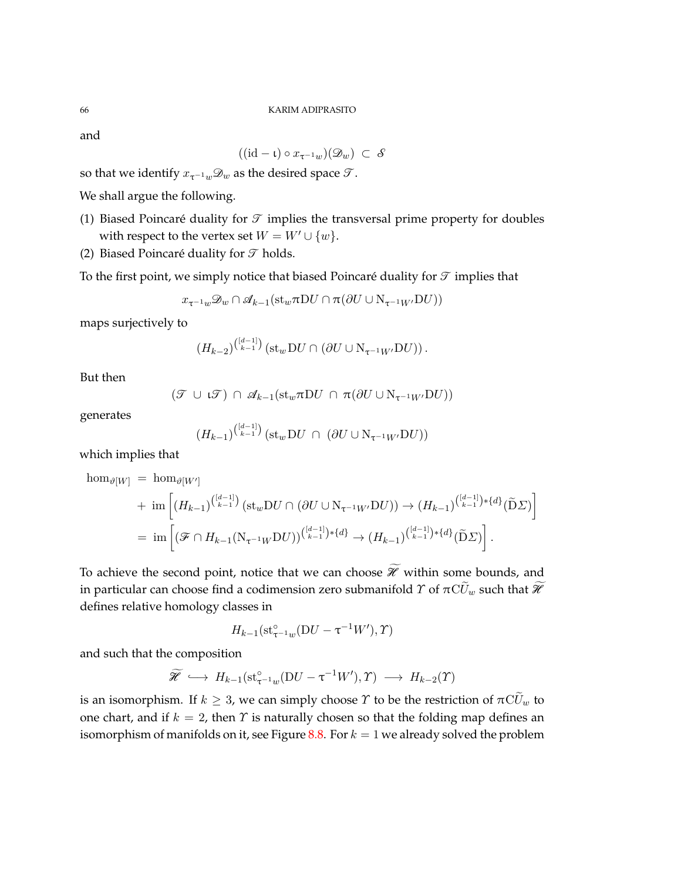and

$$
((\mathrm{id}-\iota)\circ x_{\tau^{-1}w})(\mathcal{D}_w)\ \subset\ \mathcal{S}
$$

so that we identify  $x_{\tau^{-1}w}\mathcal{D}_w$  as the desired space  $\mathcal{T}$ .

We shall argue the following.

- (1) Biased Poincaré duality for  $\mathcal T$  implies the transversal prime property for doubles with respect to the vertex set  $W = W' \cup \{w\}.$
- (2) Biased Poincaré duality for  $\mathcal T$  holds.

To the first point, we simply notice that biased Poincaré duality for  $\mathcal T$  implies that

$$
x_{\tau^{-1}w} \mathcal{D}_w \cap \mathcal{A}_{k-1}(\text{st}_w \pi \text{D} U \cap \pi (\partial U \cup \text{N}_{\tau^{-1}W'} \text{D} U))
$$

maps surjectively to

$$
(H_{k-2})^{\binom{[d-1]}{k-1}}\left(\operatorname{st}_{w}DU\cap(\partial U\cup\mathrm{N}_{\tau^{-1}W'}DU)\right).
$$

But then

$$
(\mathcal{T} \cup \mathfrak{t}\mathcal{T}) \cap \mathcal{A}_{k-1}(\mathrm{st}_w \pi \mathrm{D} U \cap \pi(\partial U \cup \mathrm{N}_{\tau^{-1}W'} \mathrm{D} U))
$$

generates

$$
(H_{k-1})^{\binom{[d-1]}{k-1}}\left(\operatorname{st}_w\operatorname{D} U\;\cap\;(\partial U\cup\operatorname{N}_{\tau^{-1}W'}\operatorname{D} U)\right)
$$

which implies that

 $\hom_{\vartheta[W]} = \hom_{\vartheta[W']}$ 

+ im 
$$
\left[ (H_{k-1})^{\binom{[d-1]}{k-1}} (\text{st}_w \text{D} U \cap (\partial U \cup N_{\tau^{-1}W'} \text{D} U)) \to (H_{k-1})^{\binom{[d-1]}{k-1}*\{d\}} (\widetilde{\text{D}} \Sigma) \right]
$$
  
= im  $\left[ (\mathcal{F} \cap H_{k-1} (N_{\tau^{-1}W} \text{D} U))^{\binom{[d-1]}{k-1}*\{d\}} \to (H_{k-1})^{\binom{[d-1]}{k-1}*\{d\}} (\widetilde{\text{D}} \Sigma) \right].$ 

To achieve the second point, notice that we can choose  $\widetilde{\mathcal{H}}$  within some bounds, and in particular can choose find a codimension zero submanifold  $\varUpsilon$  of  $\pi\mathrm{C}U_w$  such that  $\mathscr H$ defines relative homology classes in

$$
H_{k-1}(\operatorname{st}_{\tau^{-1}w}^{\circ}(\mathcal{D}U-\tau^{-1}W'),\Upsilon)
$$

and such that the composition

$$
\widetilde{\mathscr{H}} \hookrightarrow H_{k-1}(\mathrm{st}_{\tau^{-1}w}^{\circ}(DU-\tau^{-1}W'),\Upsilon) \longrightarrow H_{k-2}(\Upsilon)
$$

is an isomorphism. If  $k \geq 3$ , we can simply choose  $\gamma$  to be the restriction of  $\pi C U_w$  to one chart, and if  $k = 2$ , then  $\Upsilon$  is naturally chosen so that the folding map defines an isomorphism of manifolds on it, see Figure [8.8.](#page-66-0) For  $k = 1$  we already solved the problem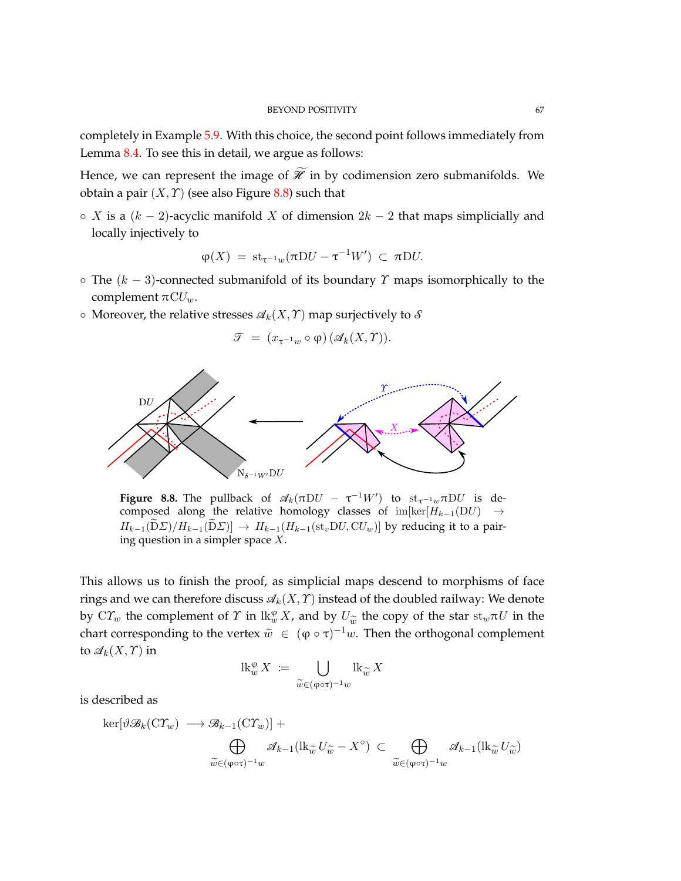completely in Example [5.9.](#page-31-0) With this choice, the second point follows immediately from Lemma [8.4.](#page-55-1) To see this in detail, we argue as follows:

Hence, we can represent the image of  $\widetilde{\mathcal{H}}$  in by codimension zero submanifolds. We obtain a pair  $(X, Y)$  (see also Figure [8.8\)](#page-66-0) such that

◦ *X* is a (*k* − 2)-acyclic manifold *X* of dimension 2*k* − 2 that maps simplicially and locally injectively to

$$
\varphi(X) = st_{\tau^{-1}w}(\pi DU - \tau^{-1}W') \subset \pi DU.
$$

- The (*k* − 3)-connected submanifold of its boundary *Υ* maps isomorphically to the complement  $\pi$ <sup>*CUw*</sub>.</sup>
- $\circ$  Moreover, the relative stresses  $\mathcal{A}_k(X, \Upsilon)$  map surjectively to  $\mathcal S$

$$
\mathcal{T} = (x_{\tau^{-1}w} \circ \varphi) (\mathcal{A}_k(X, \Upsilon)).
$$

<span id="page-66-0"></span>

**Figure 8.8.** The pullback of  $\mathscr{A}_k(\pi DU - \tau^{-1}W')$  to  $\text{st}_{\tau^{-1}w}\pi DU$  is decomposed along the relative homology classes of im[ker[*Hk*−1(D*U*) →  $H_{k-1}(\widetilde{D}\Sigma)/H_{k-1}(\widetilde{D}\Sigma) \rightarrow H_{k-1}(H_{k-1}(\mathrm{st}_vDU, \mathrm{C}U_w)$  by reducing it to a pairing question in a simpler space *X*.

This allows us to finish the proof, as simplicial maps descend to morphisms of face rings and we can therefore discuss  $\mathcal{A}_k(X, \mathcal{T})$  instead of the doubled railway: We denote by  $C\Upsilon_w$  the complement of  $\Upsilon$  in  $\operatorname{lk}_w^{\varphi} X$ , and by  $U_{\widetilde{w}}$  the copy of the star  $\operatorname{st}_w \pi U$  in the chart corresponding to the vertex  $\widetilde{w} \subset (\varphi \circ \pi)^{-1}w$ . Then the exthese proportion to the vertex  $\widetilde$ chart corresponding to the vertex  $\tilde{w} \in (\varphi \circ \tau)^{-1}w$ . Then the orthogonal complement to  $\mathscr{A}_k(X,\Upsilon)$  in

$$
\operatorname{lk}_{w}^{\varphi} X \coloneqq \bigcup_{\widetilde{w} \in (\varphi \circ \tau)^{-1} w} \operatorname{lk}_{\widetilde{w}} X
$$

is described as

$$
\ker[\vartheta\mathcal{B}_k(C\varUpsilon_w) \longrightarrow \mathcal{B}_{k-1}(C\varUpsilon_w)] + \bigoplus_{\widetilde{w} \in (\varphi \circ \tau)^{-1}w} \mathcal{A}_{k-1}(\mathrm{lk}_{\widetilde{w}} U_{\widetilde{w}} - X^{\circ}) \subset \bigoplus_{\widetilde{w} \in (\varphi \circ \tau)^{-1}w} \mathcal{A}_{k-1}(\mathrm{lk}_{\widetilde{w}} U_{\widetilde{w}})
$$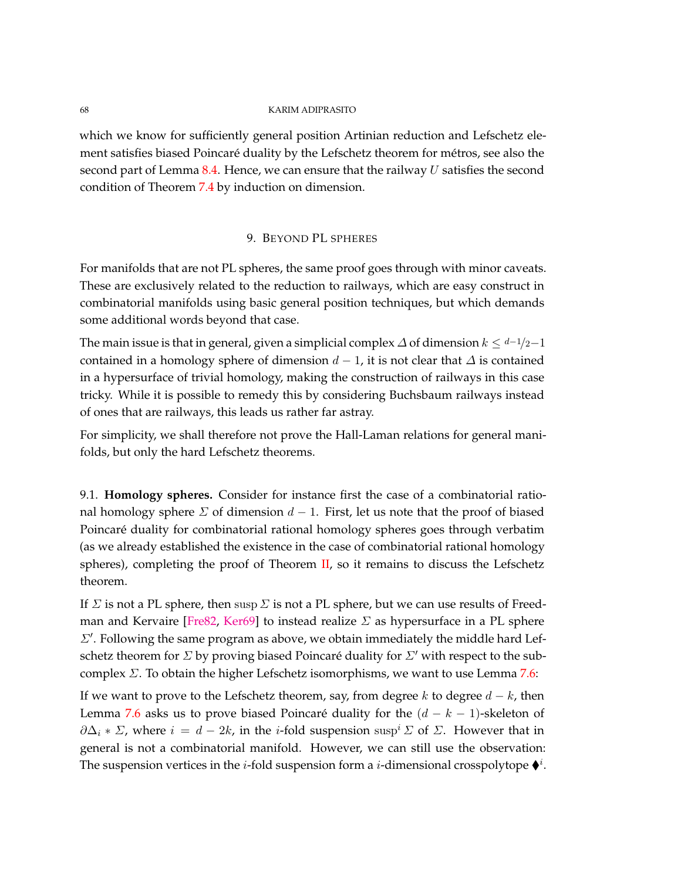which we know for sufficiently general position Artinian reduction and Lefschetz element satisfies biased Poincaré duality by the Lefschetz theorem for métros, see also the second part of Lemma [8.4.](#page-55-1) Hence, we can ensure that the railway *U* satisfies the second condition of Theorem [7.4](#page-50-0) by induction on dimension.

# 9. BEYOND PL SPHERES

For manifolds that are not PL spheres, the same proof goes through with minor caveats. These are exclusively related to the reduction to railways, which are easy construct in combinatorial manifolds using basic general position techniques, but which demands some additional words beyond that case.

The main issue is that in general, given a simplicial complex  $\Delta$  of dimension  $k \leq d-1/2-1$ contained in a homology sphere of dimension  $d - 1$ , it is not clear that  $\Delta$  is contained in a hypersurface of trivial homology, making the construction of railways in this case tricky. While it is possible to remedy this by considering Buchsbaum railways instead of ones that are railways, this leads us rather far astray.

For simplicity, we shall therefore not prove the Hall-Laman relations for general manifolds, but only the hard Lefschetz theorems.

9.1. **Homology spheres.** Consider for instance first the case of a combinatorial rational homology sphere  $\Sigma$  of dimension  $d-1$ . First, let us note that the proof of biased Poincaré duality for combinatorial rational homology spheres goes through verbatim (as we already established the existence in the case of combinatorial rational homology spheres), completing the proof of Theorem [II,](#page-2-0) so it remains to discuss the Lefschetz theorem.

If *Σ* is not a PL sphere, then susp *Σ* is not a PL sphere, but we can use results of Freed-man and Kervaire [\[Fre82,](#page-72-1) [Ker69\]](#page-73-1) to instead realize  $\Sigma$  as hypersurface in a PL sphere  $\Sigma'$ . Following the same program as above, we obtain immediately the middle hard Lefschetz theorem for  $\Sigma$  by proving biased Poincaré duality for  $\Sigma'$  with respect to the subcomplex *Σ*. To obtain the higher Lefschetz isomorphisms, we want to use Lemma [7.6:](#page-52-0)

If we want to prove to the Lefschetz theorem, say, from degree *k* to degree *d* − *k*, then Lemma [7.6](#page-52-0) asks us to prove biased Poincaré duality for the (*d* − *k* − 1)-skeleton of  $\partial \Delta_i * \Sigma$ , where  $i = d - 2k$ , in the *i*-fold suspension susp<sup>*i*</sup>  $\Sigma$  of  $\Sigma$ . However that in general is not a combinatorial manifold. However, we can still use the observation: The suspension vertices in the *i*-fold suspension form a *i*-dimensional crosspolytope  $\mathbf{\blacklozenge}^i$ .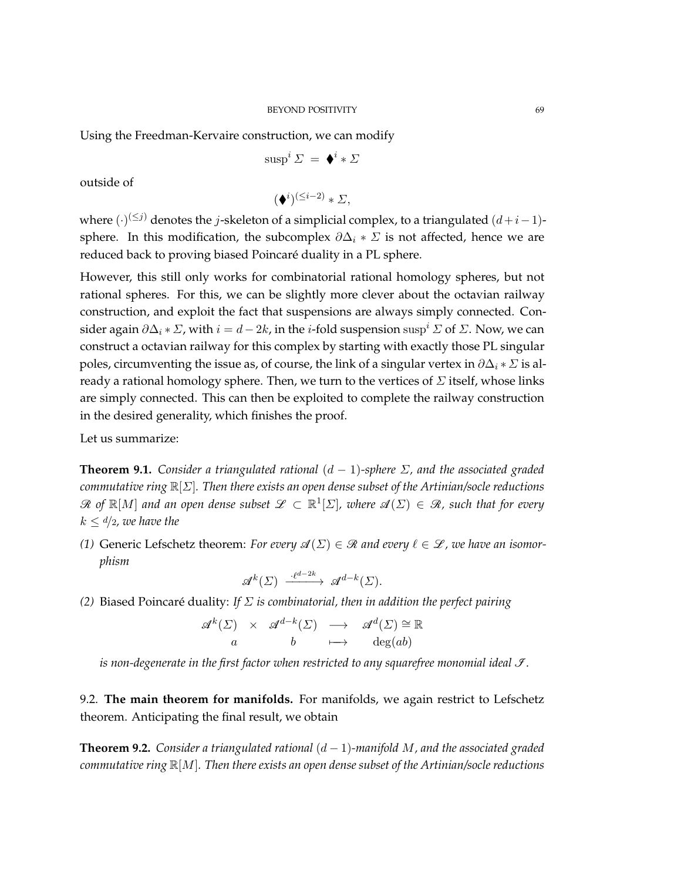## BEYOND POSITIVITY 69

Using the Freedman-Kervaire construction, we can modify

$$
\operatorname{susp}^i \varSigma \,=\, \blacklozenge^i * \varSigma
$$

outside of

$$
(\blacklozenge^i)^{(\leq i-2)} * \varSigma,
$$

where (·) (≤*j*) denotes the *j*-skeleton of a simplicial complex, to a triangulated (*d*+*i*−1) sphere. In this modification, the subcomplex  $\partial \Delta_i * \Sigma$  is not affected, hence we are reduced back to proving biased Poincaré duality in a PL sphere.

However, this still only works for combinatorial rational homology spheres, but not rational spheres. For this, we can be slightly more clever about the octavian railway construction, and exploit the fact that suspensions are always simply connected. Consider again  $\partial \Delta_i * \Sigma$ , with  $i = d - 2k$ , in the *i*-fold suspension susp<sup>*i*</sup>  $\Sigma$  of  $\Sigma$ . Now, we can construct a octavian railway for this complex by starting with exactly those PL singular poles, circumventing the issue as, of course, the link of a singular vertex in  $\partial \Delta_i * \Sigma$  is already a rational homology sphere. Then, we turn to the vertices of *Σ* itself, whose links are simply connected. This can then be exploited to complete the railway construction in the desired generality, which finishes the proof.

Let us summarize:

**Theorem 9.1.** *Consider a triangulated rational* (*d* − 1)*-sphere Σ, and the associated graded commutative ring* R[*Σ*]*. Then there exists an open dense subset of the Artinian/socle reductions*  $\mathscr R$  of  $\mathbb R[M]$  and an open dense subset  $\mathscr L\, \subset\, \mathbb R^1[\Sigma]$ , where  $\mathscr A(\Sigma)\, \in\, \mathscr R$ , such that for every  $k \leq d/2$ *, we have the* 

*(1)* Generic Lefschetz theorem: *For every*  $\mathscr{A}(\Sigma) \in \mathscr{R}$  and every  $\ell \in \mathscr{L}$ , we have an isomor*phism*

$$
\mathscr{A}^k(\varSigma)\ \xrightarrow{\cdot\ell^{d-2k}}\ \mathscr{A}^{d-k}(\varSigma).
$$

*(2)* Biased Poincaré duality: *If Σ is combinatorial, then in addition the perfect pairing*

$$
\begin{array}{rcl}\n\mathcal{A}^k(\Sigma) & \times & \mathcal{A}^{d-k}(\Sigma) & \longrightarrow & \mathcal{A}^d(\Sigma) \cong \mathbb{R} \\
a & b & \longmapsto & \deg(ab)\n\end{array}
$$

*is non-degenerate in the first factor when restricted to any squarefree monomial ideal*  $\mathcal{I}$ *.* 

9.2. **The main theorem for manifolds.** For manifolds, we again restrict to Lefschetz theorem. Anticipating the final result, we obtain

<span id="page-68-0"></span>**Theorem 9.2.** *Consider a triangulated rational*  $(d-1)$ *-manifold M, and the associated graded commutative ring* R[*M*]*. Then there exists an open dense subset of the Artinian/socle reductions*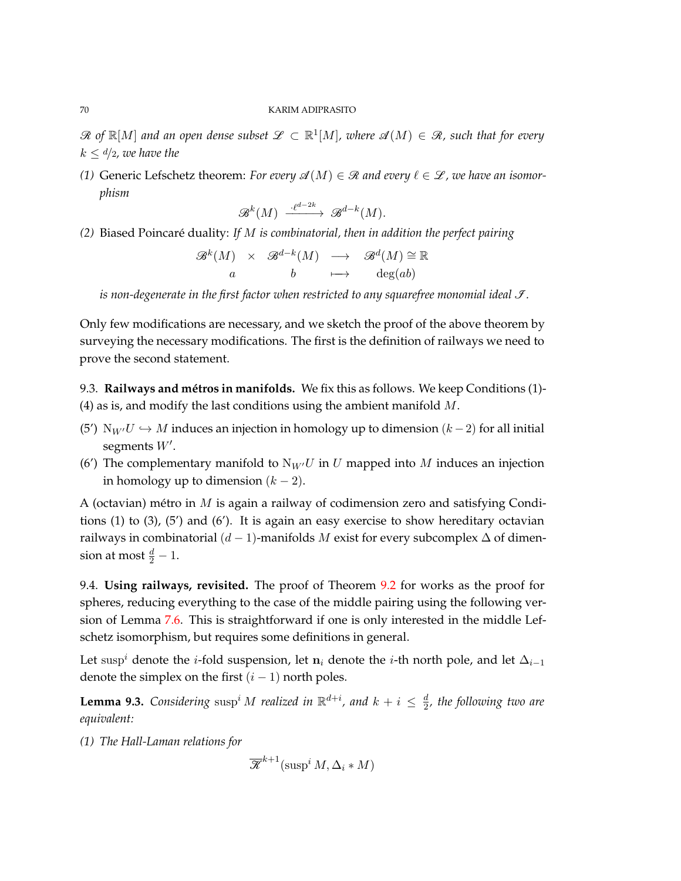$\mathscr{R}$  of  $\mathbb{R}[M]$  and an open dense subset  $\mathscr{L} \subset \mathbb{R}^1[M]$ , where  $\mathscr{A}(M) \in \mathscr{R}$ , such that for every  $k \leq d/2$ *, we have the* 

*(1)* Generic Lefschetz theorem: *For every*  $\mathscr{A}(M) \in \mathscr{R}$  *and every*  $\ell \in \mathscr{L}$ *, we have an isomorphism*

$$
\mathcal{B}^k(M) \xrightarrow{\cdot \ell^{d-2k}} \mathcal{B}^{d-k}(M).
$$

*(2)* Biased Poincaré duality: *If M is combinatorial, then in addition the perfect pairing*

$$
\begin{array}{rcl}\n\mathcal{B}^k(M) & \times & \mathcal{B}^{d-k}(M) & \longrightarrow & \mathcal{B}^d(M) \cong \mathbb{R} \\
a & b & \longmapsto & \deg(ab)\n\end{array}
$$

*is non-degenerate in the first factor when restricted to any squarefree monomial ideal*  $\mathcal{I}$ *.* 

Only few modifications are necessary, and we sketch the proof of the above theorem by surveying the necessary modifications. The first is the definition of railways we need to prove the second statement.

9.3. **Railways and métros in manifolds.** We fix this as follows. We keep Conditions (1)- (4) as is, and modify the last conditions using the ambient manifold *M*.

- (5<sup>'</sup>) N<sub>*W'</sub>U*  $\hookrightarrow$  *M* induces an injection in homology up to dimension (*k* − 2) for all initial</sub> segments  $W'$ .
- (6<sup>'</sup>) The complementary manifold to  $N_{W}U$  in *U* mapped into *M* induces an injection in homology up to dimension  $(k - 2)$ .

A (octavian) métro in *M* is again a railway of codimension zero and satisfying Conditions (1) to (3), (5') and (6'). It is again an easy exercise to show hereditary octavian railways in combinatorial  $(d-1)$ -manifolds *M* exist for every subcomplex  $\Delta$  of dimension at most  $\frac{d}{2} - 1$ .

9.4. **Using railways, revisited.** The proof of Theorem [9.2](#page-68-0) for works as the proof for spheres, reducing everything to the case of the middle pairing using the following version of Lemma [7.6.](#page-52-0) This is straightforward if one is only interested in the middle Lefschetz isomorphism, but requires some definitions in general.

Let susp<sup>*i*</sup> denote the *i*-fold suspension, let  $n_i$  denote the *i*-th north pole, and let  $\Delta_{i-1}$ denote the simplex on the first  $(i - 1)$  north poles.

<span id="page-69-0"></span>**Lemma 9.3.** *Considering*  $\text{susp}^i M$  *realized in*  $\mathbb{R}^{d+i}$ *, and*  $k + i \leq \frac{d}{2}$  $\frac{a}{2}$ , the following two are *equivalent:*

*(1) The Hall-Laman relations for*

$$
\overline{\mathcal{K}}^{k+1}(\operatorname{sup}^i M, \Delta_i * M)
$$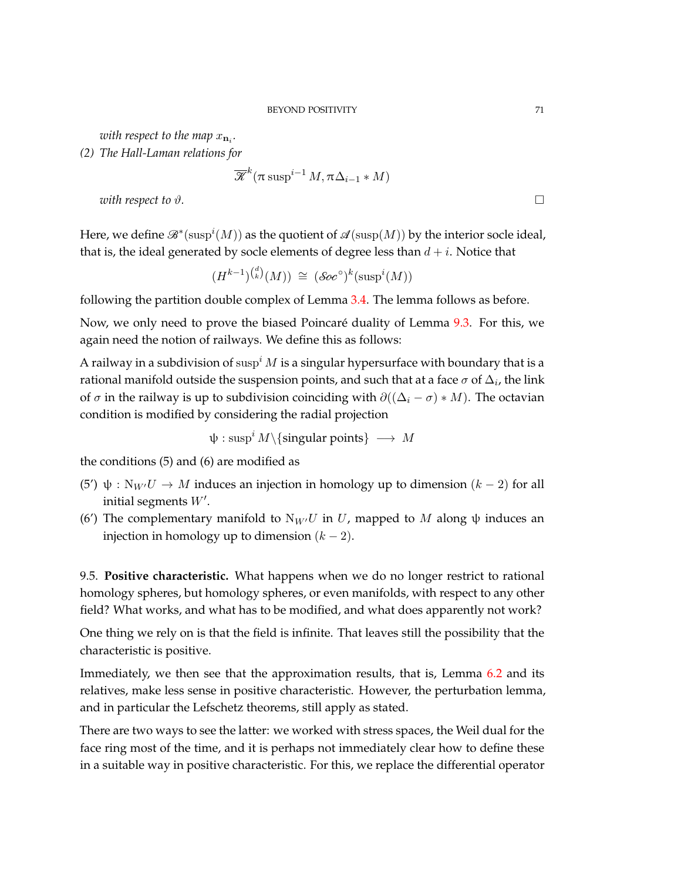with respect to the map  $x_{\mathbf{n}_i}$ .

*(2) The Hall-Laman relations for*

$$
\overline{\mathcal{K}}^k(\pi\sup^{i-1} M, \pi\Delta_{i-1} * M)
$$

*with respect to*  $\vartheta$ *.*  $\Box$ 

Here, we define  $\mathscr{B}^*(\mathrm{susp}^i(M))$  as the quotient of  $\mathscr{A}(\mathrm{susp}(M))$  by the interior socle ideal, that is, the ideal generated by socle elements of degree less than  $d + i$ . Notice that

$$
(H^{k-1})^{d \choose k} (M)) \cong (\mathcal S\hspace{-1pt}\mathit{oc}^{\,\circ})^k(\mathrm{susp}^i(M))
$$

following the partition double complex of Lemma [3.4.](#page-13-1) The lemma follows as before.

Now, we only need to prove the biased Poincaré duality of Lemma [9.3.](#page-69-0) For this, we again need the notion of railways. We define this as follows:

A railway in a subdivision of susp*<sup>i</sup> M* is a singular hypersurface with boundary that is a rational manifold outside the suspension points, and such that at a face  $\sigma$  of  $\Delta_i$ , the link of  $\sigma$  in the railway is up to subdivision coinciding with  $\partial((\Delta_i - \sigma) * M)$ . The octavian condition is modified by considering the radial projection

$$
\psi: \mathrm{susp}^i \, M \backslash \{\text{singular points}\} \, \longrightarrow \, M
$$

the conditions (5) and (6) are modified as

- (5<sup>'</sup>) ψ : N<sub>*W'</sub>U* → *M* induces an injection in homology up to dimension  $(k 2)$  for all</sub> initial segments  $W'$ .
- (6<sup>'</sup>) The complementary manifold to  $N_W$ <sup> $U$ </sup> in  $U$ , mapped to  $M$  along  $\psi$  induces an injection in homology up to dimension  $(k - 2)$ .

9.5. **Positive characteristic.** What happens when we do no longer restrict to rational homology spheres, but homology spheres, or even manifolds, with respect to any other field? What works, and what has to be modified, and what does apparently not work?

One thing we rely on is that the field is infinite. That leaves still the possibility that the characteristic is positive.

Immediately, we then see that the approximation results, that is, Lemma [6.2](#page-38-0) and its relatives, make less sense in positive characteristic. However, the perturbation lemma, and in particular the Lefschetz theorems, still apply as stated.

There are two ways to see the latter: we worked with stress spaces, the Weil dual for the face ring most of the time, and it is perhaps not immediately clear how to define these in a suitable way in positive characteristic. For this, we replace the differential operator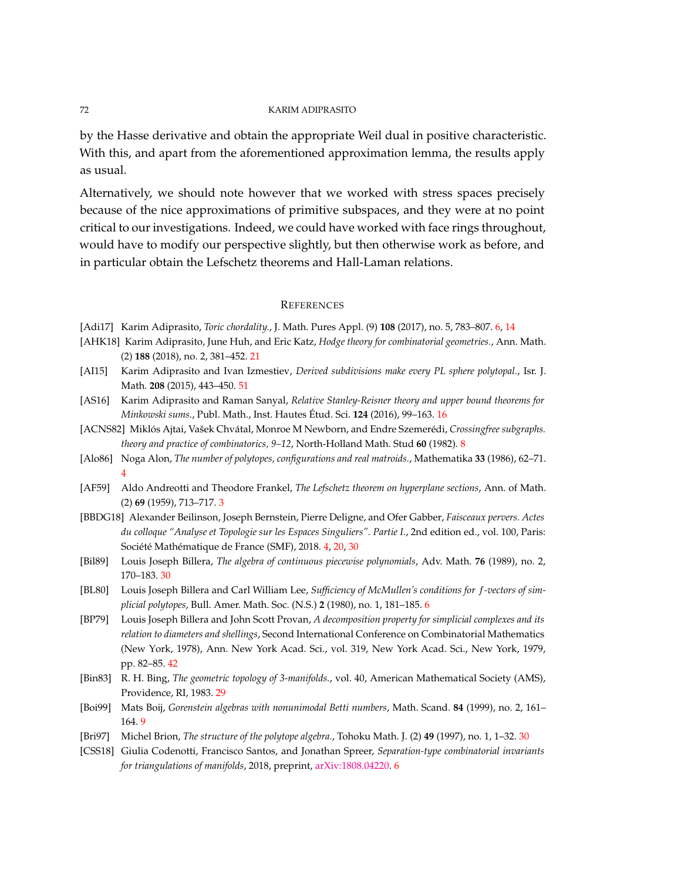by the Hasse derivative and obtain the appropriate Weil dual in positive characteristic. With this, and apart from the aforementioned approximation lemma, the results apply as usual.

Alternatively, we should note however that we worked with stress spaces precisely because of the nice approximations of primitive subspaces, and they were at no point critical to our investigations. Indeed, we could have worked with face rings throughout, would have to modify our perspective slightly, but then otherwise work as before, and in particular obtain the Lefschetz theorems and Hall-Laman relations.

#### **REFERENCES**

- [Adi17] Karim Adiprasito, *Toric chordality.*, J. Math. Pures Appl. (9) **108** (2017), no. 5, 783–807. [6,](#page-5-0) [14](#page-13-2)
- [AHK18] Karim Adiprasito, June Huh, and Eric Katz, *Hodge theory for combinatorial geometries.*, Ann. Math. (2) **188** (2018), no. 2, 381–452. [21](#page-20-0)
- <span id="page-71-1"></span>[AI15] Karim Adiprasito and Ivan Izmestiev, *Derived subdivisions make every PL sphere polytopal.*, Isr. J. Math. **208** (2015), 443–450. [51](#page-50-1)
- [AS16] Karim Adiprasito and Raman Sanyal, *Relative Stanley-Reisner theory and upper bound theorems for Minkowski sums.*, Publ. Math., Inst. Hautes Étud. Sci. **124** (2016), 99–163. [16](#page-15-1)
- [ACNS82] Miklós Ajtai, Vašek Chvátal, Monroe M Newborn, and Endre Szemerédi, *Crossingfree subgraphs. theory and practice of combinatorics, 9–12*, North-Holland Math. Stud **60** (1982). [8](#page-7-0)
- [Alo86] Noga Alon, *The number of polytopes, configurations and real matroids.*, Mathematika **33** (1986), 62–71. [4](#page-3-0)
- [AF59] Aldo Andreotti and Theodore Frankel, *The Lefschetz theorem on hyperplane sections*, Ann. of Math. (2) **69** (1959), 713–717. [3](#page-2-1)
- [BBDG18] Alexander Beilinson, Joseph Bernstein, Pierre Deligne, and Ofer Gabber, *Faisceaux pervers. Actes du colloque "Analyse et Topologie sur les Espaces Singuliers". Partie I.*, 2nd edition ed., vol. 100, Paris: Société Mathématique de France (SMF), 2018. [4,](#page-3-0) [20,](#page-19-1) [30](#page-29-1)
- [Bil89] Louis Joseph Billera, *The algebra of continuous piecewise polynomials*, Adv. Math. **76** (1989), no. 2, 170–183. [30](#page-29-1)
- [BL80] Louis Joseph Billera and Carl William Lee, *Sufficiency of McMullen's conditions for f-vectors of simplicial polytopes*, Bull. Amer. Math. Soc. (N.S.) **2** (1980), no. 1, 181–185. [6](#page-5-0)
- <span id="page-71-0"></span>[BP79] Louis Joseph Billera and John Scott Provan, *A decomposition property for simplicial complexes and its relation to diameters and shellings*, Second International Conference on Combinatorial Mathematics (New York, 1978), Ann. New York Acad. Sci., vol. 319, New York Acad. Sci., New York, 1979, pp. 82–85. [42](#page-41-1)
- [Bin83] R. H. Bing, *The geometric topology of 3-manifolds.*, vol. 40, American Mathematical Society (AMS), Providence, RI, 1983. [29](#page-28-1)
- [Boi99] Mats Boij, *Gorenstein algebras with nonunimodal Betti numbers*, Math. Scand. **84** (1999), no. 2, 161– 164. [9](#page-8-0)
- [Bri97] Michel Brion, *The structure of the polytope algebra.*, Tohoku Math. J. (2) **49** (1997), no. 1, 1–32. [30](#page-29-1)
- [CSS18] Giulia Codenotti, Francisco Santos, and Jonathan Spreer, *Separation-type combinatorial invariants for triangulations of manifolds*, 2018, preprint, [arXiv:1808.04220.](http://arxiv.org/abs/1808.04220) [6](#page-5-0)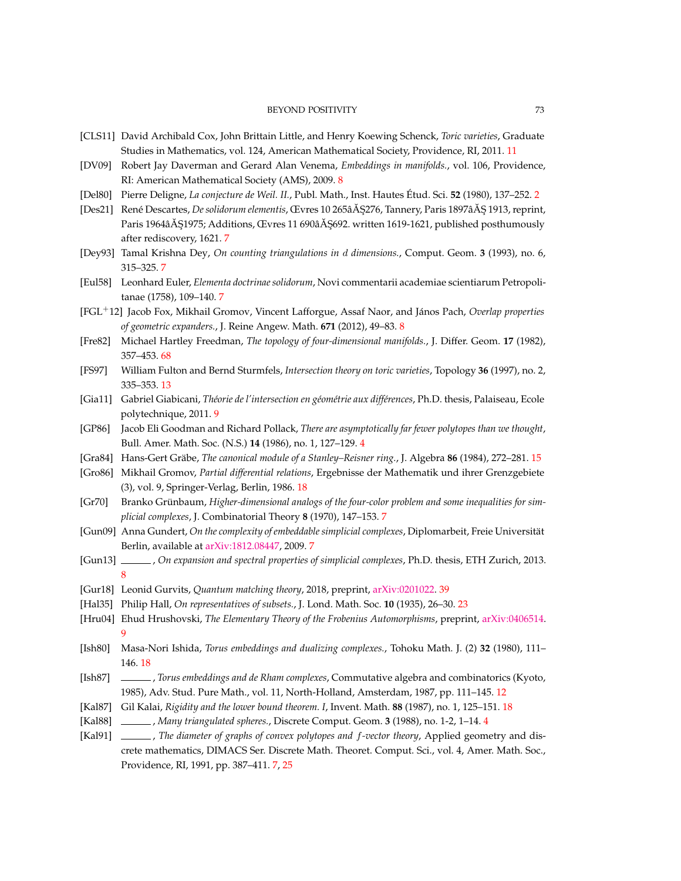- [CLS11] David Archibald Cox, John Brittain Little, and Henry Koewing Schenck, *Toric varieties*, Graduate Studies in Mathematics, vol. 124, American Mathematical Society, Providence, RI, 2011. [11](#page-10-0)
- [DV09] Robert Jay Daverman and Gerard Alan Venema, *Embeddings in manifolds.*, vol. 106, Providence, RI: American Mathematical Society (AMS), 2009. [8](#page-7-0)
- [Del80] Pierre Deligne, *La conjecture de Weil. II.*, Publ. Math., Inst. Hautes Étud. Sci. **52** (1980), 137–252. [2](#page-1-0)
- [Des21] René Descartes, *De solidorum elementis*, Œvres 10 265â Ă \$276, Tannery, Paris 1897â Ă \$1913, reprint, Paris 1964â $\AA$ Ş1975; Additions, Œvres 11 690â $\AA$ Ş692. written 1619-1621, published posthumously after rediscovery, 1621. [7](#page-6-0)
- [Dey93] Tamal Krishna Dey, *On counting triangulations in d dimensions.*, Comput. Geom. **3** (1993), no. 6, 315–325. [7](#page-6-0)
- [Eul58] Leonhard Euler, *Elementa doctrinae solidorum*, Novi commentarii academiae scientiarum Petropolitanae (1758), 109–140. [7](#page-6-0)
- [FGL<sup>+</sup>12] Jacob Fox, Mikhail Gromov, Vincent Lafforgue, Assaf Naor, and János Pach, *Overlap properties of geometric expanders.*, J. Reine Angew. Math. **671** (2012), 49–83. [8](#page-7-0)
- [Fre82] Michael Hartley Freedman, *The topology of four-dimensional manifolds.*, J. Differ. Geom. **17** (1982), 357–453. [68](#page-67-0)
- [FS97] William Fulton and Bernd Sturmfels, *Intersection theory on toric varieties*, Topology **36** (1997), no. 2, 335–353. [13](#page-12-0)
- [Gia11] Gabriel Giabicani, *Théorie de l'intersection en géométrie aux différences*, Ph.D. thesis, Palaiseau, Ecole polytechnique, 2011. [9](#page-8-0)
- [GP86] Jacob Eli Goodman and Richard Pollack, *There are asymptotically far fewer polytopes than we thought*, Bull. Amer. Math. Soc. (N.S.) **14** (1986), no. 1, 127–129. [4](#page-3-0)
- [Gra84] Hans-Gert Gräbe, *The canonical module of a Stanley–Reisner ring.*, J. Algebra **86** (1984), 272–281. [15](#page-14-0)
- [Gro86] Mikhail Gromov, *Partial differential relations*, Ergebnisse der Mathematik und ihrer Grenzgebiete (3), vol. 9, Springer-Verlag, Berlin, 1986. [18](#page-17-0)
- [Gr70] Branko Grünbaum, *Higher-dimensional analogs of the four-color problem and some inequalities for simplicial complexes*, J. Combinatorial Theory **8** (1970), 147–153. [7](#page-6-0)
- [Gun09] Anna Gundert, *On the complexity of embeddable simplicial complexes*, Diplomarbeit, Freie Universität Berlin, available at [arXiv:1812.08447,](http://arxiv.org/abs/1812.08447) 2009. [7](#page-6-0)
- [Gun13] , *On expansion and spectral properties of simplicial complexes*, Ph.D. thesis, ETH Zurich, 2013. [8](#page-7-0)
- [Gur18] Leonid Gurvits, *Quantum matching theory*, 2018, preprint, [arXiv:0201022.](https://arxiv.org/abs/quant-ph/0201022) [39](#page-38-0)
- [Hal35] Philip Hall, *On representatives of subsets.*, J. Lond. Math. Soc. **10** (1935), 26–30. [23](#page-22-0)
- [Hru04] Ehud Hrushovski, *The Elementary Theory of the Frobenius Automorphisms*, preprint, [arXiv:0406514.](http://arxiv.org/abs/0406514) [9](#page-8-0)
- [Ish80] Masa-Nori Ishida, *Torus embeddings and dualizing complexes.*, Tohoku Math. J. (2) **32** (1980), 111– 146. [18](#page-17-0)
- [Ish87] , *Torus embeddings and de Rham complexes*, Commutative algebra and combinatorics (Kyoto, 1985), Adv. Stud. Pure Math., vol. 11, North-Holland, Amsterdam, 1987, pp. 111–145. [12](#page-11-0)
- [Kal87] Gil Kalai, *Rigidity and the lower bound theorem. I*, Invent. Math. **88** (1987), no. 1, 125–151. [18](#page-17-0)
- [Kal88] , *Many triangulated spheres.*, Discrete Comput. Geom. **3** (1988), no. 1-2, 1–14. [4](#page-3-0)
- [Kal91] , *The diameter of graphs of convex polytopes and f-vector theory*, Applied geometry and discrete mathematics, DIMACS Ser. Discrete Math. Theoret. Comput. Sci., vol. 4, Amer. Math. Soc., Providence, RI, 1991, pp. 387–411. [7,](#page-6-0) [25](#page-24-0)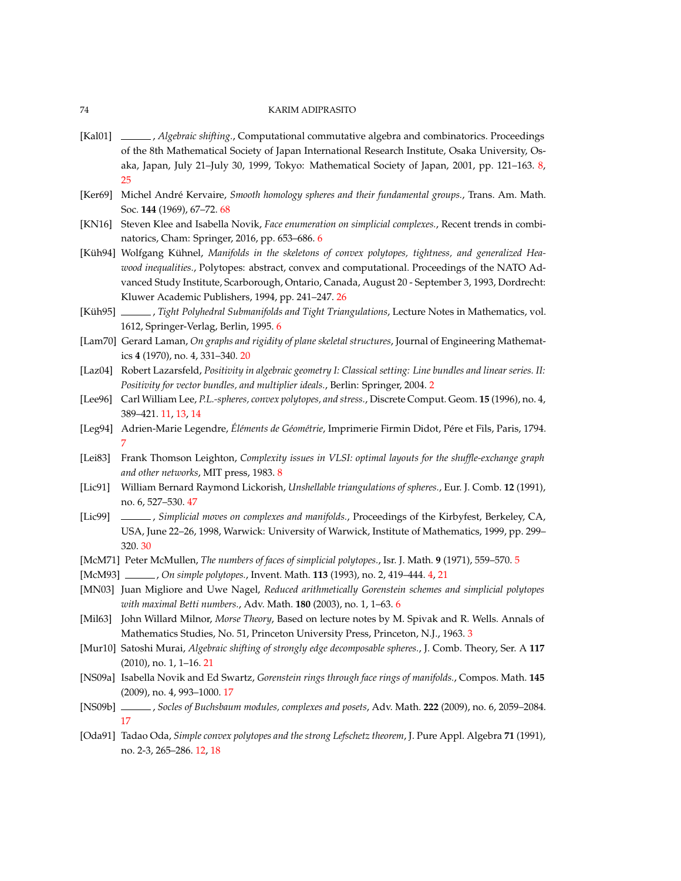## 74 KARIM ADIPRASITO

- [Kal01] , *Algebraic shifting.*, Computational commutative algebra and combinatorics. Proceedings of the 8th Mathematical Society of Japan International Research Institute, Osaka University, Osaka, Japan, July 21–July 30, 1999, Tokyo: Mathematical Society of Japan, 2001, pp. 121–163. [8,](#page-7-0) [25](#page-24-0)
- [Ker69] Michel André Kervaire, *Smooth homology spheres and their fundamental groups.*, Trans. Am. Math. Soc. **144** (1969), 67–72. [68](#page-67-0)
- [KN16] Steven Klee and Isabella Novik, *Face enumeration on simplicial complexes.*, Recent trends in combinatorics, Cham: Springer, 2016, pp. 653–686. [6](#page-5-0)
- [Küh94] Wolfgang Kühnel, *Manifolds in the skeletons of convex polytopes, tightness, and generalized Heawood inequalities.*, Polytopes: abstract, convex and computational. Proceedings of the NATO Advanced Study Institute, Scarborough, Ontario, Canada, August 20 - September 3, 1993, Dordrecht: Kluwer Academic Publishers, 1994, pp. 241–247. [26](#page-25-0)
- [Küh95] , *Tight Polyhedral Submanifolds and Tight Triangulations*, Lecture Notes in Mathematics, vol. 1612, Springer-Verlag, Berlin, 1995. [6](#page-5-0)
- [Lam70] Gerard Laman, *On graphs and rigidity of plane skeletal structures*, Journal of Engineering Mathematics **4** (1970), no. 4, 331–340. [20](#page-19-0)
- [Laz04] Robert Lazarsfeld, *Positivity in algebraic geometry I: Classical setting: Line bundles and linear series. II: Positivity for vector bundles, and multiplier ideals.*, Berlin: Springer, 2004. [2](#page-1-0)
- [Lee96] Carl William Lee, *P.L.-spheres, convex polytopes, and stress.*, Discrete Comput. Geom. **15** (1996), no. 4, 389–421. [11,](#page-10-0) [13,](#page-12-0) [14](#page-13-0)
- [Leg94] Adrien-Marie Legendre, *Éléments de Géométrie*, Imprimerie Firmin Didot, Pére et Fils, Paris, 1794. [7](#page-6-0)
- [Lei83] Frank Thomson Leighton, *Complexity issues in VLSI: optimal layouts for the shuffle-exchange graph and other networks*, MIT press, 1983. [8](#page-7-0)
- [Lic91] William Bernard Raymond Lickorish, *Unshellable triangulations of spheres.*, Eur. J. Comb. **12** (1991), no. 6, 527–530. [47](#page-46-0)
- [Lic99] , *Simplicial moves on complexes and manifolds.*, Proceedings of the Kirbyfest, Berkeley, CA, USA, June 22–26, 1998, Warwick: University of Warwick, Institute of Mathematics, 1999, pp. 299– 320. [30](#page-29-0)
- [McM71] Peter McMullen, *The numbers of faces of simplicial polytopes.*, Isr. J. Math. **9** (1971), 559–570. [5](#page-4-0)
- [McM93] , *On simple polytopes.*, Invent. Math. **113** (1993), no. 2, 419–444. [4,](#page-3-0) [21](#page-20-0)
- [MN03] Juan Migliore and Uwe Nagel, *Reduced arithmetically Gorenstein schemes and simplicial polytopes with maximal Betti numbers.*, Adv. Math. **180** (2003), no. 1, 1–63. [6](#page-5-0)
- [Mil63] John Willard Milnor, *Morse Theory*, Based on lecture notes by M. Spivak and R. Wells. Annals of Mathematics Studies, No. 51, Princeton University Press, Princeton, N.J., 1963. [3](#page-2-0)
- [Mur10] Satoshi Murai, *Algebraic shifting of strongly edge decomposable spheres.*, J. Comb. Theory, Ser. A **117** (2010), no. 1, 1–16. [21](#page-20-0)
- [NS09a] Isabella Novik and Ed Swartz, *Gorenstein rings through face rings of manifolds.*, Compos. Math. **145** (2009), no. 4, 993–1000. [17](#page-16-0)
- [NS09b] , *Socles of Buchsbaum modules, complexes and posets*, Adv. Math. **222** (2009), no. 6, 2059–2084. [17](#page-16-0)
- [Oda91] Tadao Oda, *Simple convex polytopes and the strong Lefschetz theorem*, J. Pure Appl. Algebra **71** (1991), no. 2-3, 265–286. [12,](#page-11-0) [18](#page-17-0)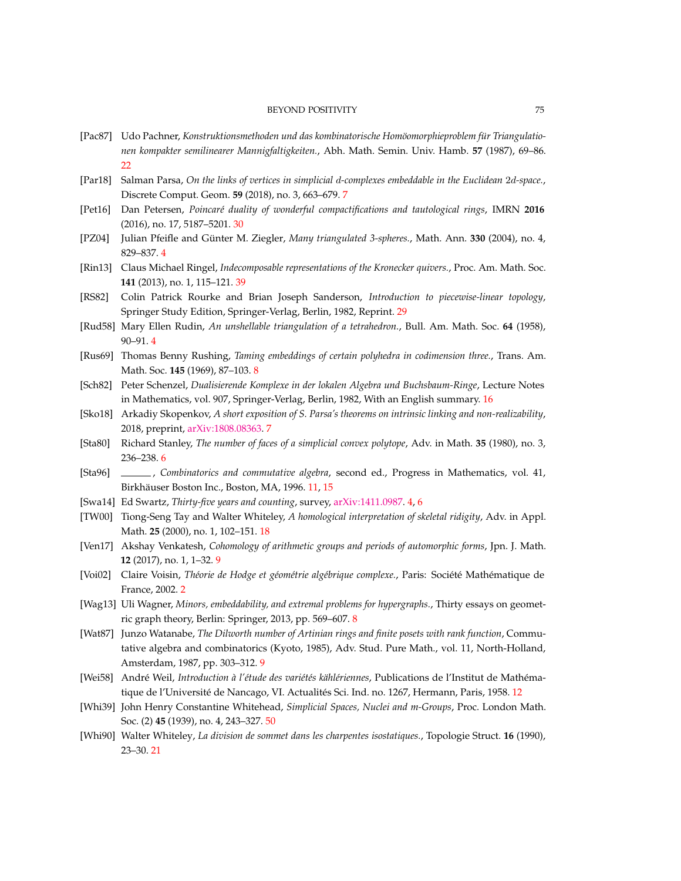## BEYOND POSITIVITY 75

- [Pac87] Udo Pachner, *Konstruktionsmethoden und das kombinatorische Homöomorphieproblem für Triangulationen kompakter semilinearer Mannigfaltigkeiten.*, Abh. Math. Semin. Univ. Hamb. **57** (1987), 69–86.  $22$
- [Par18] Salman Parsa, *On the links of vertices in simplicial d-complexes embeddable in the Euclidean* 2*d-space.*, Discrete Comput. Geom. **59** (2018), no. 3, 663–679. [7](#page-6-0)
- [Pet16] Dan Petersen, *Poincaré duality of wonderful compactifications and tautological rings*, IMRN **2016** (2016), no. 17, 5187–5201. [30](#page-29-0)
- [PZ04] Julian Pfeifle and Günter M. Ziegler, *Many triangulated 3-spheres.*, Math. Ann. **330** (2004), no. 4, 829–837. [4](#page-3-0)
- [Rin13] Claus Michael Ringel, *Indecomposable representations of the Kronecker quivers.*, Proc. Am. Math. Soc. **141** (2013), no. 1, 115–121. [39](#page-38-0)
- [RS82] Colin Patrick Rourke and Brian Joseph Sanderson, *Introduction to piecewise-linear topology*, Springer Study Edition, Springer-Verlag, Berlin, 1982, Reprint. [29](#page-28-0)
- [Rud58] Mary Ellen Rudin, *An unshellable triangulation of a tetrahedron.*, Bull. Am. Math. Soc. **64** (1958), 90–91. [4](#page-3-0)
- [Rus69] Thomas Benny Rushing, *Taming embeddings of certain polyhedra in codimension three.*, Trans. Am. Math. Soc. **145** (1969), 87–103. [8](#page-7-0)
- [Sch82] Peter Schenzel, *Dualisierende Komplexe in der lokalen Algebra und Buchsbaum-Ringe*, Lecture Notes in Mathematics, vol. 907, Springer-Verlag, Berlin, 1982, With an English summary. [16](#page-15-0)
- [Sko18] Arkadiy Skopenkov, *A short exposition of S. Parsa's theorems on intrinsic linking and non-realizability*, 2018, preprint, [arXiv:1808.08363.](http://arxiv.org/abs/1808.08363) [7](#page-6-0)
- [Sta80] Richard Stanley, *The number of faces of a simplicial convex polytope*, Adv. in Math. **35** (1980), no. 3, 236–238. [6](#page-5-0)
- [Sta96] , *Combinatorics and commutative algebra*, second ed., Progress in Mathematics, vol. 41, Birkhäuser Boston Inc., Boston, MA, 1996. [11,](#page-10-0) [15](#page-14-0)
- [Swa14] Ed Swartz, *Thirty-five years and counting*, survey, [arXiv:1411.0987.](http://arxiv.org/abs/1411.0987) [4,](#page-3-0) [6](#page-5-0)
- [TW00] Tiong-Seng Tay and Walter Whiteley, *A homological interpretation of skeletal ridigity*, Adv. in Appl. Math. **25** (2000), no. 1, 102–151. [18](#page-17-0)
- [Ven17] Akshay Venkatesh, *Cohomology of arithmetic groups and periods of automorphic forms*, Jpn. J. Math. **12** (2017), no. 1, 1–32. [9](#page-8-0)
- [Voi02] Claire Voisin, *Théorie de Hodge et géométrie algébrique complexe.*, Paris: Société Mathématique de France, 2002. [2](#page-1-0)
- [Wag13] Uli Wagner, *Minors, embeddability, and extremal problems for hypergraphs.*, Thirty essays on geometric graph theory, Berlin: Springer, 2013, pp. 569–607. [8](#page-7-0)
- [Wat87] Junzo Watanabe, *The Dilworth number of Artinian rings and finite posets with rank function*, Commutative algebra and combinatorics (Kyoto, 1985), Adv. Stud. Pure Math., vol. 11, North-Holland, Amsterdam, 1987, pp. 303–312. [9](#page-8-0)
- [Wei58] André Weil, *Introduction à l'étude des variétés kählériennes*, Publications de l'Institut de Mathématique de l'Université de Nancago, VI. Actualités Sci. Ind. no. 1267, Hermann, Paris, 1958. [12](#page-11-0)
- [Whi39] John Henry Constantine Whitehead, *Simplicial Spaces, Nuclei and m-Groups*, Proc. London Math. Soc. (2) **45** (1939), no. 4, 243–327. [50](#page-49-0)
- [Whi90] Walter Whiteley, *La division de sommet dans les charpentes isostatiques.*, Topologie Struct. **16** (1990), 23–30. [21](#page-20-0)